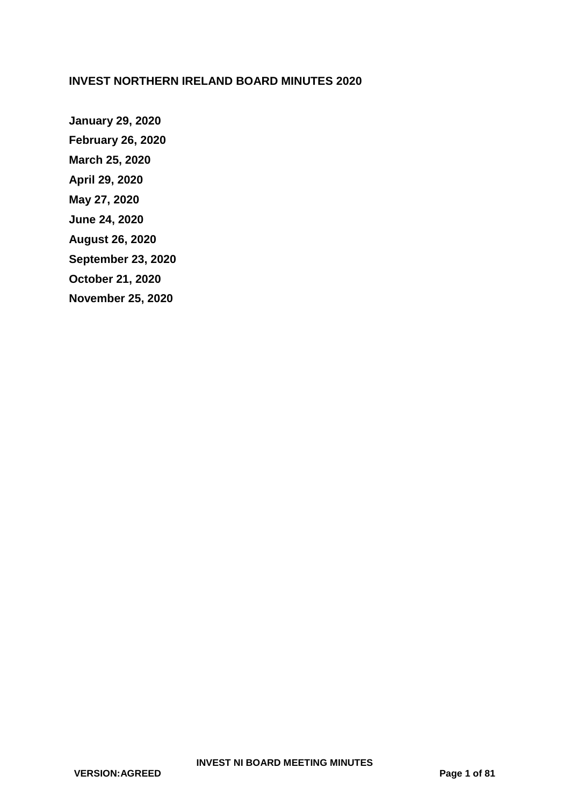## **INVEST NORTHERN IRELAND BOARD MINUTES 2020**

**January 29, 2020 [February 26, 2020](#page-10-0) [March 25, 2020](#page-14-0) [April 29, 2020](#page-19-0) [May 27, 2020](#page-28-0) [June 24, 2020](#page-38-0) [August 26, 2020](#page-49-0) [September 23, 2020](#page-57-0) [October 21, 2020](#page-65-0) [November 25, 2020](#page-75-0)**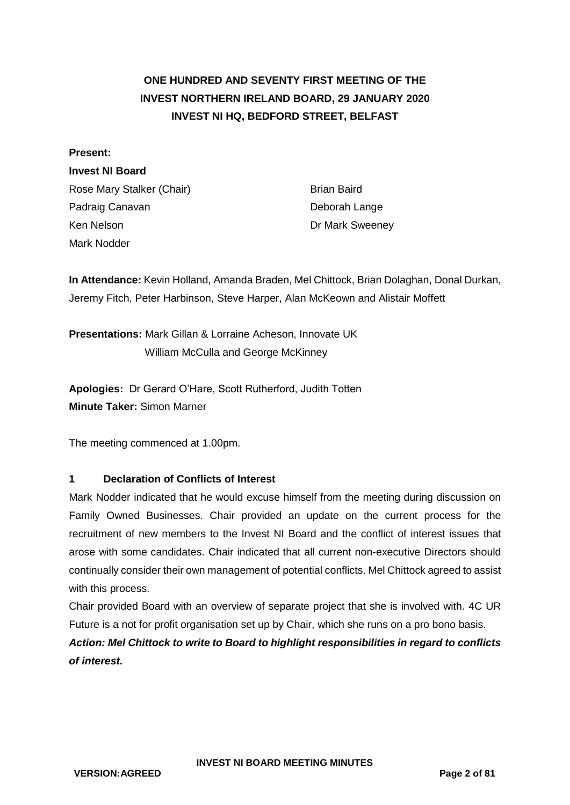# **ONE HUNDRED AND SEVENTY FIRST MEETING OF THE INVEST NORTHERN IRELAND BOARD, 29 JANUARY 2020 INVEST NI HQ, BEDFORD STREET, BELFAST**

### **Present:**

### **Invest NI Board**

Rose Mary Stalker (Chair) Brian Baird Padraig Canavan **Deborah Lange** Ken Nelson **Dr Mark Sweeney** Mark Nodder

**In Attendance:** Kevin Holland, Amanda Braden, Mel Chittock, Brian Dolaghan, Donal Durkan, Jeremy Fitch, Peter Harbinson, Steve Harper, Alan McKeown and Alistair Moffett

**Presentations:** Mark Gillan & Lorraine Acheson, Innovate UK William McCulla and George McKinney

**Apologies:** Dr Gerard O'Hare, Scott Rutherford, Judith Totten **Minute Taker:** Simon Marner

The meeting commenced at 1.00pm.

## **1 Declaration of Conflicts of Interest**

Mark Nodder indicated that he would excuse himself from the meeting during discussion on Family Owned Businesses. Chair provided an update on the current process for the recruitment of new members to the Invest NI Board and the conflict of interest issues that arose with some candidates. Chair indicated that all current non-executive Directors should continually consider their own management of potential conflicts. Mel Chittock agreed to assist with this process.

Chair provided Board with an overview of separate project that she is involved with. 4C UR Future is a not for profit organisation set up by Chair, which she runs on a pro bono basis.

*Action: Mel Chittock to write to Board to highlight responsibilities in regard to conflicts of interest.*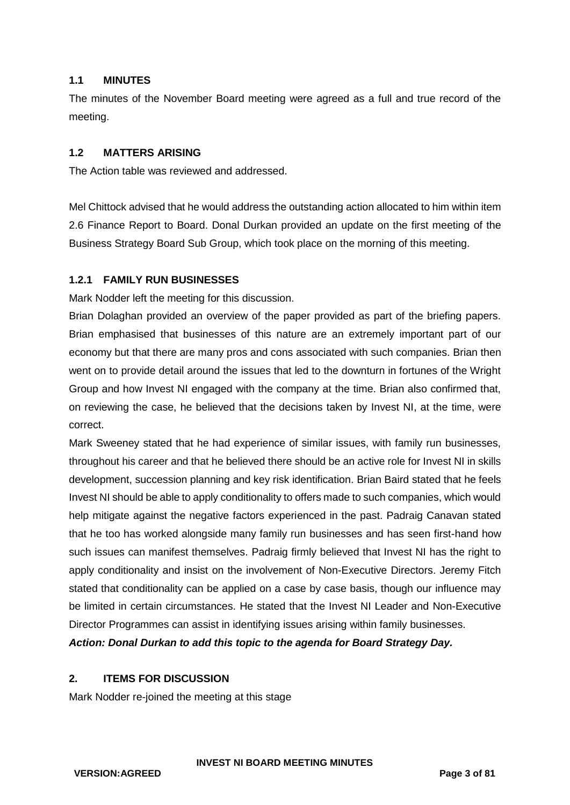### **1.1 MINUTES**

The minutes of the November Board meeting were agreed as a full and true record of the meeting.

### **1.2 MATTERS ARISING**

The Action table was reviewed and addressed.

Mel Chittock advised that he would address the outstanding action allocated to him within item 2.6 Finance Report to Board. Donal Durkan provided an update on the first meeting of the Business Strategy Board Sub Group, which took place on the morning of this meeting.

## **1.2.1 FAMILY RUN BUSINESSES**

Mark Nodder left the meeting for this discussion.

Brian Dolaghan provided an overview of the paper provided as part of the briefing papers. Brian emphasised that businesses of this nature are an extremely important part of our economy but that there are many pros and cons associated with such companies. Brian then went on to provide detail around the issues that led to the downturn in fortunes of the Wright Group and how Invest NI engaged with the company at the time. Brian also confirmed that, on reviewing the case, he believed that the decisions taken by Invest NI, at the time, were correct.

Mark Sweeney stated that he had experience of similar issues, with family run businesses, throughout his career and that he believed there should be an active role for Invest NI in skills development, succession planning and key risk identification. Brian Baird stated that he feels Invest NI should be able to apply conditionality to offers made to such companies, which would help mitigate against the negative factors experienced in the past. Padraig Canavan stated that he too has worked alongside many family run businesses and has seen first-hand how such issues can manifest themselves. Padraig firmly believed that Invest NI has the right to apply conditionality and insist on the involvement of Non-Executive Directors. Jeremy Fitch stated that conditionality can be applied on a case by case basis, though our influence may be limited in certain circumstances. He stated that the Invest NI Leader and Non-Executive Director Programmes can assist in identifying issues arising within family businesses.

*Action: Donal Durkan to add this topic to the agenda for Board Strategy Day.*

### **2. ITEMS FOR DISCUSSION**

Mark Nodder re-joined the meeting at this stage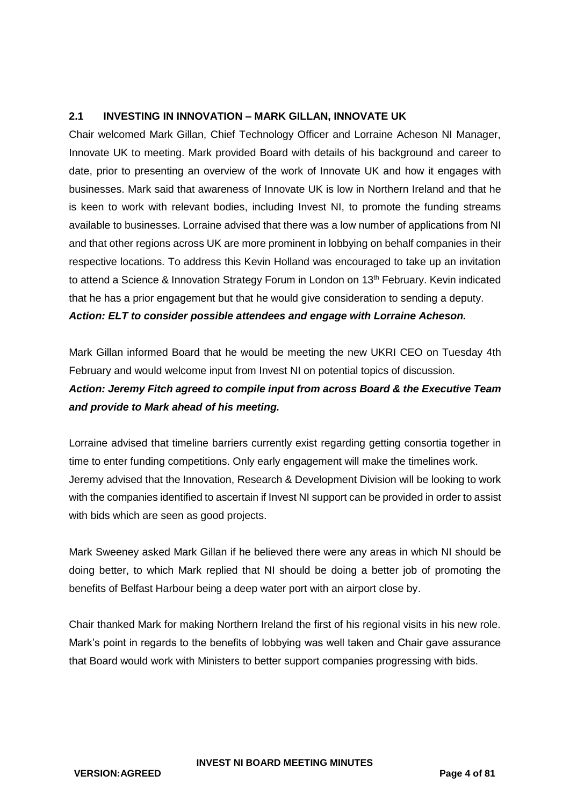### **2.1 INVESTING IN INNOVATION – MARK GILLAN, INNOVATE UK**

Chair welcomed Mark Gillan, Chief Technology Officer and Lorraine Acheson NI Manager, Innovate UK to meeting. Mark provided Board with details of his background and career to date, prior to presenting an overview of the work of Innovate UK and how it engages with businesses. Mark said that awareness of Innovate UK is low in Northern Ireland and that he is keen to work with relevant bodies, including Invest NI, to promote the funding streams available to businesses. Lorraine advised that there was a low number of applications from NI and that other regions across UK are more prominent in lobbying on behalf companies in their respective locations. To address this Kevin Holland was encouraged to take up an invitation to attend a Science & Innovation Strategy Forum in London on 13<sup>th</sup> February. Kevin indicated that he has a prior engagement but that he would give consideration to sending a deputy. *Action: ELT to consider possible attendees and engage with Lorraine Acheson.* 

Mark Gillan informed Board that he would be meeting the new UKRI CEO on Tuesday 4th February and would welcome input from Invest NI on potential topics of discussion. *Action: Jeremy Fitch agreed to compile input from across Board & the Executive Team and provide to Mark ahead of his meeting.*

Lorraine advised that timeline barriers currently exist regarding getting consortia together in time to enter funding competitions. Only early engagement will make the timelines work. Jeremy advised that the Innovation, Research & Development Division will be looking to work with the companies identified to ascertain if Invest NI support can be provided in order to assist with bids which are seen as good projects.

Mark Sweeney asked Mark Gillan if he believed there were any areas in which NI should be doing better, to which Mark replied that NI should be doing a better job of promoting the benefits of Belfast Harbour being a deep water port with an airport close by.

Chair thanked Mark for making Northern Ireland the first of his regional visits in his new role. Mark's point in regards to the benefits of lobbying was well taken and Chair gave assurance that Board would work with Ministers to better support companies progressing with bids.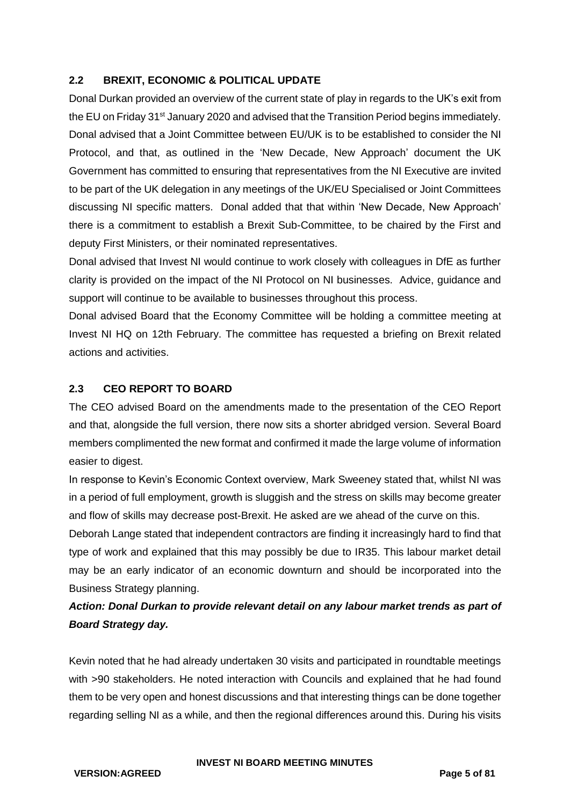## **2.2 BREXIT, ECONOMIC & POLITICAL UPDATE**

Donal Durkan provided an overview of the current state of play in regards to the UK's exit from the EU on Friday 31<sup>st</sup> January 2020 and advised that the Transition Period begins immediately. Donal advised that a Joint Committee between EU/UK is to be established to consider the NI Protocol, and that, as outlined in the 'New Decade, New Approach' document the UK Government has committed to ensuring that representatives from the NI Executive are invited to be part of the UK delegation in any meetings of the UK/EU Specialised or Joint Committees discussing NI specific matters. Donal added that that within 'New Decade, New Approach' there is a commitment to establish a Brexit Sub-Committee, to be chaired by the First and deputy First Ministers, or their nominated representatives.

Donal advised that Invest NI would continue to work closely with colleagues in DfE as further clarity is provided on the impact of the NI Protocol on NI businesses. Advice, guidance and support will continue to be available to businesses throughout this process.

Donal advised Board that the Economy Committee will be holding a committee meeting at Invest NI HQ on 12th February. The committee has requested a briefing on Brexit related actions and activities.

## **2.3 CEO REPORT TO BOARD**

The CEO advised Board on the amendments made to the presentation of the CEO Report and that, alongside the full version, there now sits a shorter abridged version. Several Board members complimented the new format and confirmed it made the large volume of information easier to digest.

In response to Kevin's Economic Context overview, Mark Sweeney stated that, whilst NI was in a period of full employment, growth is sluggish and the stress on skills may become greater and flow of skills may decrease post-Brexit. He asked are we ahead of the curve on this.

Deborah Lange stated that independent contractors are finding it increasingly hard to find that type of work and explained that this may possibly be due to IR35. This labour market detail may be an early indicator of an economic downturn and should be incorporated into the Business Strategy planning.

## *Action: Donal Durkan to provide relevant detail on any labour market trends as part of Board Strategy day.*

Kevin noted that he had already undertaken 30 visits and participated in roundtable meetings with >90 stakeholders. He noted interaction with Councils and explained that he had found them to be very open and honest discussions and that interesting things can be done together regarding selling NI as a while, and then the regional differences around this. During his visits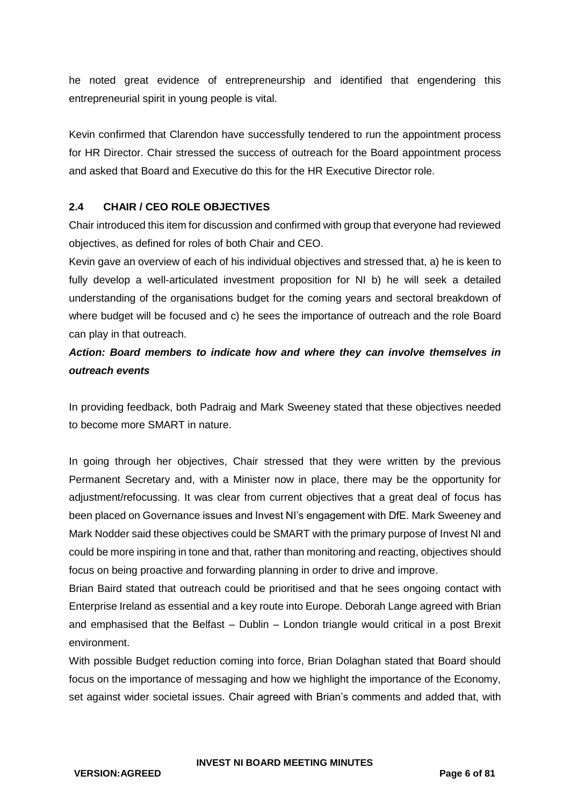he noted great evidence of entrepreneurship and identified that engendering this entrepreneurial spirit in young people is vital.

Kevin confirmed that Clarendon have successfully tendered to run the appointment process for HR Director. Chair stressed the success of outreach for the Board appointment process and asked that Board and Executive do this for the HR Executive Director role.

## **2.4 CHAIR / CEO ROLE OBJECTIVES**

Chair introduced this item for discussion and confirmed with group that everyone had reviewed objectives, as defined for roles of both Chair and CEO.

Kevin gave an overview of each of his individual objectives and stressed that, a) he is keen to fully develop a well-articulated investment proposition for NI b) he will seek a detailed understanding of the organisations budget for the coming years and sectoral breakdown of where budget will be focused and c) he sees the importance of outreach and the role Board can play in that outreach.

## *Action: Board members to indicate how and where they can involve themselves in outreach events*

In providing feedback, both Padraig and Mark Sweeney stated that these objectives needed to become more SMART in nature.

In going through her objectives, Chair stressed that they were written by the previous Permanent Secretary and, with a Minister now in place, there may be the opportunity for adjustment/refocussing. It was clear from current objectives that a great deal of focus has been placed on Governance issues and Invest NI's engagement with DfE. Mark Sweeney and Mark Nodder said these objectives could be SMART with the primary purpose of Invest NI and could be more inspiring in tone and that, rather than monitoring and reacting, objectives should focus on being proactive and forwarding planning in order to drive and improve.

Brian Baird stated that outreach could be prioritised and that he sees ongoing contact with Enterprise Ireland as essential and a key route into Europe. Deborah Lange agreed with Brian and emphasised that the Belfast – Dublin – London triangle would critical in a post Brexit environment.

With possible Budget reduction coming into force, Brian Dolaghan stated that Board should focus on the importance of messaging and how we highlight the importance of the Economy, set against wider societal issues. Chair agreed with Brian's comments and added that, with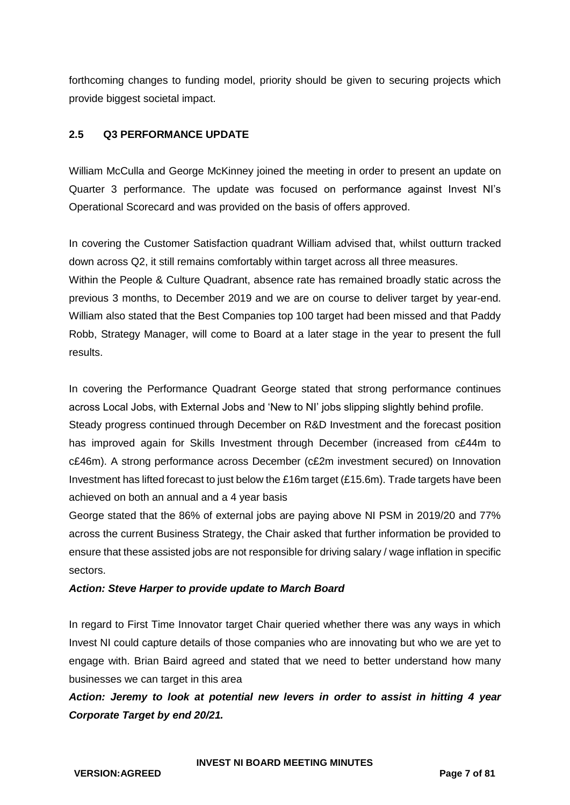forthcoming changes to funding model, priority should be given to securing projects which provide biggest societal impact.

## **2.5 Q3 PERFORMANCE UPDATE**

William McCulla and George McKinney joined the meeting in order to present an update on Quarter 3 performance. The update was focused on performance against Invest NI's Operational Scorecard and was provided on the basis of offers approved.

In covering the Customer Satisfaction quadrant William advised that, whilst outturn tracked down across Q2, it still remains comfortably within target across all three measures.

Within the People & Culture Quadrant, absence rate has remained broadly static across the previous 3 months, to December 2019 and we are on course to deliver target by year-end. William also stated that the Best Companies top 100 target had been missed and that Paddy Robb, Strategy Manager, will come to Board at a later stage in the year to present the full results.

In covering the Performance Quadrant George stated that strong performance continues across Local Jobs, with External Jobs and 'New to NI' jobs slipping slightly behind profile. Steady progress continued through December on R&D Investment and the forecast position has improved again for Skills Investment through December (increased from c£44m to c£46m). A strong performance across December (c£2m investment secured) on Innovation Investment has lifted forecast to just below the £16m target (£15.6m). Trade targets have been achieved on both an annual and a 4 year basis

George stated that the 86% of external jobs are paying above NI PSM in 2019/20 and 77% across the current Business Strategy, the Chair asked that further information be provided to ensure that these assisted jobs are not responsible for driving salary / wage inflation in specific sectors.

### *Action: Steve Harper to provide update to March Board*

In regard to First Time Innovator target Chair queried whether there was any ways in which Invest NI could capture details of those companies who are innovating but who we are yet to engage with. Brian Baird agreed and stated that we need to better understand how many businesses we can target in this area

*Action: Jeremy to look at potential new levers in order to assist in hitting 4 year Corporate Target by end 20/21.*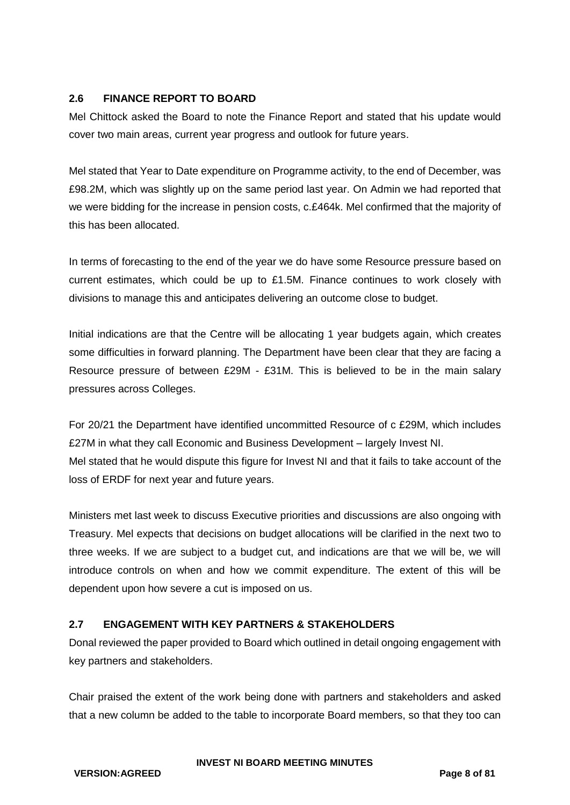## **2.6 FINANCE REPORT TO BOARD**

Mel Chittock asked the Board to note the Finance Report and stated that his update would cover two main areas, current year progress and outlook for future years.

Mel stated that Year to Date expenditure on Programme activity, to the end of December, was £98.2M, which was slightly up on the same period last year. On Admin we had reported that we were bidding for the increase in pension costs, c.£464k. Mel confirmed that the majority of this has been allocated.

In terms of forecasting to the end of the year we do have some Resource pressure based on current estimates, which could be up to  $£1.5M$ . Finance continues to work closely with divisions to manage this and anticipates delivering an outcome close to budget.

Initial indications are that the Centre will be allocating 1 year budgets again, which creates some difficulties in forward planning. The Department have been clear that they are facing a Resource pressure of between £29M - £31M. This is believed to be in the main salary pressures across Colleges.

For 20/21 the Department have identified uncommitted Resource of c £29M, which includes £27M in what they call Economic and Business Development – largely Invest NI. Mel stated that he would dispute this figure for Invest NI and that it fails to take account of the loss of ERDF for next year and future years.

Ministers met last week to discuss Executive priorities and discussions are also ongoing with Treasury. Mel expects that decisions on budget allocations will be clarified in the next two to three weeks. If we are subject to a budget cut, and indications are that we will be, we will introduce controls on when and how we commit expenditure. The extent of this will be dependent upon how severe a cut is imposed on us.

## **2.7 ENGAGEMENT WITH KEY PARTNERS & STAKEHOLDERS**

Donal reviewed the paper provided to Board which outlined in detail ongoing engagement with key partners and stakeholders.

Chair praised the extent of the work being done with partners and stakeholders and asked that a new column be added to the table to incorporate Board members, so that they too can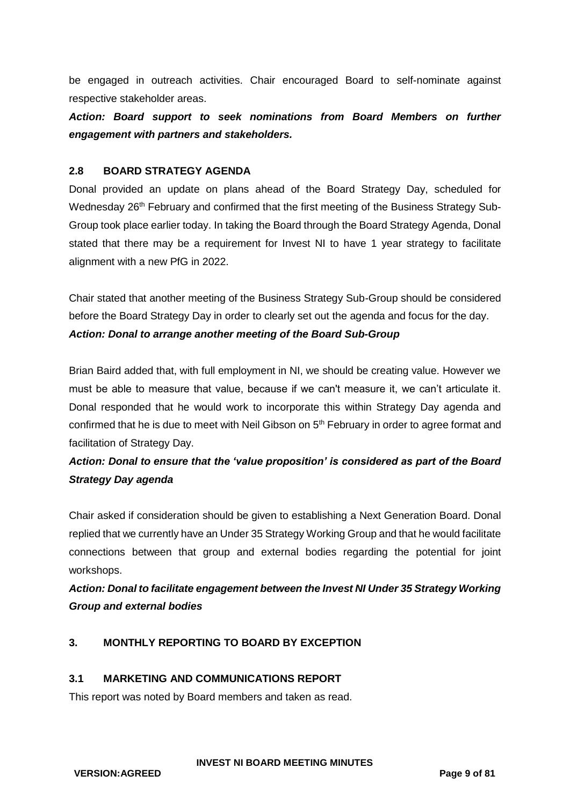be engaged in outreach activities. Chair encouraged Board to self-nominate against respective stakeholder areas.

*Action: Board support to seek nominations from Board Members on further engagement with partners and stakeholders.*

## **2.8 BOARD STRATEGY AGENDA**

Donal provided an update on plans ahead of the Board Strategy Day, scheduled for Wednesday 26<sup>th</sup> February and confirmed that the first meeting of the Business Strategy Sub-Group took place earlier today. In taking the Board through the Board Strategy Agenda, Donal stated that there may be a requirement for Invest NI to have 1 year strategy to facilitate alignment with a new PfG in 2022.

Chair stated that another meeting of the Business Strategy Sub-Group should be considered before the Board Strategy Day in order to clearly set out the agenda and focus for the day. *Action: Donal to arrange another meeting of the Board Sub-Group*

Brian Baird added that, with full employment in NI, we should be creating value. However we must be able to measure that value, because if we can't measure it, we can't articulate it. Donal responded that he would work to incorporate this within Strategy Day agenda and confirmed that he is due to meet with Neil Gibson on 5<sup>th</sup> February in order to agree format and facilitation of Strategy Day.

# *Action: Donal to ensure that the 'value proposition' is considered as part of the Board Strategy Day agenda*

Chair asked if consideration should be given to establishing a Next Generation Board. Donal replied that we currently have an Under 35 Strategy Working Group and that he would facilitate connections between that group and external bodies regarding the potential for joint workshops.

# *Action: Donal to facilitate engagement between the Invest NI Under 35 Strategy Working Group and external bodies*

## **3. MONTHLY REPORTING TO BOARD BY EXCEPTION**

### **3.1 MARKETING AND COMMUNICATIONS REPORT**

This report was noted by Board members and taken as read.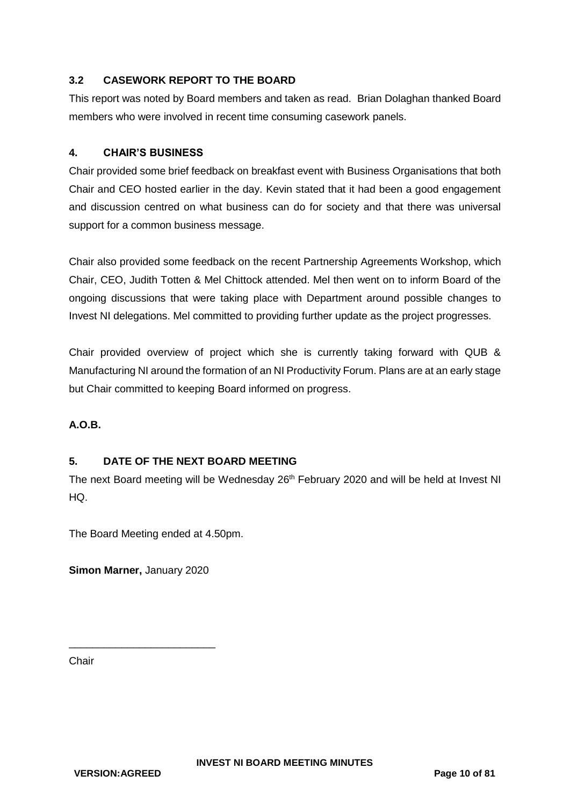## **3.2 CASEWORK REPORT TO THE BOARD**

This report was noted by Board members and taken as read. Brian Dolaghan thanked Board members who were involved in recent time consuming casework panels.

### **4. CHAIR'S BUSINESS**

Chair provided some brief feedback on breakfast event with Business Organisations that both Chair and CEO hosted earlier in the day. Kevin stated that it had been a good engagement and discussion centred on what business can do for society and that there was universal support for a common business message.

Chair also provided some feedback on the recent Partnership Agreements Workshop, which Chair, CEO, Judith Totten & Mel Chittock attended. Mel then went on to inform Board of the ongoing discussions that were taking place with Department around possible changes to Invest NI delegations. Mel committed to providing further update as the project progresses.

Chair provided overview of project which she is currently taking forward with QUB & Manufacturing NI around the formation of an NI Productivity Forum. Plans are at an early stage but Chair committed to keeping Board informed on progress.

## **A.O.B.**

## **5. DATE OF THE NEXT BOARD MEETING**

The next Board meeting will be Wednesday 26<sup>th</sup> February 2020 and will be held at Invest NI HQ.

The Board Meeting ended at 4.50pm.

**Simon Marner,** January 2020

\_\_\_\_\_\_\_\_\_\_\_\_\_\_\_\_\_\_\_\_\_\_\_\_\_

**Chair**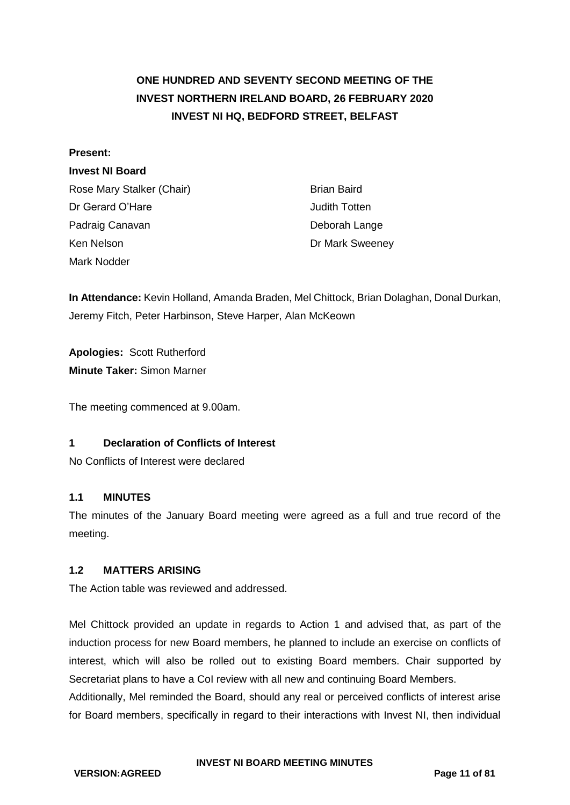# <span id="page-10-0"></span>**ONE HUNDRED AND SEVENTY SECOND MEETING OF THE INVEST NORTHERN IRELAND BOARD, 26 FEBRUARY 2020 INVEST NI HQ, BEDFORD STREET, BELFAST**

### **Present:**

### **Invest NI Board**

Rose Mary Stalker (Chair) Brian Baird Dr Gerard O'Hare **Judith Totten** Padraig Canavan **Deborah Lange** Ken Nelson **Dr Mark Sweeney** Mark Nodder

**In Attendance:** Kevin Holland, Amanda Braden, Mel Chittock, Brian Dolaghan, Donal Durkan, Jeremy Fitch, Peter Harbinson, Steve Harper, Alan McKeown

**Apologies:** Scott Rutherford **Minute Taker:** Simon Marner

The meeting commenced at 9.00am.

## **1 Declaration of Conflicts of Interest**

No Conflicts of Interest were declared

### **1.1 MINUTES**

The minutes of the January Board meeting were agreed as a full and true record of the meeting.

### **1.2 MATTERS ARISING**

The Action table was reviewed and addressed.

Mel Chittock provided an update in regards to Action 1 and advised that, as part of the induction process for new Board members, he planned to include an exercise on conflicts of interest, which will also be rolled out to existing Board members. Chair supported by Secretariat plans to have a CoI review with all new and continuing Board Members.

Additionally, Mel reminded the Board, should any real or perceived conflicts of interest arise for Board members, specifically in regard to their interactions with Invest NI, then individual

**VERSION:AGREED Page 11 of 81**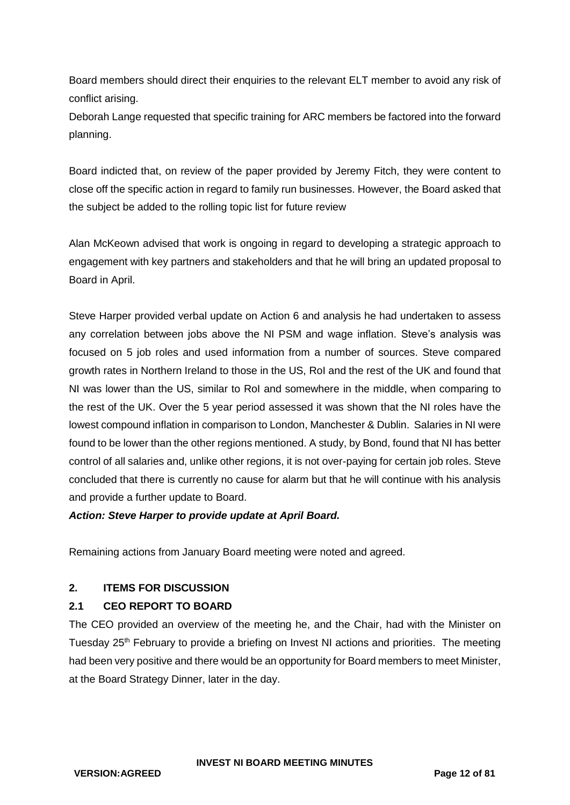Board members should direct their enquiries to the relevant ELT member to avoid any risk of conflict arising.

Deborah Lange requested that specific training for ARC members be factored into the forward planning.

Board indicted that, on review of the paper provided by Jeremy Fitch, they were content to close off the specific action in regard to family run businesses. However, the Board asked that the subject be added to the rolling topic list for future review

Alan McKeown advised that work is ongoing in regard to developing a strategic approach to engagement with key partners and stakeholders and that he will bring an updated proposal to Board in April.

Steve Harper provided verbal update on Action 6 and analysis he had undertaken to assess any correlation between jobs above the NI PSM and wage inflation. Steve's analysis was focused on 5 job roles and used information from a number of sources. Steve compared growth rates in Northern Ireland to those in the US, RoI and the rest of the UK and found that NI was lower than the US, similar to RoI and somewhere in the middle, when comparing to the rest of the UK. Over the 5 year period assessed it was shown that the NI roles have the lowest compound inflation in comparison to London, Manchester & Dublin. Salaries in NI were found to be lower than the other regions mentioned. A study, by Bond, found that NI has better control of all salaries and, unlike other regions, it is not over-paying for certain job roles. Steve concluded that there is currently no cause for alarm but that he will continue with his analysis and provide a further update to Board.

## *Action: Steve Harper to provide update at April Board.*

Remaining actions from January Board meeting were noted and agreed.

## **2. ITEMS FOR DISCUSSION**

## **2.1 CEO REPORT TO BOARD**

The CEO provided an overview of the meeting he, and the Chair, had with the Minister on Tuesday 25<sup>th</sup> February to provide a briefing on Invest NI actions and priorities. The meeting had been very positive and there would be an opportunity for Board members to meet Minister, at the Board Strategy Dinner, later in the day.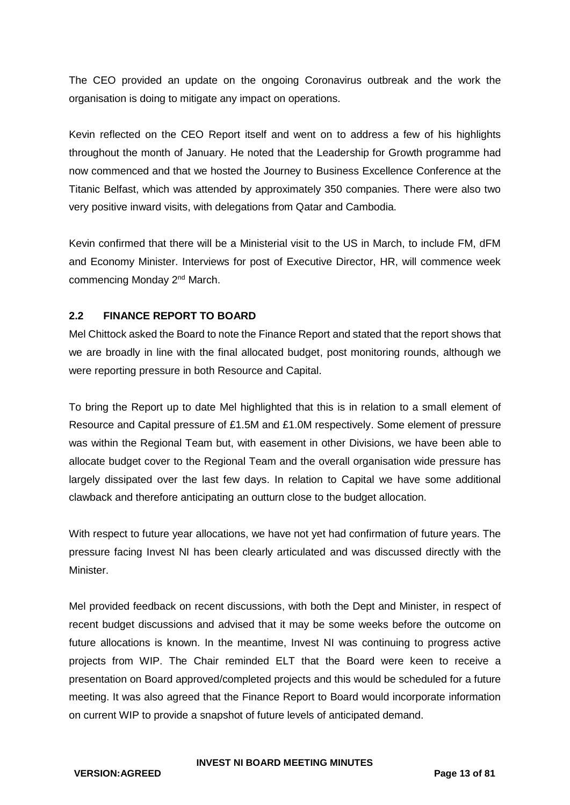The CEO provided an update on the ongoing Coronavirus outbreak and the work the organisation is doing to mitigate any impact on operations.

Kevin reflected on the CEO Report itself and went on to address a few of his highlights throughout the month of January. He noted that the Leadership for Growth programme had now commenced and that we hosted the Journey to Business Excellence Conference at the Titanic Belfast, which was attended by approximately 350 companies. There were also two very positive inward visits, with delegations from Qatar and Cambodia.

Kevin confirmed that there will be a Ministerial visit to the US in March, to include FM, dFM and Economy Minister. Interviews for post of Executive Director, HR, will commence week commencing Monday 2nd March.

## **2.2 FINANCE REPORT TO BOARD**

Mel Chittock asked the Board to note the Finance Report and stated that the report shows that we are broadly in line with the final allocated budget, post monitoring rounds, although we were reporting pressure in both Resource and Capital.

To bring the Report up to date Mel highlighted that this is in relation to a small element of Resource and Capital pressure of £1.5M and £1.0M respectively. Some element of pressure was within the Regional Team but, with easement in other Divisions, we have been able to allocate budget cover to the Regional Team and the overall organisation wide pressure has largely dissipated over the last few days. In relation to Capital we have some additional clawback and therefore anticipating an outturn close to the budget allocation.

With respect to future year allocations, we have not yet had confirmation of future years. The pressure facing Invest NI has been clearly articulated and was discussed directly with the Minister.

Mel provided feedback on recent discussions, with both the Dept and Minister, in respect of recent budget discussions and advised that it may be some weeks before the outcome on future allocations is known. In the meantime, Invest NI was continuing to progress active projects from WIP. The Chair reminded ELT that the Board were keen to receive a presentation on Board approved/completed projects and this would be scheduled for a future meeting. It was also agreed that the Finance Report to Board would incorporate information on current WIP to provide a snapshot of future levels of anticipated demand.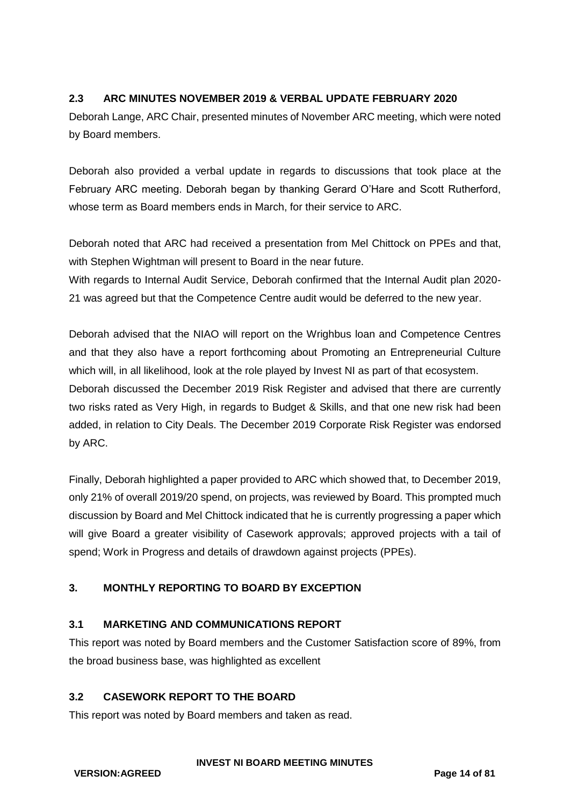## **2.3 ARC MINUTES NOVEMBER 2019 & VERBAL UPDATE FEBRUARY 2020**

Deborah Lange, ARC Chair, presented minutes of November ARC meeting, which were noted by Board members.

Deborah also provided a verbal update in regards to discussions that took place at the February ARC meeting. Deborah began by thanking Gerard O'Hare and Scott Rutherford, whose term as Board members ends in March, for their service to ARC.

Deborah noted that ARC had received a presentation from Mel Chittock on PPEs and that, with Stephen Wightman will present to Board in the near future.

With regards to Internal Audit Service, Deborah confirmed that the Internal Audit plan 2020- 21 was agreed but that the Competence Centre audit would be deferred to the new year.

Deborah advised that the NIAO will report on the Wrighbus loan and Competence Centres and that they also have a report forthcoming about Promoting an Entrepreneurial Culture which will, in all likelihood, look at the role played by Invest NI as part of that ecosystem. Deborah discussed the December 2019 Risk Register and advised that there are currently two risks rated as Very High, in regards to Budget & Skills, and that one new risk had been added, in relation to City Deals. The December 2019 Corporate Risk Register was endorsed by ARC.

Finally, Deborah highlighted a paper provided to ARC which showed that, to December 2019, only 21% of overall 2019/20 spend, on projects, was reviewed by Board. This prompted much discussion by Board and Mel Chittock indicated that he is currently progressing a paper which will give Board a greater visibility of Casework approvals; approved projects with a tail of spend; Work in Progress and details of drawdown against projects (PPEs).

## **3. MONTHLY REPORTING TO BOARD BY EXCEPTION**

### **3.1 MARKETING AND COMMUNICATIONS REPORT**

This report was noted by Board members and the Customer Satisfaction score of 89%, from the broad business base, was highlighted as excellent

### **3.2 CASEWORK REPORT TO THE BOARD**

This report was noted by Board members and taken as read.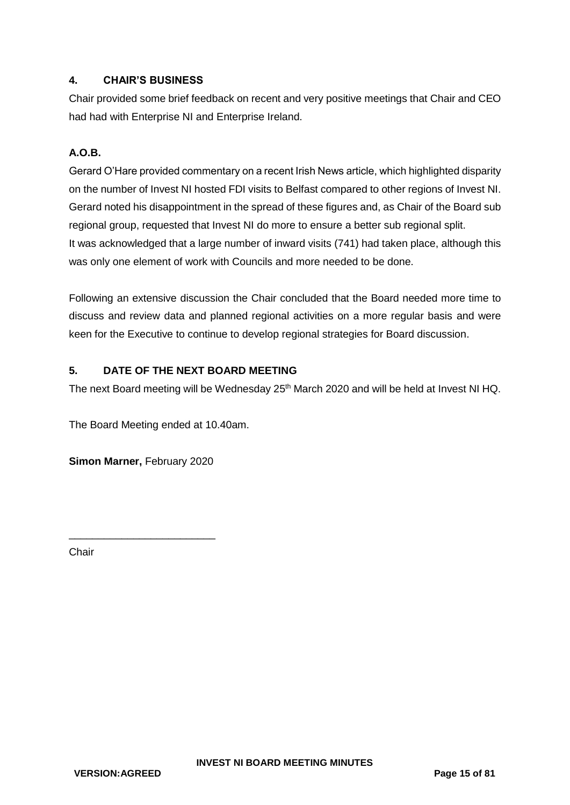## <span id="page-14-0"></span>**4. CHAIR'S BUSINESS**

Chair provided some brief feedback on recent and very positive meetings that Chair and CEO had had with Enterprise NI and Enterprise Ireland.

## **A.O.B.**

Gerard O'Hare provided commentary on a recent Irish News article, which highlighted disparity on the number of Invest NI hosted FDI visits to Belfast compared to other regions of Invest NI. Gerard noted his disappointment in the spread of these figures and, as Chair of the Board sub regional group, requested that Invest NI do more to ensure a better sub regional split. It was acknowledged that a large number of inward visits (741) had taken place, although this was only one element of work with Councils and more needed to be done.

Following an extensive discussion the Chair concluded that the Board needed more time to discuss and review data and planned regional activities on a more regular basis and were keen for the Executive to continue to develop regional strategies for Board discussion.

## **5. DATE OF THE NEXT BOARD MEETING**

The next Board meeting will be Wednesday 25<sup>th</sup> March 2020 and will be held at Invest NI HQ.

The Board Meeting ended at 10.40am.

**Simon Marner,** February 2020

\_\_\_\_\_\_\_\_\_\_\_\_\_\_\_\_\_\_\_\_\_\_\_\_\_

Chair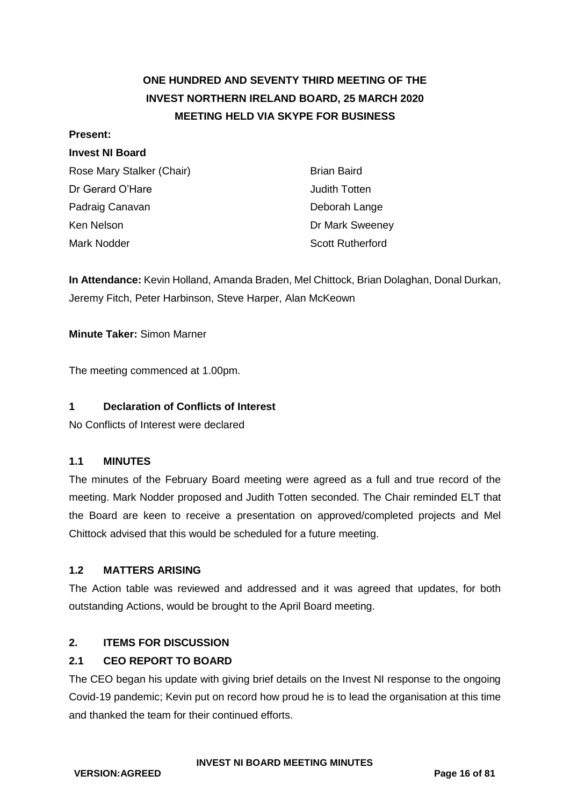# **ONE HUNDRED AND SEVENTY THIRD MEETING OF THE INVEST NORTHERN IRELAND BOARD, 25 MARCH 2020 MEETING HELD VIA SKYPE FOR BUSINESS**

### **Present:**

## **Invest NI Board**

| Rose Mary Stalker (Chair) | <b>Brian Baird</b>      |
|---------------------------|-------------------------|
| Dr Gerard O'Hare          | Judith Totten           |
| Padraig Canavan           | Deborah Lange           |
| Ken Nelson                | Dr Mark Sweeney         |
| Mark Nodder               | <b>Scott Rutherford</b> |

**In Attendance:** Kevin Holland, Amanda Braden, Mel Chittock, Brian Dolaghan, Donal Durkan, Jeremy Fitch, Peter Harbinson, Steve Harper, Alan McKeown

**Minute Taker:** Simon Marner

The meeting commenced at 1.00pm.

## **1 Declaration of Conflicts of Interest**

No Conflicts of Interest were declared

## **1.1 MINUTES**

The minutes of the February Board meeting were agreed as a full and true record of the meeting. Mark Nodder proposed and Judith Totten seconded. The Chair reminded ELT that the Board are keen to receive a presentation on approved/completed projects and Mel Chittock advised that this would be scheduled for a future meeting.

## **1.2 MATTERS ARISING**

The Action table was reviewed and addressed and it was agreed that updates, for both outstanding Actions, would be brought to the April Board meeting.

## **2. ITEMS FOR DISCUSSION**

## **2.1 CEO REPORT TO BOARD**

The CEO began his update with giving brief details on the Invest NI response to the ongoing Covid-19 pandemic; Kevin put on record how proud he is to lead the organisation at this time and thanked the team for their continued efforts.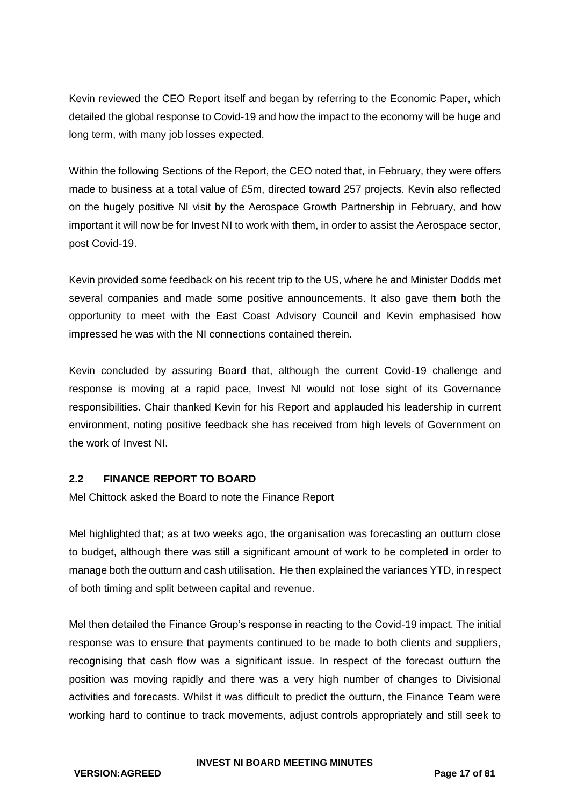Kevin reviewed the CEO Report itself and began by referring to the Economic Paper, which detailed the global response to Covid-19 and how the impact to the economy will be huge and long term, with many job losses expected.

Within the following Sections of the Report, the CEO noted that, in February, they were offers made to business at a total value of £5m, directed toward 257 projects. Kevin also reflected on the hugely positive NI visit by the Aerospace Growth Partnership in February, and how important it will now be for Invest NI to work with them, in order to assist the Aerospace sector, post Covid-19.

Kevin provided some feedback on his recent trip to the US, where he and Minister Dodds met several companies and made some positive announcements. It also gave them both the opportunity to meet with the East Coast Advisory Council and Kevin emphasised how impressed he was with the NI connections contained therein.

Kevin concluded by assuring Board that, although the current Covid-19 challenge and response is moving at a rapid pace, Invest NI would not lose sight of its Governance responsibilities. Chair thanked Kevin for his Report and applauded his leadership in current environment, noting positive feedback she has received from high levels of Government on the work of Invest NI.

### **2.2 FINANCE REPORT TO BOARD**

Mel Chittock asked the Board to note the Finance Report

Mel highlighted that; as at two weeks ago, the organisation was forecasting an outturn close to budget, although there was still a significant amount of work to be completed in order to manage both the outturn and cash utilisation. He then explained the variances YTD, in respect of both timing and split between capital and revenue.

Mel then detailed the Finance Group's response in reacting to the Covid-19 impact. The initial response was to ensure that payments continued to be made to both clients and suppliers, recognising that cash flow was a significant issue. In respect of the forecast outturn the position was moving rapidly and there was a very high number of changes to Divisional activities and forecasts. Whilst it was difficult to predict the outturn, the Finance Team were working hard to continue to track movements, adjust controls appropriately and still seek to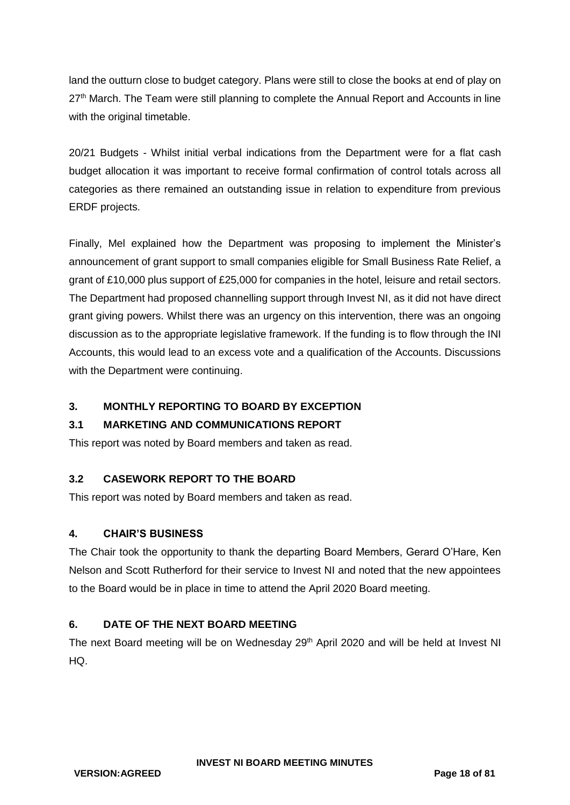land the outturn close to budget category. Plans were still to close the books at end of play on 27<sup>th</sup> March. The Team were still planning to complete the Annual Report and Accounts in line with the original timetable.

20/21 Budgets - Whilst initial verbal indications from the Department were for a flat cash budget allocation it was important to receive formal confirmation of control totals across all categories as there remained an outstanding issue in relation to expenditure from previous ERDF projects.

Finally, Mel explained how the Department was proposing to implement the Minister's announcement of grant support to small companies eligible for Small Business Rate Relief, a grant of £10,000 plus support of £25,000 for companies in the hotel, leisure and retail sectors. The Department had proposed channelling support through Invest NI, as it did not have direct grant giving powers. Whilst there was an urgency on this intervention, there was an ongoing discussion as to the appropriate legislative framework. If the funding is to flow through the INI Accounts, this would lead to an excess vote and a qualification of the Accounts. Discussions with the Department were continuing.

## **3. MONTHLY REPORTING TO BOARD BY EXCEPTION**

## **3.1 MARKETING AND COMMUNICATIONS REPORT**

This report was noted by Board members and taken as read.

## **3.2 CASEWORK REPORT TO THE BOARD**

This report was noted by Board members and taken as read.

## **4. CHAIR'S BUSINESS**

The Chair took the opportunity to thank the departing Board Members, Gerard O'Hare, Ken Nelson and Scott Rutherford for their service to Invest NI and noted that the new appointees to the Board would be in place in time to attend the April 2020 Board meeting.

## **6. DATE OF THE NEXT BOARD MEETING**

The next Board meeting will be on Wednesday 29<sup>th</sup> April 2020 and will be held at Invest NI HQ.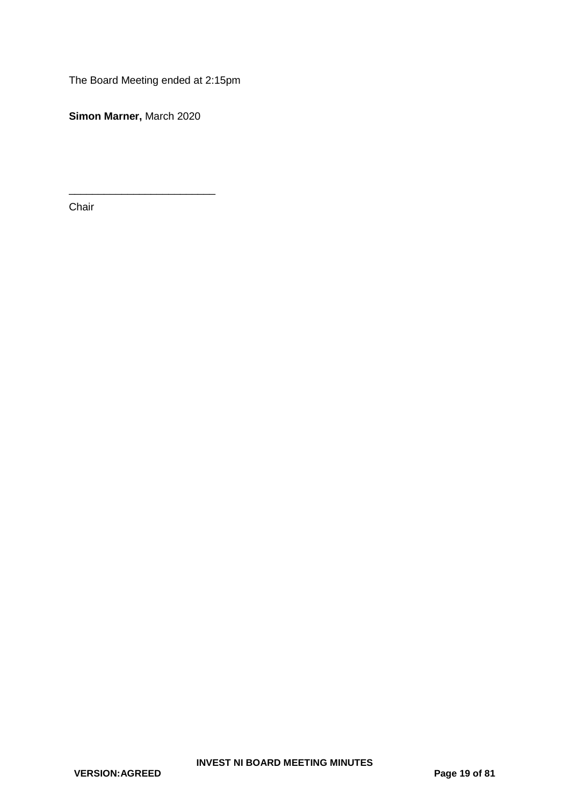The Board Meeting ended at 2:15pm

**Simon Marner,** March 2020

\_\_\_\_\_\_\_\_\_\_\_\_\_\_\_\_\_\_\_\_\_\_\_\_\_

Chair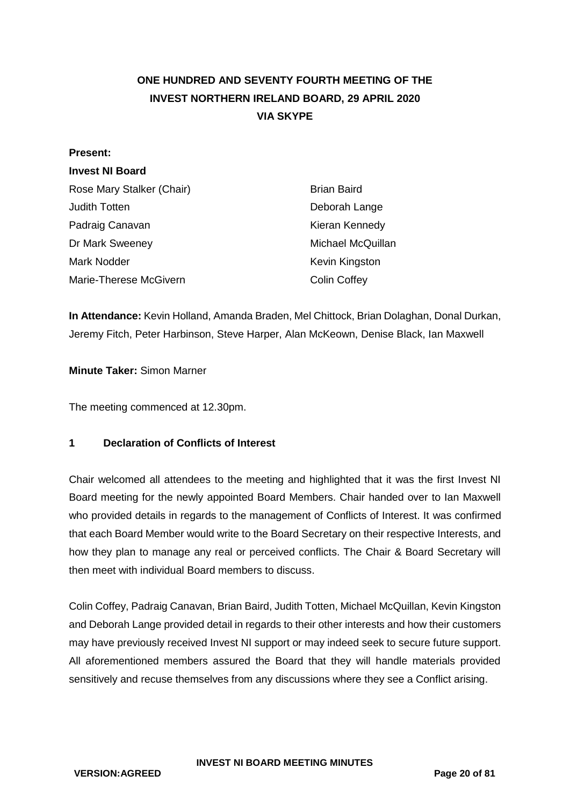# <span id="page-19-0"></span>**ONE HUNDRED AND SEVENTY FOURTH MEETING OF THE INVEST NORTHERN IRELAND BOARD, 29 APRIL 2020 VIA SKYPE**

#### **Present:**

### **Invest NI Board**

| Rose Mary Stalker (Chair) | <b>Brian Baird</b>  |
|---------------------------|---------------------|
| Judith Totten             | Deborah Lange       |
| Padraig Canavan           | Kieran Kennedy      |
| Dr Mark Sweeney           | Michael McQuillan   |
| Mark Nodder               | Kevin Kingston      |
| Marie-Therese McGivern    | <b>Colin Coffey</b> |

**In Attendance:** Kevin Holland, Amanda Braden, Mel Chittock, Brian Dolaghan, Donal Durkan, Jeremy Fitch, Peter Harbinson, Steve Harper, Alan McKeown, Denise Black, Ian Maxwell

**Minute Taker:** Simon Marner

The meeting commenced at 12.30pm.

### **1 Declaration of Conflicts of Interest**

Chair welcomed all attendees to the meeting and highlighted that it was the first Invest NI Board meeting for the newly appointed Board Members. Chair handed over to Ian Maxwell who provided details in regards to the management of Conflicts of Interest. It was confirmed that each Board Member would write to the Board Secretary on their respective Interests, and how they plan to manage any real or perceived conflicts. The Chair & Board Secretary will then meet with individual Board members to discuss.

Colin Coffey, Padraig Canavan, Brian Baird, Judith Totten, Michael McQuillan, Kevin Kingston and Deborah Lange provided detail in regards to their other interests and how their customers may have previously received Invest NI support or may indeed seek to secure future support. All aforementioned members assured the Board that they will handle materials provided sensitively and recuse themselves from any discussions where they see a Conflict arising.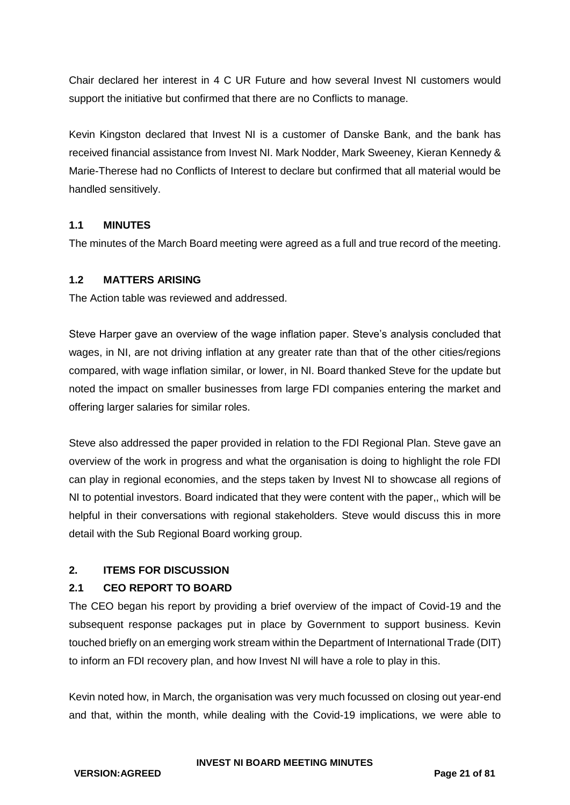Chair declared her interest in 4 C UR Future and how several Invest NI customers would support the initiative but confirmed that there are no Conflicts to manage.

Kevin Kingston declared that Invest NI is a customer of Danske Bank, and the bank has received financial assistance from Invest NI. Mark Nodder, Mark Sweeney, Kieran Kennedy & Marie-Therese had no Conflicts of Interest to declare but confirmed that all material would be handled sensitively.

## **1.1 MINUTES**

The minutes of the March Board meeting were agreed as a full and true record of the meeting.

### **1.2 MATTERS ARISING**

The Action table was reviewed and addressed.

Steve Harper gave an overview of the wage inflation paper. Steve's analysis concluded that wages, in NI, are not driving inflation at any greater rate than that of the other cities/regions compared, with wage inflation similar, or lower, in NI. Board thanked Steve for the update but noted the impact on smaller businesses from large FDI companies entering the market and offering larger salaries for similar roles.

Steve also addressed the paper provided in relation to the FDI Regional Plan. Steve gave an overview of the work in progress and what the organisation is doing to highlight the role FDI can play in regional economies, and the steps taken by Invest NI to showcase all regions of NI to potential investors. Board indicated that they were content with the paper,, which will be helpful in their conversations with regional stakeholders. Steve would discuss this in more detail with the Sub Regional Board working group.

## **2. ITEMS FOR DISCUSSION**

## **2.1 CEO REPORT TO BOARD**

The CEO began his report by providing a brief overview of the impact of Covid-19 and the subsequent response packages put in place by Government to support business. Kevin touched briefly on an emerging work stream within the Department of International Trade (DIT) to inform an FDI recovery plan, and how Invest NI will have a role to play in this.

Kevin noted how, in March, the organisation was very much focussed on closing out year-end and that, within the month, while dealing with the Covid-19 implications, we were able to

**VERSION:AGREED Page 21 of 81**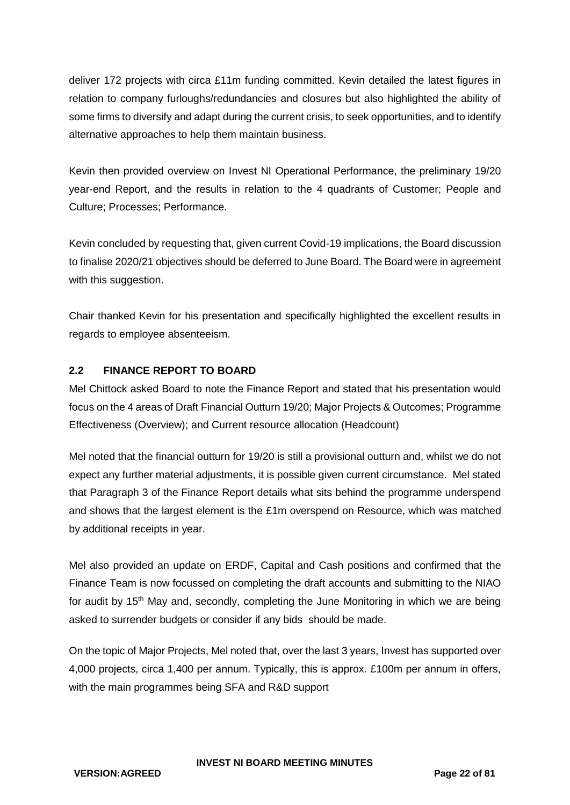deliver 172 projects with circa £11m funding committed. Kevin detailed the latest figures in relation to company furloughs/redundancies and closures but also highlighted the ability of some firms to diversify and adapt during the current crisis, to seek opportunities, and to identify alternative approaches to help them maintain business.

Kevin then provided overview on Invest NI Operational Performance, the preliminary 19/20 year-end Report, and the results in relation to the 4 quadrants of Customer; People and Culture; Processes; Performance.

Kevin concluded by requesting that, given current Covid-19 implications, the Board discussion to finalise 2020/21 objectives should be deferred to June Board. The Board were in agreement with this suggestion.

Chair thanked Kevin for his presentation and specifically highlighted the excellent results in regards to employee absenteeism.

## **2.2 FINANCE REPORT TO BOARD**

Mel Chittock asked Board to note the Finance Report and stated that his presentation would focus on the 4 areas of Draft Financial Outturn 19/20; Major Projects & Outcomes; Programme Effectiveness (Overview); and Current resource allocation (Headcount)

Mel noted that the financial outturn for 19/20 is still a provisional outturn and, whilst we do not expect any further material adjustments, it is possible given current circumstance. Mel stated that Paragraph 3 of the Finance Report details what sits behind the programme underspend and shows that the largest element is the £1m overspend on Resource, which was matched by additional receipts in year.

Mel also provided an update on ERDF, Capital and Cash positions and confirmed that the Finance Team is now focussed on completing the draft accounts and submitting to the NIAO for audit by 15<sup>th</sup> May and, secondly, completing the June Monitoring in which we are being asked to surrender budgets or consider if any bids should be made.

On the topic of Major Projects, Mel noted that, over the last 3 years, Invest has supported over 4,000 projects, circa 1,400 per annum. Typically, this is approx. £100m per annum in offers, with the main programmes being SFA and R&D support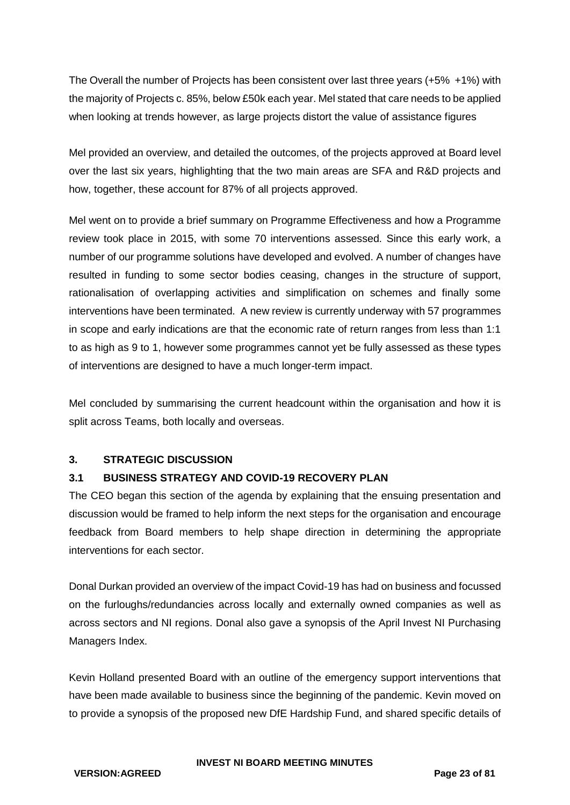The Overall the number of Projects has been consistent over last three years (+5% +1%) with the majority of Projects c. 85%, below £50k each year. Mel stated that care needs to be applied when looking at trends however, as large projects distort the value of assistance figures

Mel provided an overview, and detailed the outcomes, of the projects approved at Board level over the last six years, highlighting that the two main areas are SFA and R&D projects and how, together, these account for 87% of all projects approved.

Mel went on to provide a brief summary on Programme Effectiveness and how a Programme review took place in 2015, with some 70 interventions assessed. Since this early work, a number of our programme solutions have developed and evolved. A number of changes have resulted in funding to some sector bodies ceasing, changes in the structure of support, rationalisation of overlapping activities and simplification on schemes and finally some interventions have been terminated. A new review is currently underway with 57 programmes in scope and early indications are that the economic rate of return ranges from less than 1:1 to as high as 9 to 1, however some programmes cannot yet be fully assessed as these types of interventions are designed to have a much longer-term impact.

Mel concluded by summarising the current headcount within the organisation and how it is split across Teams, both locally and overseas.

## **3. STRATEGIC DISCUSSION**

## **3.1 BUSINESS STRATEGY AND COVID-19 RECOVERY PLAN**

The CEO began this section of the agenda by explaining that the ensuing presentation and discussion would be framed to help inform the next steps for the organisation and encourage feedback from Board members to help shape direction in determining the appropriate interventions for each sector.

Donal Durkan provided an overview of the impact Covid-19 has had on business and focussed on the furloughs/redundancies across locally and externally owned companies as well as across sectors and NI regions. Donal also gave a synopsis of the April Invest NI Purchasing Managers Index.

Kevin Holland presented Board with an outline of the emergency support interventions that have been made available to business since the beginning of the pandemic. Kevin moved on to provide a synopsis of the proposed new DfE Hardship Fund, and shared specific details of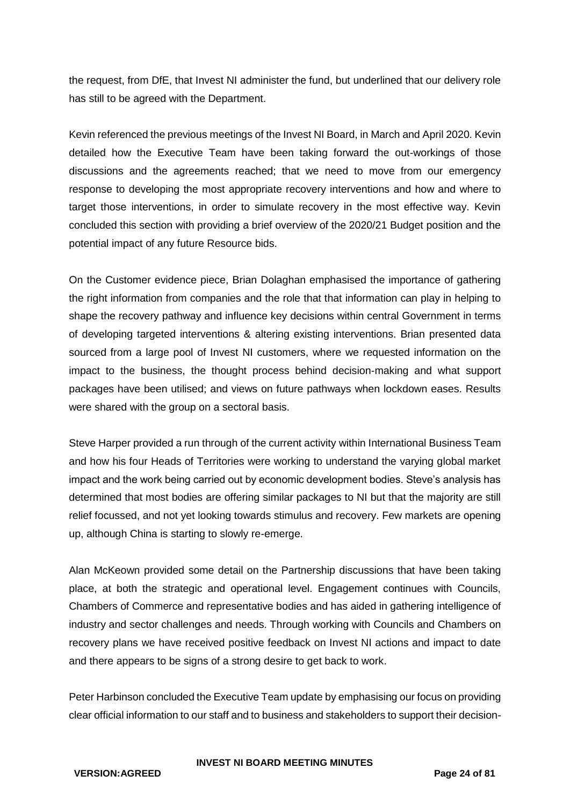the request, from DfE, that Invest NI administer the fund, but underlined that our delivery role has still to be agreed with the Department.

Kevin referenced the previous meetings of the Invest NI Board, in March and April 2020. Kevin detailed how the Executive Team have been taking forward the out-workings of those discussions and the agreements reached; that we need to move from our emergency response to developing the most appropriate recovery interventions and how and where to target those interventions, in order to simulate recovery in the most effective way. Kevin concluded this section with providing a brief overview of the 2020/21 Budget position and the potential impact of any future Resource bids.

On the Customer evidence piece, Brian Dolaghan emphasised the importance of gathering the right information from companies and the role that that information can play in helping to shape the recovery pathway and influence key decisions within central Government in terms of developing targeted interventions & altering existing interventions. Brian presented data sourced from a large pool of Invest NI customers, where we requested information on the impact to the business, the thought process behind decision-making and what support packages have been utilised; and views on future pathways when lockdown eases. Results were shared with the group on a sectoral basis.

Steve Harper provided a run through of the current activity within International Business Team and how his four Heads of Territories were working to understand the varying global market impact and the work being carried out by economic development bodies. Steve's analysis has determined that most bodies are offering similar packages to NI but that the majority are still relief focussed, and not yet looking towards stimulus and recovery. Few markets are opening up, although China is starting to slowly re-emerge.

Alan McKeown provided some detail on the Partnership discussions that have been taking place, at both the strategic and operational level. Engagement continues with Councils, Chambers of Commerce and representative bodies and has aided in gathering intelligence of industry and sector challenges and needs. Through working with Councils and Chambers on recovery plans we have received positive feedback on Invest NI actions and impact to date and there appears to be signs of a strong desire to get back to work.

Peter Harbinson concluded the Executive Team update by emphasising our focus on providing clear official information to our staff and to business and stakeholders to support their decision-

### **INVEST NI BOARD MEETING MINUTES**

**VERSION:AGREED Page 24 of 81**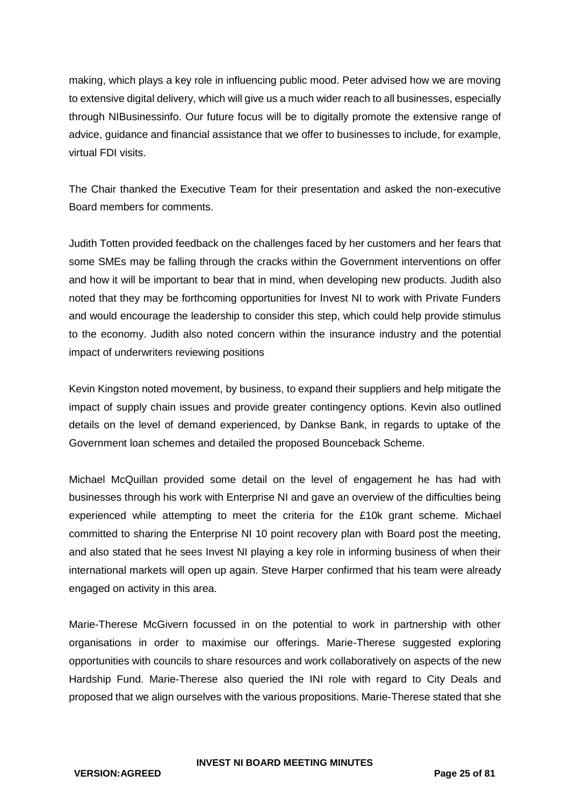making, which plays a key role in influencing public mood. Peter advised how we are moving to extensive digital delivery, which will give us a much wider reach to all businesses, especially through NIBusinessinfo. Our future focus will be to digitally promote the extensive range of advice, guidance and financial assistance that we offer to businesses to include, for example, virtual FDI visits.

The Chair thanked the Executive Team for their presentation and asked the non-executive Board members for comments.

Judith Totten provided feedback on the challenges faced by her customers and her fears that some SMEs may be falling through the cracks within the Government interventions on offer and how it will be important to bear that in mind, when developing new products. Judith also noted that they may be forthcoming opportunities for Invest NI to work with Private Funders and would encourage the leadership to consider this step, which could help provide stimulus to the economy. Judith also noted concern within the insurance industry and the potential impact of underwriters reviewing positions

Kevin Kingston noted movement, by business, to expand their suppliers and help mitigate the impact of supply chain issues and provide greater contingency options. Kevin also outlined details on the level of demand experienced, by Dankse Bank, in regards to uptake of the Government loan schemes and detailed the proposed Bounceback Scheme.

Michael McQuillan provided some detail on the level of engagement he has had with businesses through his work with Enterprise NI and gave an overview of the difficulties being experienced while attempting to meet the criteria for the £10k grant scheme. Michael committed to sharing the Enterprise NI 10 point recovery plan with Board post the meeting, and also stated that he sees Invest NI playing a key role in informing business of when their international markets will open up again. Steve Harper confirmed that his team were already engaged on activity in this area.

Marie-Therese McGivern focussed in on the potential to work in partnership with other organisations in order to maximise our offerings. Marie-Therese suggested exploring opportunities with councils to share resources and work collaboratively on aspects of the new Hardship Fund. Marie-Therese also queried the INI role with regard to City Deals and proposed that we align ourselves with the various propositions. Marie-Therese stated that she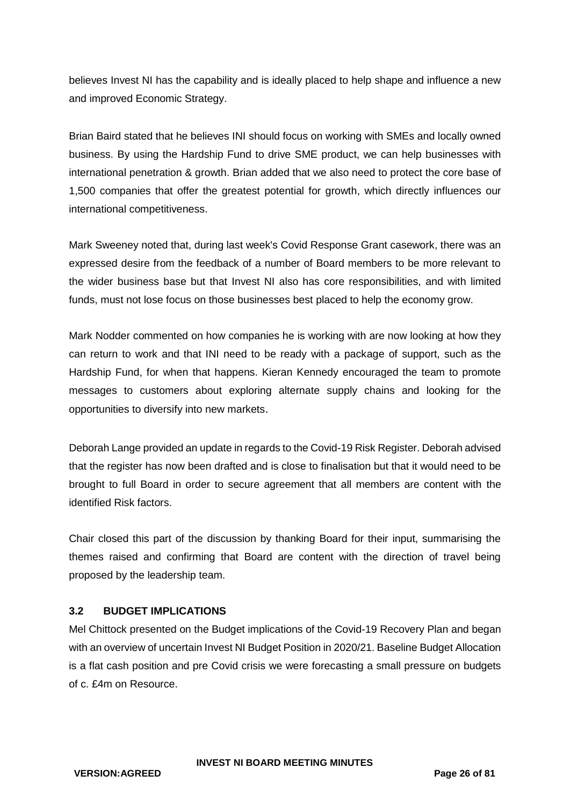believes Invest NI has the capability and is ideally placed to help shape and influence a new and improved Economic Strategy.

Brian Baird stated that he believes INI should focus on working with SMEs and locally owned business. By using the Hardship Fund to drive SME product, we can help businesses with international penetration & growth. Brian added that we also need to protect the core base of 1,500 companies that offer the greatest potential for growth, which directly influences our international competitiveness.

Mark Sweeney noted that, during last week's Covid Response Grant casework, there was an expressed desire from the feedback of a number of Board members to be more relevant to the wider business base but that Invest NI also has core responsibilities, and with limited funds, must not lose focus on those businesses best placed to help the economy grow.

Mark Nodder commented on how companies he is working with are now looking at how they can return to work and that INI need to be ready with a package of support, such as the Hardship Fund, for when that happens. Kieran Kennedy encouraged the team to promote messages to customers about exploring alternate supply chains and looking for the opportunities to diversify into new markets.

Deborah Lange provided an update in regards to the Covid-19 Risk Register. Deborah advised that the register has now been drafted and is close to finalisation but that it would need to be brought to full Board in order to secure agreement that all members are content with the identified Risk factors.

Chair closed this part of the discussion by thanking Board for their input, summarising the themes raised and confirming that Board are content with the direction of travel being proposed by the leadership team.

## **3.2 BUDGET IMPLICATIONS**

Mel Chittock presented on the Budget implications of the Covid-19 Recovery Plan and began with an overview of uncertain Invest NI Budget Position in 2020/21. Baseline Budget Allocation is a flat cash position and pre Covid crisis we were forecasting a small pressure on budgets of c. £4m on Resource.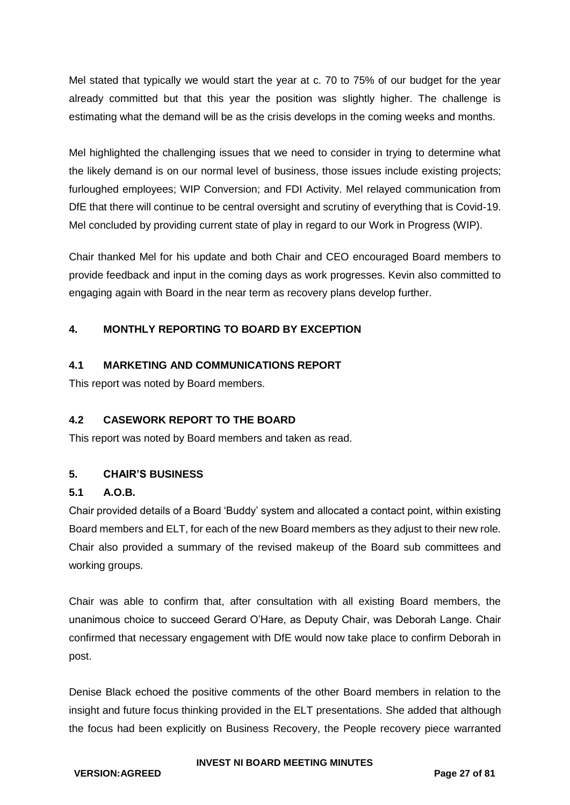Mel stated that typically we would start the year at c. 70 to 75% of our budget for the year already committed but that this year the position was slightly higher. The challenge is estimating what the demand will be as the crisis develops in the coming weeks and months.

Mel highlighted the challenging issues that we need to consider in trying to determine what the likely demand is on our normal level of business, those issues include existing projects; furloughed employees; WIP Conversion; and FDI Activity. Mel relayed communication from DfE that there will continue to be central oversight and scrutiny of everything that is Covid-19. Mel concluded by providing current state of play in regard to our Work in Progress (WIP).

Chair thanked Mel for his update and both Chair and CEO encouraged Board members to provide feedback and input in the coming days as work progresses. Kevin also committed to engaging again with Board in the near term as recovery plans develop further.

## **4. MONTHLY REPORTING TO BOARD BY EXCEPTION**

## **4.1 MARKETING AND COMMUNICATIONS REPORT**

This report was noted by Board members.

## **4.2 CASEWORK REPORT TO THE BOARD**

This report was noted by Board members and taken as read.

### **5. CHAIR'S BUSINESS**

### **5.1 A.O.B.**

Chair provided details of a Board 'Buddy' system and allocated a contact point, within existing Board members and ELT, for each of the new Board members as they adjust to their new role. Chair also provided a summary of the revised makeup of the Board sub committees and working groups.

Chair was able to confirm that, after consultation with all existing Board members, the unanimous choice to succeed Gerard O'Hare, as Deputy Chair, was Deborah Lange. Chair confirmed that necessary engagement with DfE would now take place to confirm Deborah in post.

Denise Black echoed the positive comments of the other Board members in relation to the insight and future focus thinking provided in the ELT presentations. She added that although the focus had been explicitly on Business Recovery, the People recovery piece warranted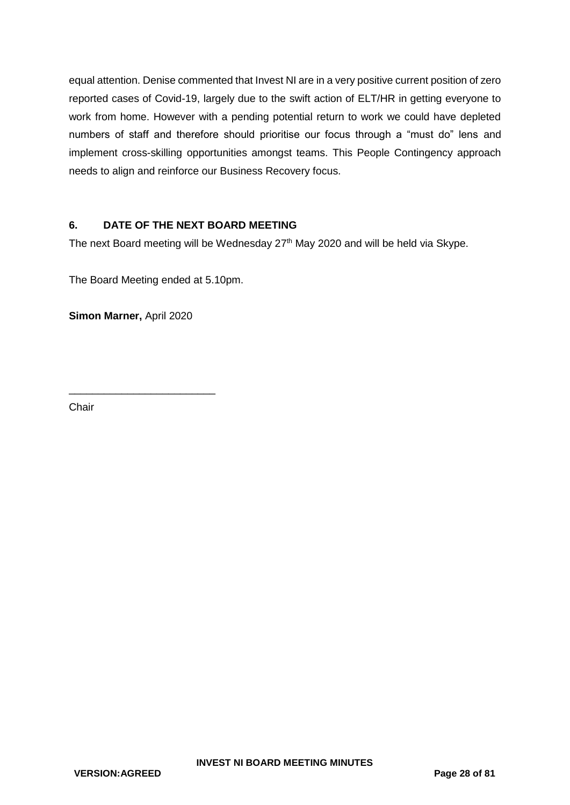equal attention. Denise commented that Invest NI are in a very positive current position of zero reported cases of Covid-19, largely due to the swift action of ELT/HR in getting everyone to work from home. However with a pending potential return to work we could have depleted numbers of staff and therefore should prioritise our focus through a "must do" lens and implement cross-skilling opportunities amongst teams. This People Contingency approach needs to align and reinforce our Business Recovery focus.

## **6. DATE OF THE NEXT BOARD MEETING**

The next Board meeting will be Wednesday 27<sup>th</sup> May 2020 and will be held via Skype.

The Board Meeting ended at 5.10pm.

**Simon Marner,** April 2020

\_\_\_\_\_\_\_\_\_\_\_\_\_\_\_\_\_\_\_\_\_\_\_\_\_

**Chair**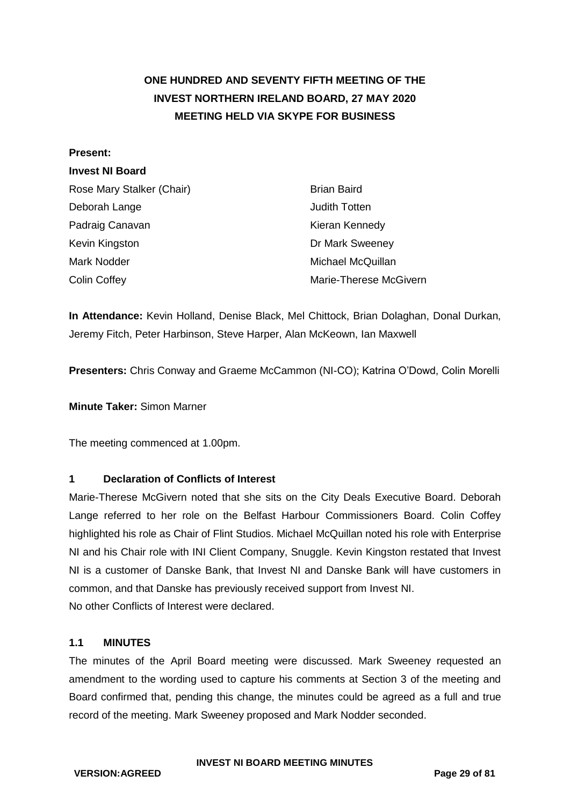# <span id="page-28-0"></span>**ONE HUNDRED AND SEVENTY FIFTH MEETING OF THE INVEST NORTHERN IRELAND BOARD, 27 MAY 2020 MEETING HELD VIA SKYPE FOR BUSINESS**

#### **Present:**

### **Invest NI Board**

| Rose Mary Stalker (Chair) | <b>Brian Baird</b>     |
|---------------------------|------------------------|
| Deborah Lange             | Judith Totten          |
| Padraig Canavan           | Kieran Kennedy         |
| Kevin Kingston            | Dr Mark Sweeney        |
| Mark Nodder               | Michael McQuillan      |
| <b>Colin Coffey</b>       | Marie-Therese McGivern |

**In Attendance:** Kevin Holland, Denise Black, Mel Chittock, Brian Dolaghan, Donal Durkan, Jeremy Fitch, Peter Harbinson, Steve Harper, Alan McKeown, Ian Maxwell

**Presenters:** Chris Conway and Graeme McCammon (NI-CO); Katrina O'Dowd, Colin Morelli

**Minute Taker:** Simon Marner

The meeting commenced at 1.00pm.

### **1 Declaration of Conflicts of Interest**

Marie-Therese McGivern noted that she sits on the City Deals Executive Board. Deborah Lange referred to her role on the Belfast Harbour Commissioners Board. Colin Coffey highlighted his role as Chair of Flint Studios. Michael McQuillan noted his role with Enterprise NI and his Chair role with INI Client Company, Snuggle. Kevin Kingston restated that Invest NI is a customer of Danske Bank, that Invest NI and Danske Bank will have customers in common, and that Danske has previously received support from Invest NI. No other Conflicts of Interest were declared.

### **1.1 MINUTES**

The minutes of the April Board meeting were discussed. Mark Sweeney requested an amendment to the wording used to capture his comments at Section 3 of the meeting and Board confirmed that, pending this change, the minutes could be agreed as a full and true record of the meeting. Mark Sweeney proposed and Mark Nodder seconded.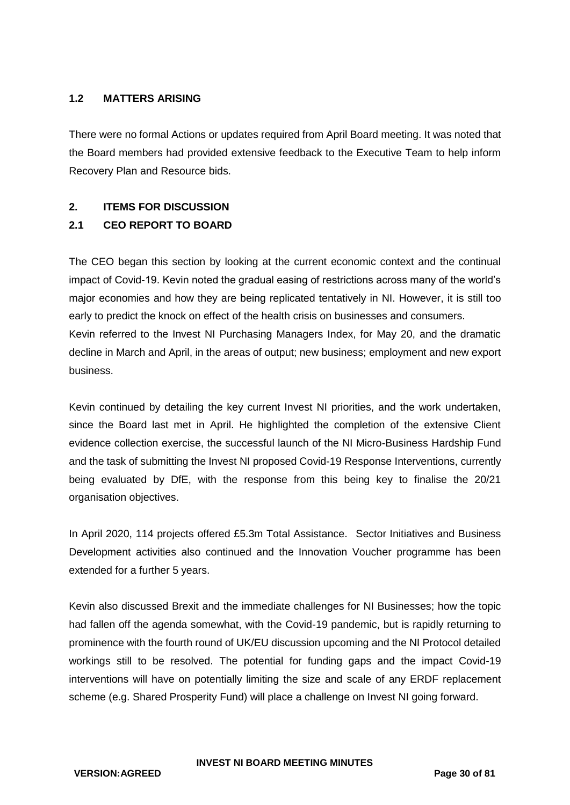### **1.2 MATTERS ARISING**

There were no formal Actions or updates required from April Board meeting. It was noted that the Board members had provided extensive feedback to the Executive Team to help inform Recovery Plan and Resource bids.

### **2. ITEMS FOR DISCUSSION**

## **2.1 CEO REPORT TO BOARD**

The CEO began this section by looking at the current economic context and the continual impact of Covid-19. Kevin noted the gradual easing of restrictions across many of the world's major economies and how they are being replicated tentatively in NI. However, it is still too early to predict the knock on effect of the health crisis on businesses and consumers. Kevin referred to the Invest NI Purchasing Managers Index, for May 20, and the dramatic decline in March and April, in the areas of output; new business; employment and new export business.

Kevin continued by detailing the key current Invest NI priorities, and the work undertaken, since the Board last met in April. He highlighted the completion of the extensive Client evidence collection exercise, the successful launch of the NI Micro-Business Hardship Fund and the task of submitting the Invest NI proposed Covid-19 Response Interventions, currently being evaluated by DfE, with the response from this being key to finalise the 20/21 organisation objectives.

In April 2020, 114 projects offered £5.3m Total Assistance. Sector Initiatives and Business Development activities also continued and the Innovation Voucher programme has been extended for a further 5 years.

Kevin also discussed Brexit and the immediate challenges for NI Businesses; how the topic had fallen off the agenda somewhat, with the Covid-19 pandemic, but is rapidly returning to prominence with the fourth round of UK/EU discussion upcoming and the NI Protocol detailed workings still to be resolved. The potential for funding gaps and the impact Covid-19 interventions will have on potentially limiting the size and scale of any ERDF replacement scheme (e.g. Shared Prosperity Fund) will place a challenge on Invest NI going forward.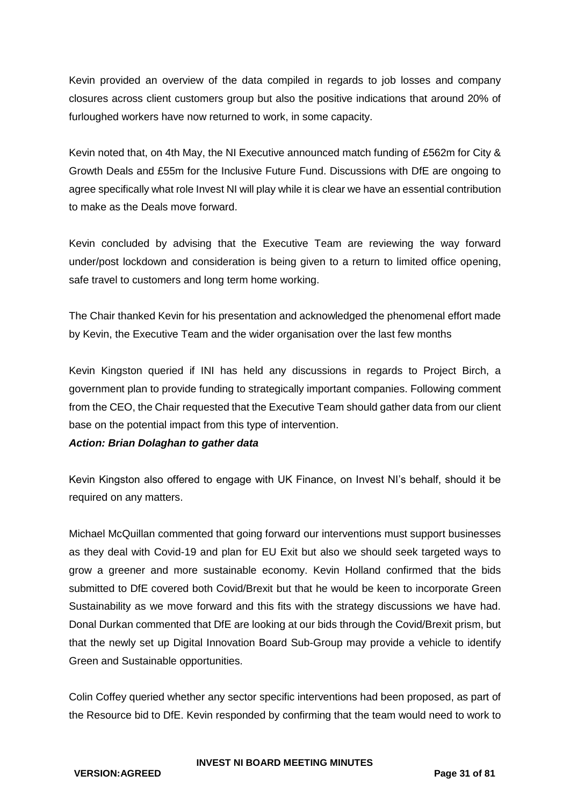Kevin provided an overview of the data compiled in regards to job losses and company closures across client customers group but also the positive indications that around 20% of furloughed workers have now returned to work, in some capacity.

Kevin noted that, on 4th May, the NI Executive announced match funding of £562m for City & Growth Deals and £55m for the Inclusive Future Fund. Discussions with DfE are ongoing to agree specifically what role Invest NI will play while it is clear we have an essential contribution to make as the Deals move forward.

Kevin concluded by advising that the Executive Team are reviewing the way forward under/post lockdown and consideration is being given to a return to limited office opening, safe travel to customers and long term home working.

The Chair thanked Kevin for his presentation and acknowledged the phenomenal effort made by Kevin, the Executive Team and the wider organisation over the last few months

Kevin Kingston queried if INI has held any discussions in regards to Project Birch, a government plan to provide funding to strategically important companies. Following comment from the CEO, the Chair requested that the Executive Team should gather data from our client base on the potential impact from this type of intervention.

### *Action: Brian Dolaghan to gather data*

Kevin Kingston also offered to engage with UK Finance, on Invest NI's behalf, should it be required on any matters.

Michael McQuillan commented that going forward our interventions must support businesses as they deal with Covid-19 and plan for EU Exit but also we should seek targeted ways to grow a greener and more sustainable economy. Kevin Holland confirmed that the bids submitted to DfE covered both Covid/Brexit but that he would be keen to incorporate Green Sustainability as we move forward and this fits with the strategy discussions we have had. Donal Durkan commented that DfE are looking at our bids through the Covid/Brexit prism, but that the newly set up Digital Innovation Board Sub-Group may provide a vehicle to identify Green and Sustainable opportunities.

Colin Coffey queried whether any sector specific interventions had been proposed, as part of the Resource bid to DfE. Kevin responded by confirming that the team would need to work to

**INVEST NI BOARD MEETING MINUTES**

**VERSION:AGREED Page 31 of 81**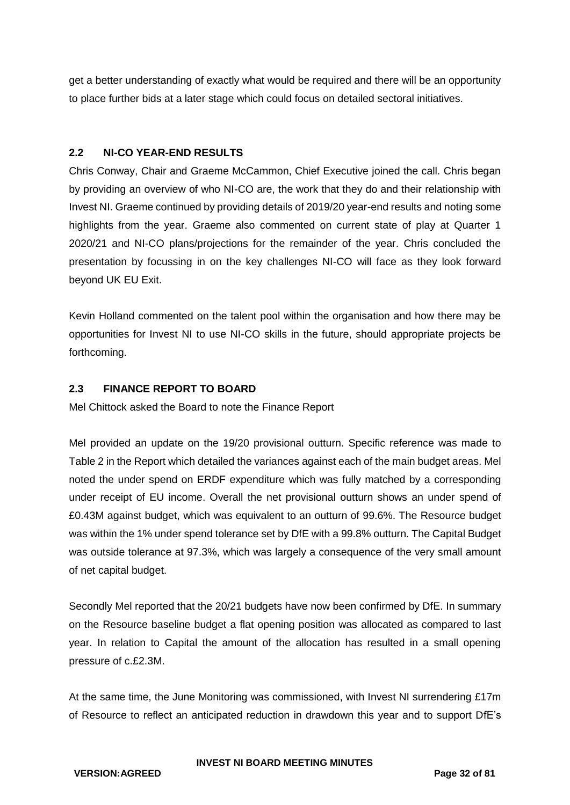get a better understanding of exactly what would be required and there will be an opportunity to place further bids at a later stage which could focus on detailed sectoral initiatives.

## **2.2 NI-CO YEAR-END RESULTS**

Chris Conway, Chair and Graeme McCammon, Chief Executive joined the call. Chris began by providing an overview of who NI-CO are, the work that they do and their relationship with Invest NI. Graeme continued by providing details of 2019/20 year-end results and noting some highlights from the year. Graeme also commented on current state of play at Quarter 1 2020/21 and NI-CO plans/projections for the remainder of the year. Chris concluded the presentation by focussing in on the key challenges NI-CO will face as they look forward beyond UK EU Exit.

Kevin Holland commented on the talent pool within the organisation and how there may be opportunities for Invest NI to use NI-CO skills in the future, should appropriate projects be forthcoming.

## **2.3 FINANCE REPORT TO BOARD**

Mel Chittock asked the Board to note the Finance Report

Mel provided an update on the 19/20 provisional outturn. Specific reference was made to Table 2 in the Report which detailed the variances against each of the main budget areas. Mel noted the under spend on ERDF expenditure which was fully matched by a corresponding under receipt of EU income. Overall the net provisional outturn shows an under spend of £0.43M against budget, which was equivalent to an outturn of 99.6%. The Resource budget was within the 1% under spend tolerance set by DfE with a 99.8% outturn. The Capital Budget was outside tolerance at 97.3%, which was largely a consequence of the very small amount of net capital budget.

Secondly Mel reported that the 20/21 budgets have now been confirmed by DfE. In summary on the Resource baseline budget a flat opening position was allocated as compared to last year. In relation to Capital the amount of the allocation has resulted in a small opening pressure of c.£2.3M.

At the same time, the June Monitoring was commissioned, with Invest NI surrendering £17m of Resource to reflect an anticipated reduction in drawdown this year and to support DfE's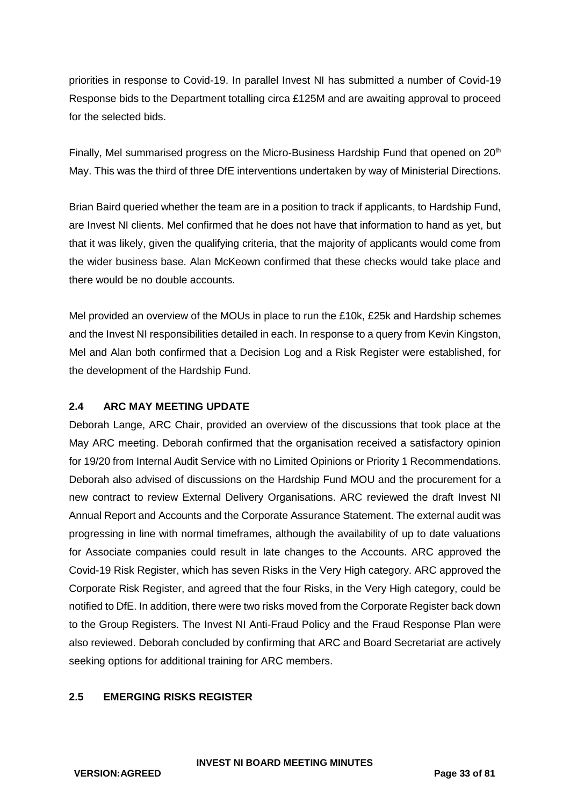priorities in response to Covid-19. In parallel Invest NI has submitted a number of Covid-19 Response bids to the Department totalling circa £125M and are awaiting approval to proceed for the selected bids.

Finally, Mel summarised progress on the Micro-Business Hardship Fund that opened on 20<sup>th</sup> May. This was the third of three DfE interventions undertaken by way of Ministerial Directions.

Brian Baird queried whether the team are in a position to track if applicants, to Hardship Fund, are Invest NI clients. Mel confirmed that he does not have that information to hand as yet, but that it was likely, given the qualifying criteria, that the majority of applicants would come from the wider business base. Alan McKeown confirmed that these checks would take place and there would be no double accounts.

Mel provided an overview of the MOUs in place to run the £10k, £25k and Hardship schemes and the Invest NI responsibilities detailed in each. In response to a query from Kevin Kingston, Mel and Alan both confirmed that a Decision Log and a Risk Register were established, for the development of the Hardship Fund.

## **2.4 ARC MAY MEETING UPDATE**

Deborah Lange, ARC Chair, provided an overview of the discussions that took place at the May ARC meeting. Deborah confirmed that the organisation received a satisfactory opinion for 19/20 from Internal Audit Service with no Limited Opinions or Priority 1 Recommendations. Deborah also advised of discussions on the Hardship Fund MOU and the procurement for a new contract to review External Delivery Organisations. ARC reviewed the draft Invest NI Annual Report and Accounts and the Corporate Assurance Statement. The external audit was progressing in line with normal timeframes, although the availability of up to date valuations for Associate companies could result in late changes to the Accounts. ARC approved the Covid-19 Risk Register, which has seven Risks in the Very High category. ARC approved the Corporate Risk Register, and agreed that the four Risks, in the Very High category, could be notified to DfE. In addition, there were two risks moved from the Corporate Register back down to the Group Registers. The Invest NI Anti-Fraud Policy and the Fraud Response Plan were also reviewed. Deborah concluded by confirming that ARC and Board Secretariat are actively seeking options for additional training for ARC members.

### **2.5 EMERGING RISKS REGISTER**

**VERSION:AGREED Page 33 of 81**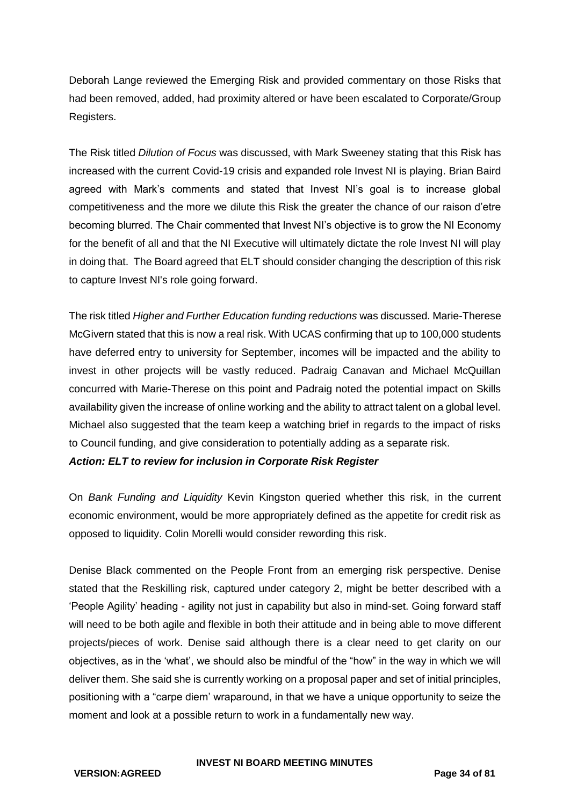Deborah Lange reviewed the Emerging Risk and provided commentary on those Risks that had been removed, added, had proximity altered or have been escalated to Corporate/Group Registers.

The Risk titled *Dilution of Focus* was discussed, with Mark Sweeney stating that this Risk has increased with the current Covid-19 crisis and expanded role Invest NI is playing. Brian Baird agreed with Mark's comments and stated that Invest NI's goal is to increase global competitiveness and the more we dilute this Risk the greater the chance of our raison d'etre becoming blurred. The Chair commented that Invest NI's objective is to grow the NI Economy for the benefit of all and that the NI Executive will ultimately dictate the role Invest NI will play in doing that. The Board agreed that ELT should consider changing the description of this risk to capture Invest NI's role going forward.

The risk titled *Higher and Further Education funding reductions* was discussed. Marie-Therese McGivern stated that this is now a real risk. With UCAS confirming that up to 100,000 students have deferred entry to university for September, incomes will be impacted and the ability to invest in other projects will be vastly reduced. Padraig Canavan and Michael McQuillan concurred with Marie-Therese on this point and Padraig noted the potential impact on Skills availability given the increase of online working and the ability to attract talent on a global level. Michael also suggested that the team keep a watching brief in regards to the impact of risks to Council funding, and give consideration to potentially adding as a separate risk.

### *Action: ELT to review for inclusion in Corporate Risk Register*

On *Bank Funding and Liquidity* Kevin Kingston queried whether this risk, in the current economic environment, would be more appropriately defined as the appetite for credit risk as opposed to liquidity. Colin Morelli would consider rewording this risk.

Denise Black commented on the People Front from an emerging risk perspective. Denise stated that the Reskilling risk, captured under category 2, might be better described with a 'People Agility' heading - agility not just in capability but also in mind-set. Going forward staff will need to be both agile and flexible in both their attitude and in being able to move different projects/pieces of work. Denise said although there is a clear need to get clarity on our objectives, as in the 'what', we should also be mindful of the "how" in the way in which we will deliver them. She said she is currently working on a proposal paper and set of initial principles, positioning with a "carpe diem' wraparound, in that we have a unique opportunity to seize the moment and look at a possible return to work in a fundamentally new way.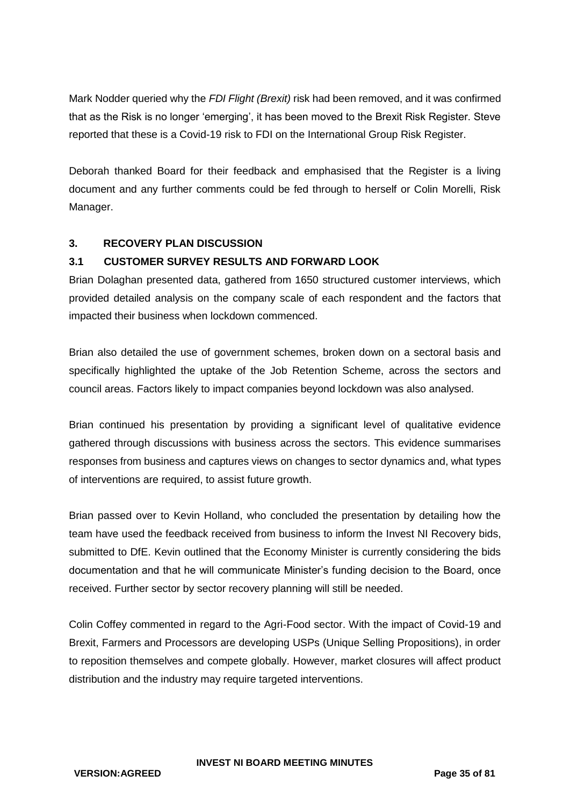Mark Nodder queried why the *FDI Flight (Brexit)* risk had been removed, and it was confirmed that as the Risk is no longer 'emerging', it has been moved to the Brexit Risk Register. Steve reported that these is a Covid-19 risk to FDI on the International Group Risk Register.

Deborah thanked Board for their feedback and emphasised that the Register is a living document and any further comments could be fed through to herself or Colin Morelli, Risk Manager.

## **3. RECOVERY PLAN DISCUSSION**

## **3.1 CUSTOMER SURVEY RESULTS AND FORWARD LOOK**

Brian Dolaghan presented data, gathered from 1650 structured customer interviews, which provided detailed analysis on the company scale of each respondent and the factors that impacted their business when lockdown commenced.

Brian also detailed the use of government schemes, broken down on a sectoral basis and specifically highlighted the uptake of the Job Retention Scheme, across the sectors and council areas. Factors likely to impact companies beyond lockdown was also analysed.

Brian continued his presentation by providing a significant level of qualitative evidence gathered through discussions with business across the sectors. This evidence summarises responses from business and captures views on changes to sector dynamics and, what types of interventions are required, to assist future growth.

Brian passed over to Kevin Holland, who concluded the presentation by detailing how the team have used the feedback received from business to inform the Invest NI Recovery bids, submitted to DfE. Kevin outlined that the Economy Minister is currently considering the bids documentation and that he will communicate Minister's funding decision to the Board, once received. Further sector by sector recovery planning will still be needed.

Colin Coffey commented in regard to the Agri-Food sector. With the impact of Covid-19 and Brexit, Farmers and Processors are developing USPs (Unique Selling Propositions), in order to reposition themselves and compete globally. However, market closures will affect product distribution and the industry may require targeted interventions.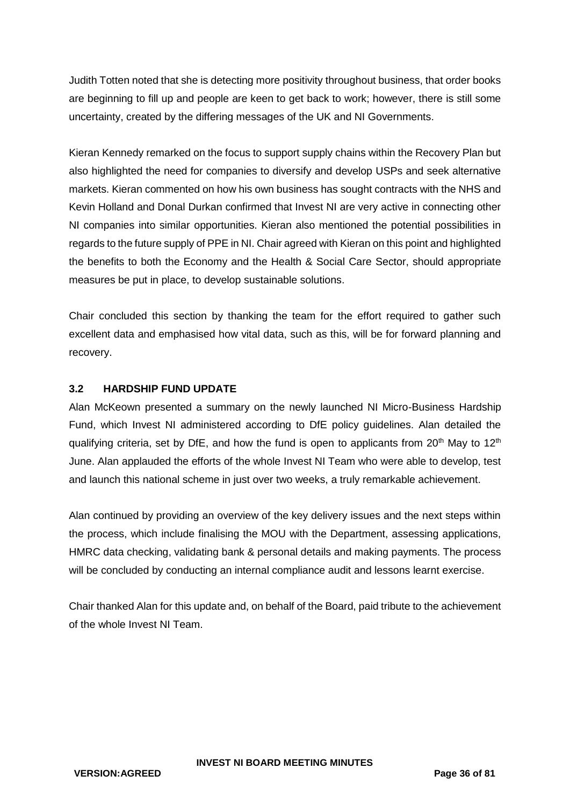Judith Totten noted that she is detecting more positivity throughout business, that order books are beginning to fill up and people are keen to get back to work; however, there is still some uncertainty, created by the differing messages of the UK and NI Governments.

Kieran Kennedy remarked on the focus to support supply chains within the Recovery Plan but also highlighted the need for companies to diversify and develop USPs and seek alternative markets. Kieran commented on how his own business has sought contracts with the NHS and Kevin Holland and Donal Durkan confirmed that Invest NI are very active in connecting other NI companies into similar opportunities. Kieran also mentioned the potential possibilities in regards to the future supply of PPE in NI. Chair agreed with Kieran on this point and highlighted the benefits to both the Economy and the Health & Social Care Sector, should appropriate measures be put in place, to develop sustainable solutions.

Chair concluded this section by thanking the team for the effort required to gather such excellent data and emphasised how vital data, such as this, will be for forward planning and recovery.

### **3.2 HARDSHIP FUND UPDATE**

Alan McKeown presented a summary on the newly launched NI Micro-Business Hardship Fund, which Invest NI administered according to DfE policy guidelines. Alan detailed the qualifying criteria, set by DfE, and how the fund is open to applicants from  $20<sup>th</sup>$  May to  $12<sup>th</sup>$ June. Alan applauded the efforts of the whole Invest NI Team who were able to develop, test and launch this national scheme in just over two weeks, a truly remarkable achievement.

Alan continued by providing an overview of the key delivery issues and the next steps within the process, which include finalising the MOU with the Department, assessing applications, HMRC data checking, validating bank & personal details and making payments. The process will be concluded by conducting an internal compliance audit and lessons learnt exercise.

Chair thanked Alan for this update and, on behalf of the Board, paid tribute to the achievement of the whole Invest NI Team.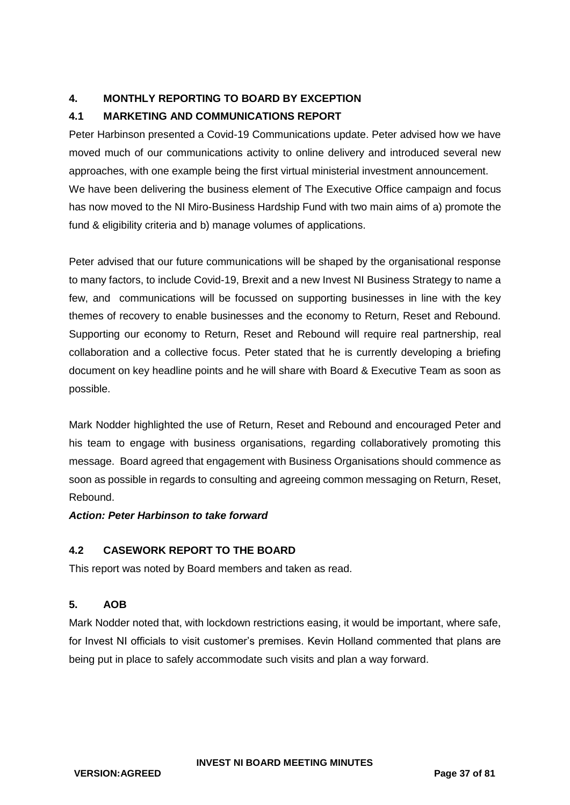## **4. MONTHLY REPORTING TO BOARD BY EXCEPTION**

## **4.1 MARKETING AND COMMUNICATIONS REPORT**

Peter Harbinson presented a Covid-19 Communications update. Peter advised how we have moved much of our communications activity to online delivery and introduced several new approaches, with one example being the first virtual ministerial investment announcement. We have been delivering the business element of The Executive Office campaign and focus has now moved to the NI Miro-Business Hardship Fund with two main aims of a) promote the fund & eligibility criteria and b) manage volumes of applications.

Peter advised that our future communications will be shaped by the organisational response to many factors, to include Covid-19, Brexit and a new Invest NI Business Strategy to name a few, and communications will be focussed on supporting businesses in line with the key themes of recovery to enable businesses and the economy to Return, Reset and Rebound. Supporting our economy to Return, Reset and Rebound will require real partnership, real collaboration and a collective focus. Peter stated that he is currently developing a briefing document on key headline points and he will share with Board & Executive Team as soon as possible.

Mark Nodder highlighted the use of Return, Reset and Rebound and encouraged Peter and his team to engage with business organisations, regarding collaboratively promoting this message. Board agreed that engagement with Business Organisations should commence as soon as possible in regards to consulting and agreeing common messaging on Return, Reset, Rebound.

## *Action: Peter Harbinson to take forward*

## **4.2 CASEWORK REPORT TO THE BOARD**

This report was noted by Board members and taken as read.

## **5. AOB**

Mark Nodder noted that, with lockdown restrictions easing, it would be important, where safe, for Invest NI officials to visit customer's premises. Kevin Holland commented that plans are being put in place to safely accommodate such visits and plan a way forward.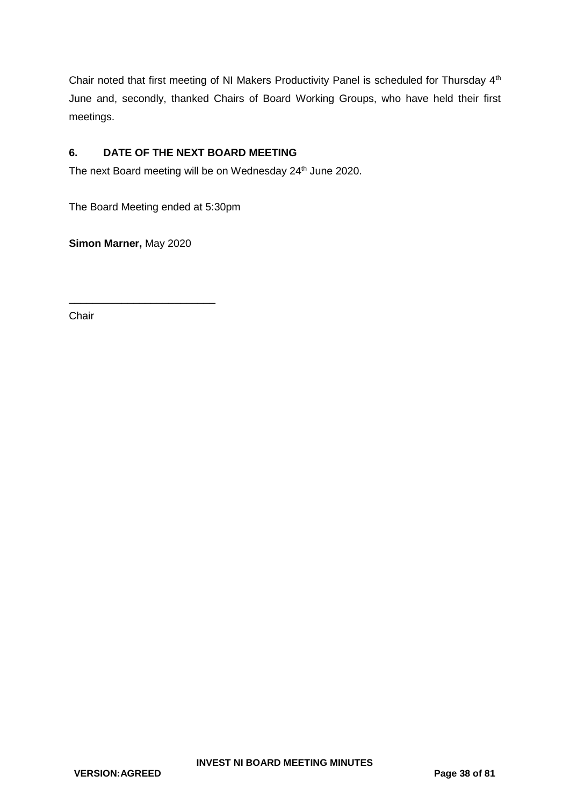Chair noted that first meeting of NI Makers Productivity Panel is scheduled for Thursday 4th June and, secondly, thanked Chairs of Board Working Groups, who have held their first meetings.

## **6. DATE OF THE NEXT BOARD MEETING**

The next Board meeting will be on Wednesday 24<sup>th</sup> June 2020.

The Board Meeting ended at 5:30pm

**Simon Marner,** May 2020

\_\_\_\_\_\_\_\_\_\_\_\_\_\_\_\_\_\_\_\_\_\_\_\_\_

Chair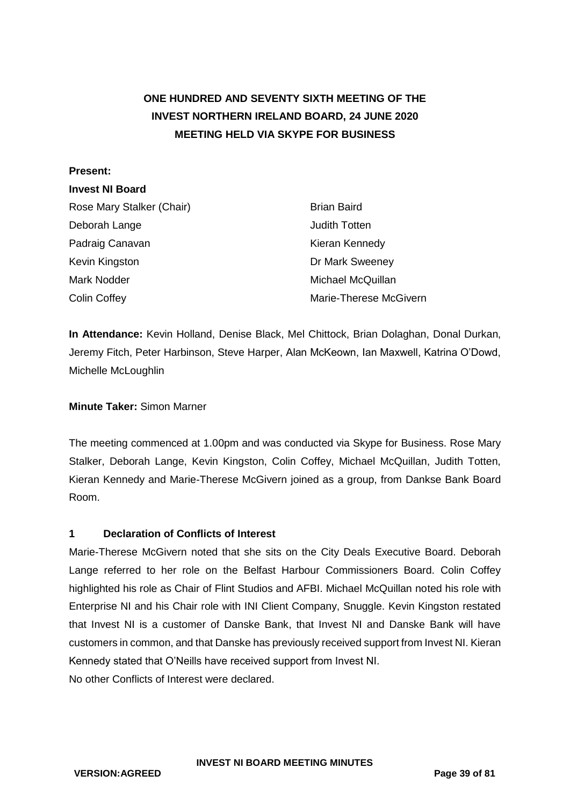# **ONE HUNDRED AND SEVENTY SIXTH MEETING OF THE INVEST NORTHERN IRELAND BOARD, 24 JUNE 2020 MEETING HELD VIA SKYPE FOR BUSINESS**

#### **Present:**

## **Invest NI Board**

| Rose Mary Stalker (Chair) | <b>Brian Baird</b>     |
|---------------------------|------------------------|
| Deborah Lange             | <b>Judith Totten</b>   |
| Padraig Canavan           | Kieran Kennedy         |
| Kevin Kingston            | Dr Mark Sweeney        |
| Mark Nodder               | Michael McQuillan      |
| <b>Colin Coffey</b>       | Marie-Therese McGivern |

**In Attendance:** Kevin Holland, Denise Black, Mel Chittock, Brian Dolaghan, Donal Durkan, Jeremy Fitch, Peter Harbinson, Steve Harper, Alan McKeown, Ian Maxwell, Katrina O'Dowd, Michelle McLoughlin

### **Minute Taker:** Simon Marner

The meeting commenced at 1.00pm and was conducted via Skype for Business. Rose Mary Stalker, Deborah Lange, Kevin Kingston, Colin Coffey, Michael McQuillan, Judith Totten, Kieran Kennedy and Marie-Therese McGivern joined as a group, from Dankse Bank Board Room.

#### **1 Declaration of Conflicts of Interest**

Marie-Therese McGivern noted that she sits on the City Deals Executive Board. Deborah Lange referred to her role on the Belfast Harbour Commissioners Board. Colin Coffey highlighted his role as Chair of Flint Studios and AFBI. Michael McQuillan noted his role with Enterprise NI and his Chair role with INI Client Company, Snuggle. Kevin Kingston restated that Invest NI is a customer of Danske Bank, that Invest NI and Danske Bank will have customers in common, and that Danske has previously received support from Invest NI. Kieran Kennedy stated that O'Neills have received support from Invest NI. No other Conflicts of Interest were declared.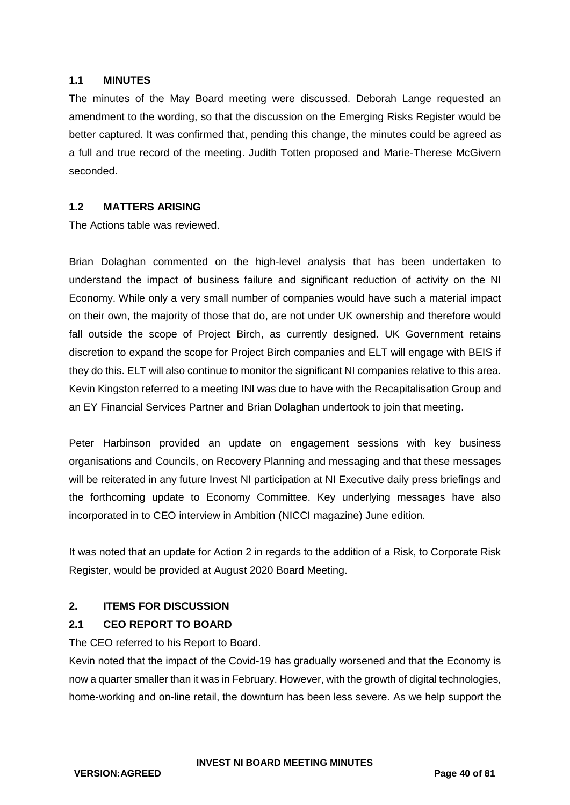#### **1.1 MINUTES**

The minutes of the May Board meeting were discussed. Deborah Lange requested an amendment to the wording, so that the discussion on the Emerging Risks Register would be better captured. It was confirmed that, pending this change, the minutes could be agreed as a full and true record of the meeting. Judith Totten proposed and Marie-Therese McGivern seconded.

#### **1.2 MATTERS ARISING**

The Actions table was reviewed.

Brian Dolaghan commented on the high-level analysis that has been undertaken to understand the impact of business failure and significant reduction of activity on the NI Economy. While only a very small number of companies would have such a material impact on their own, the majority of those that do, are not under UK ownership and therefore would fall outside the scope of Project Birch, as currently designed. UK Government retains discretion to expand the scope for Project Birch companies and ELT will engage with BEIS if they do this. ELT will also continue to monitor the significant NI companies relative to this area. Kevin Kingston referred to a meeting INI was due to have with the Recapitalisation Group and an EY Financial Services Partner and Brian Dolaghan undertook to join that meeting.

Peter Harbinson provided an update on engagement sessions with key business organisations and Councils, on Recovery Planning and messaging and that these messages will be reiterated in any future Invest NI participation at NI Executive daily press briefings and the forthcoming update to Economy Committee. Key underlying messages have also incorporated in to CEO interview in Ambition (NICCI magazine) June edition.

It was noted that an update for Action 2 in regards to the addition of a Risk, to Corporate Risk Register, would be provided at August 2020 Board Meeting.

#### **2. ITEMS FOR DISCUSSION**

## **2.1 CEO REPORT TO BOARD**

The CEO referred to his Report to Board.

Kevin noted that the impact of the Covid-19 has gradually worsened and that the Economy is now a quarter smaller than it was in February. However, with the growth of digital technologies, home-working and on-line retail, the downturn has been less severe. As we help support the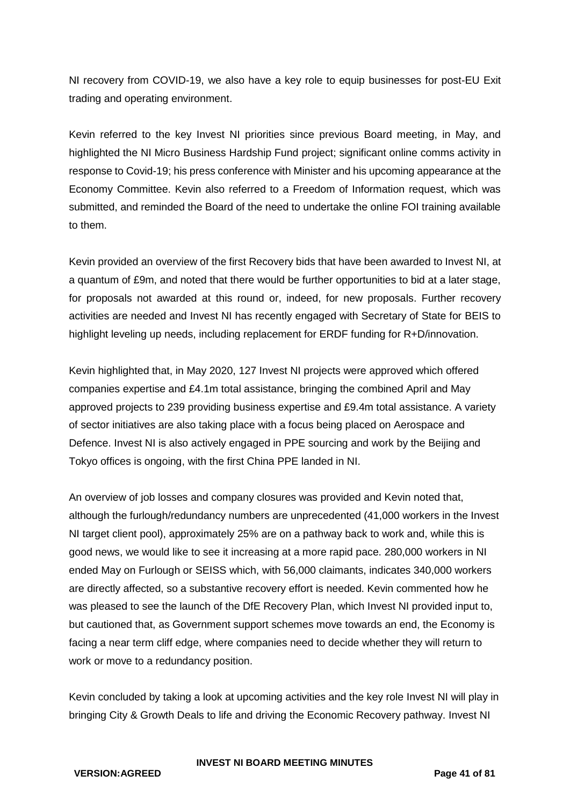NI recovery from COVID-19, we also have a key role to equip businesses for post-EU Exit trading and operating environment.

Kevin referred to the key Invest NI priorities since previous Board meeting, in May, and highlighted the NI Micro Business Hardship Fund project; significant online comms activity in response to Covid-19; his press conference with Minister and his upcoming appearance at the Economy Committee. Kevin also referred to a Freedom of Information request, which was submitted, and reminded the Board of the need to undertake the online FOI training available to them.

Kevin provided an overview of the first Recovery bids that have been awarded to Invest NI, at a quantum of £9m, and noted that there would be further opportunities to bid at a later stage, for proposals not awarded at this round or, indeed, for new proposals. Further recovery activities are needed and Invest NI has recently engaged with Secretary of State for BEIS to highlight leveling up needs, including replacement for ERDF funding for R+D/innovation.

Kevin highlighted that, in May 2020, 127 Invest NI projects were approved which offered companies expertise and £4.1m total assistance, bringing the combined April and May approved projects to 239 providing business expertise and £9.4m total assistance. A variety of sector initiatives are also taking place with a focus being placed on Aerospace and Defence. Invest NI is also actively engaged in PPE sourcing and work by the Beijing and Tokyo offices is ongoing, with the first China PPE landed in NI.

An overview of job losses and company closures was provided and Kevin noted that, although the furlough/redundancy numbers are unprecedented (41,000 workers in the Invest NI target client pool), approximately 25% are on a pathway back to work and, while this is good news, we would like to see it increasing at a more rapid pace. 280,000 workers in NI ended May on Furlough or SEISS which, with 56,000 claimants, indicates 340,000 workers are directly affected, so a substantive recovery effort is needed. Kevin commented how he was pleased to see the launch of the DfE Recovery Plan, which Invest NI provided input to, but cautioned that, as Government support schemes move towards an end, the Economy is facing a near term cliff edge, where companies need to decide whether they will return to work or move to a redundancy position.

Kevin concluded by taking a look at upcoming activities and the key role Invest NI will play in bringing City & Growth Deals to life and driving the Economic Recovery pathway. Invest NI

#### **INVEST NI BOARD MEETING MINUTES**

**VERSION:AGREED Page 41 of 81**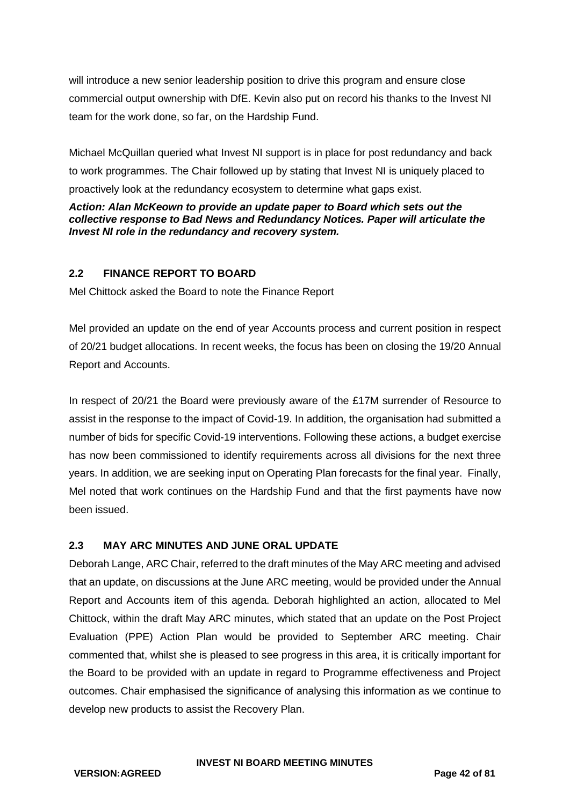will introduce a new senior leadership position to drive this program and ensure close commercial output ownership with DfE. Kevin also put on record his thanks to the Invest NI team for the work done, so far, on the Hardship Fund.

Michael McQuillan queried what Invest NI support is in place for post redundancy and back to work programmes. The Chair followed up by stating that Invest NI is uniquely placed to proactively look at the redundancy ecosystem to determine what gaps exist.

*Action: Alan McKeown to provide an update paper to Board which sets out the collective response to Bad News and Redundancy Notices. Paper will articulate the Invest NI role in the redundancy and recovery system.*

## **2.2 FINANCE REPORT TO BOARD**

Mel Chittock asked the Board to note the Finance Report

Mel provided an update on the end of year Accounts process and current position in respect of 20/21 budget allocations. In recent weeks, the focus has been on closing the 19/20 Annual Report and Accounts.

In respect of 20/21 the Board were previously aware of the £17M surrender of Resource to assist in the response to the impact of Covid-19. In addition, the organisation had submitted a number of bids for specific Covid-19 interventions. Following these actions, a budget exercise has now been commissioned to identify requirements across all divisions for the next three years. In addition, we are seeking input on Operating Plan forecasts for the final year. Finally, Mel noted that work continues on the Hardship Fund and that the first payments have now been issued.

## **2.3 MAY ARC MINUTES AND JUNE ORAL UPDATE**

Deborah Lange, ARC Chair, referred to the draft minutes of the May ARC meeting and advised that an update, on discussions at the June ARC meeting, would be provided under the Annual Report and Accounts item of this agenda. Deborah highlighted an action, allocated to Mel Chittock, within the draft May ARC minutes, which stated that an update on the Post Project Evaluation (PPE) Action Plan would be provided to September ARC meeting. Chair commented that, whilst she is pleased to see progress in this area, it is critically important for the Board to be provided with an update in regard to Programme effectiveness and Project outcomes. Chair emphasised the significance of analysing this information as we continue to develop new products to assist the Recovery Plan.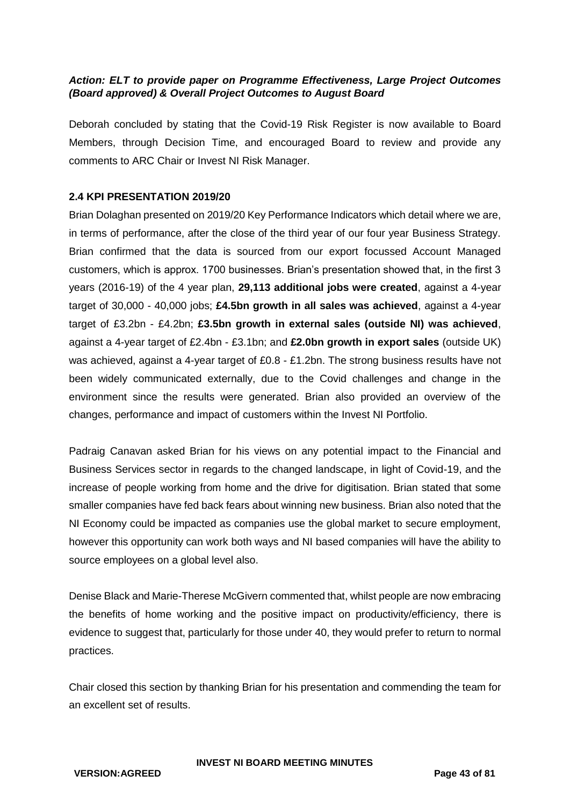## *Action: ELT to provide paper on Programme Effectiveness, Large Project Outcomes (Board approved) & Overall Project Outcomes to August Board*

Deborah concluded by stating that the Covid-19 Risk Register is now available to Board Members, through Decision Time, and encouraged Board to review and provide any comments to ARC Chair or Invest NI Risk Manager.

#### **2.4 KPI PRESENTATION 2019/20**

Brian Dolaghan presented on 2019/20 Key Performance Indicators which detail where we are, in terms of performance, after the close of the third year of our four year Business Strategy. Brian confirmed that the data is sourced from our export focussed Account Managed customers, which is approx. 1700 businesses. Brian's presentation showed that, in the first 3 years (2016-19) of the 4 year plan, **29,113 additional jobs were created**, against a 4-year target of 30,000 - 40,000 jobs; **£4.5bn growth in all sales was achieved**, against a 4-year target of £3.2bn - £4.2bn; **£3.5bn growth in external sales (outside NI) was achieved**, against a 4-year target of £2.4bn - £3.1bn; and **£2.0bn growth in export sales** (outside UK) was achieved, against a 4-year target of £0.8 - £1.2bn. The strong business results have not been widely communicated externally, due to the Covid challenges and change in the environment since the results were generated. Brian also provided an overview of the changes, performance and impact of customers within the Invest NI Portfolio.

Padraig Canavan asked Brian for his views on any potential impact to the Financial and Business Services sector in regards to the changed landscape, in light of Covid-19, and the increase of people working from home and the drive for digitisation. Brian stated that some smaller companies have fed back fears about winning new business. Brian also noted that the NI Economy could be impacted as companies use the global market to secure employment, however this opportunity can work both ways and NI based companies will have the ability to source employees on a global level also.

Denise Black and Marie-Therese McGivern commented that, whilst people are now embracing the benefits of home working and the positive impact on productivity/efficiency, there is evidence to suggest that, particularly for those under 40, they would prefer to return to normal practices.

Chair closed this section by thanking Brian for his presentation and commending the team for an excellent set of results.

**INVEST NI BOARD MEETING MINUTES**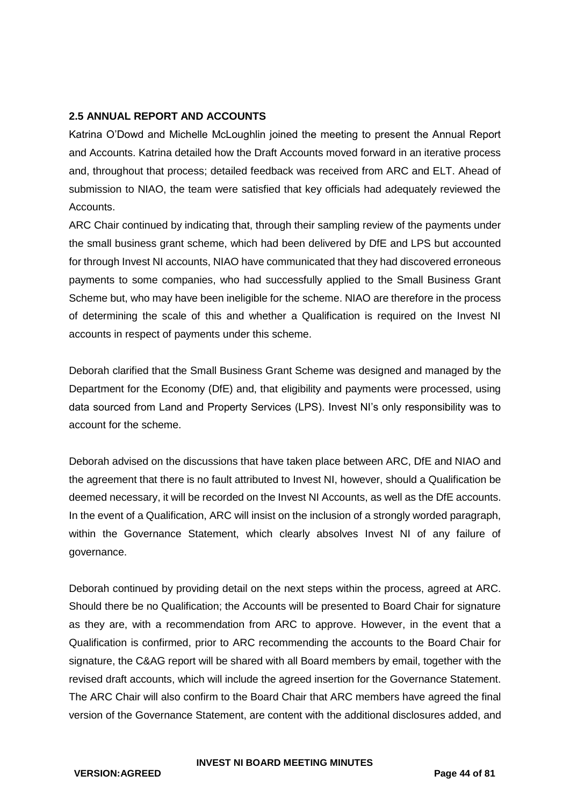### **2.5 ANNUAL REPORT AND ACCOUNTS**

Katrina O'Dowd and Michelle McLoughlin joined the meeting to present the Annual Report and Accounts. Katrina detailed how the Draft Accounts moved forward in an iterative process and, throughout that process; detailed feedback was received from ARC and ELT. Ahead of submission to NIAO, the team were satisfied that key officials had adequately reviewed the Accounts.

ARC Chair continued by indicating that, through their sampling review of the payments under the small business grant scheme, which had been delivered by DfE and LPS but accounted for through Invest NI accounts, NIAO have communicated that they had discovered erroneous payments to some companies, who had successfully applied to the Small Business Grant Scheme but, who may have been ineligible for the scheme. NIAO are therefore in the process of determining the scale of this and whether a Qualification is required on the Invest NI accounts in respect of payments under this scheme.

Deborah clarified that the Small Business Grant Scheme was designed and managed by the Department for the Economy (DfE) and, that eligibility and payments were processed, using data sourced from Land and Property Services (LPS). Invest NI's only responsibility was to account for the scheme.

Deborah advised on the discussions that have taken place between ARC, DfE and NIAO and the agreement that there is no fault attributed to Invest NI, however, should a Qualification be deemed necessary, it will be recorded on the Invest NI Accounts, as well as the DfE accounts. In the event of a Qualification, ARC will insist on the inclusion of a strongly worded paragraph, within the Governance Statement, which clearly absolves Invest NI of any failure of governance.

Deborah continued by providing detail on the next steps within the process, agreed at ARC. Should there be no Qualification; the Accounts will be presented to Board Chair for signature as they are, with a recommendation from ARC to approve. However, in the event that a Qualification is confirmed, prior to ARC recommending the accounts to the Board Chair for signature, the C&AG report will be shared with all Board members by email, together with the revised draft accounts, which will include the agreed insertion for the Governance Statement. The ARC Chair will also confirm to the Board Chair that ARC members have agreed the final version of the Governance Statement, are content with the additional disclosures added, and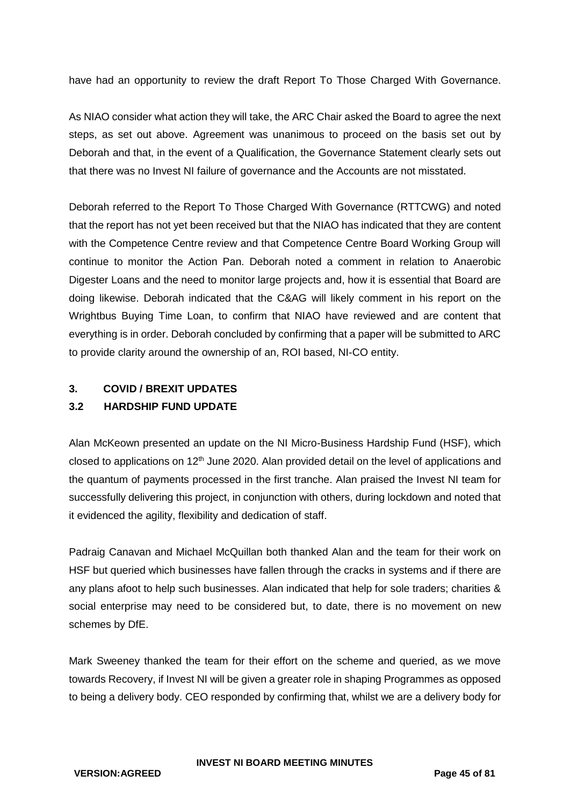have had an opportunity to review the draft Report To Those Charged With Governance.

As NIAO consider what action they will take, the ARC Chair asked the Board to agree the next steps, as set out above. Agreement was unanimous to proceed on the basis set out by Deborah and that, in the event of a Qualification, the Governance Statement clearly sets out that there was no Invest NI failure of governance and the Accounts are not misstated.

Deborah referred to the Report To Those Charged With Governance (RTTCWG) and noted that the report has not yet been received but that the NIAO has indicated that they are content with the Competence Centre review and that Competence Centre Board Working Group will continue to monitor the Action Pan. Deborah noted a comment in relation to Anaerobic Digester Loans and the need to monitor large projects and, how it is essential that Board are doing likewise. Deborah indicated that the C&AG will likely comment in his report on the Wrightbus Buying Time Loan, to confirm that NIAO have reviewed and are content that everything is in order. Deborah concluded by confirming that a paper will be submitted to ARC to provide clarity around the ownership of an, ROI based, NI-CO entity.

## **3. COVID / BREXIT UPDATES**

## **3.2 HARDSHIP FUND UPDATE**

Alan McKeown presented an update on the NI Micro-Business Hardship Fund (HSF), which closed to applications on 12<sup>th</sup> June 2020. Alan provided detail on the level of applications and the quantum of payments processed in the first tranche. Alan praised the Invest NI team for successfully delivering this project, in conjunction with others, during lockdown and noted that it evidenced the agility, flexibility and dedication of staff.

Padraig Canavan and Michael McQuillan both thanked Alan and the team for their work on HSF but queried which businesses have fallen through the cracks in systems and if there are any plans afoot to help such businesses. Alan indicated that help for sole traders; charities & social enterprise may need to be considered but, to date, there is no movement on new schemes by DfE.

Mark Sweeney thanked the team for their effort on the scheme and queried, as we move towards Recovery, if Invest NI will be given a greater role in shaping Programmes as opposed to being a delivery body. CEO responded by confirming that, whilst we are a delivery body for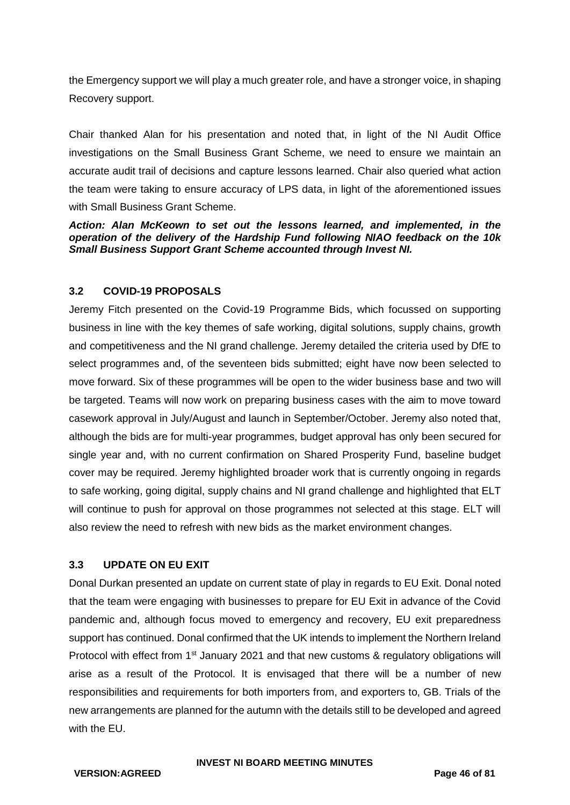the Emergency support we will play a much greater role, and have a stronger voice, in shaping Recovery support.

Chair thanked Alan for his presentation and noted that, in light of the NI Audit Office investigations on the Small Business Grant Scheme, we need to ensure we maintain an accurate audit trail of decisions and capture lessons learned. Chair also queried what action the team were taking to ensure accuracy of LPS data, in light of the aforementioned issues with Small Business Grant Scheme.

*Action: Alan McKeown to set out the lessons learned, and implemented, in the operation of the delivery of the Hardship Fund following NIAO feedback on the 10k Small Business Support Grant Scheme accounted through Invest NI.*

## **3.2 COVID-19 PROPOSALS**

Jeremy Fitch presented on the Covid-19 Programme Bids, which focussed on supporting business in line with the key themes of safe working, digital solutions, supply chains, growth and competitiveness and the NI grand challenge. Jeremy detailed the criteria used by DfE to select programmes and, of the seventeen bids submitted; eight have now been selected to move forward. Six of these programmes will be open to the wider business base and two will be targeted. Teams will now work on preparing business cases with the aim to move toward casework approval in July/August and launch in September/October. Jeremy also noted that, although the bids are for multi-year programmes, budget approval has only been secured for single year and, with no current confirmation on Shared Prosperity Fund, baseline budget cover may be required. Jeremy highlighted broader work that is currently ongoing in regards to safe working, going digital, supply chains and NI grand challenge and highlighted that ELT will continue to push for approval on those programmes not selected at this stage. ELT will also review the need to refresh with new bids as the market environment changes.

#### **3.3 UPDATE ON EU EXIT**

Donal Durkan presented an update on current state of play in regards to EU Exit. Donal noted that the team were engaging with businesses to prepare for EU Exit in advance of the Covid pandemic and, although focus moved to emergency and recovery, EU exit preparedness support has continued. Donal confirmed that the UK intends to implement the Northern Ireland Protocol with effect from  $1<sup>st</sup>$  January 2021 and that new customs & regulatory obligations will arise as a result of the Protocol. It is envisaged that there will be a number of new responsibilities and requirements for both importers from, and exporters to, GB. Trials of the new arrangements are planned for the autumn with the details still to be developed and agreed with the FU.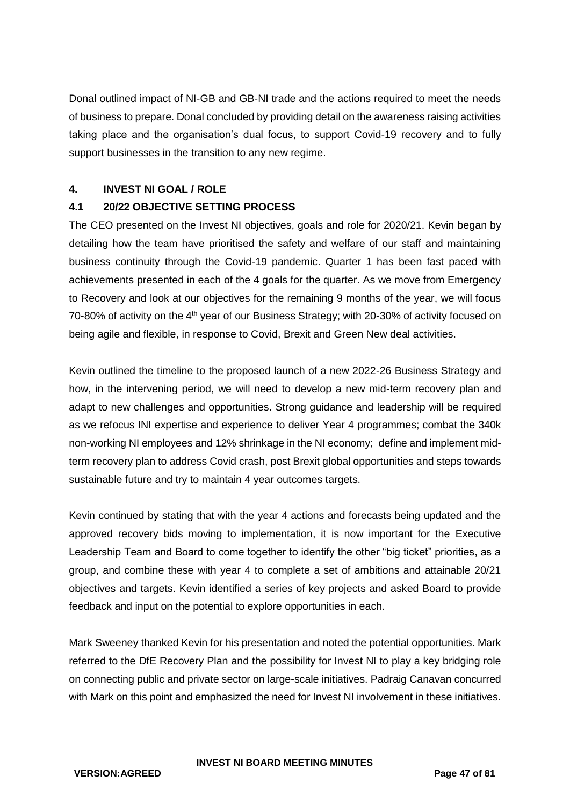Donal outlined impact of NI-GB and GB-NI trade and the actions required to meet the needs of business to prepare. Donal concluded by providing detail on the awareness raising activities taking place and the organisation's dual focus, to support Covid-19 recovery and to fully support businesses in the transition to any new regime.

### **4. INVEST NI GOAL / ROLE**

## **4.1 20/22 OBJECTIVE SETTING PROCESS**

The CEO presented on the Invest NI objectives, goals and role for 2020/21. Kevin began by detailing how the team have prioritised the safety and welfare of our staff and maintaining business continuity through the Covid-19 pandemic. Quarter 1 has been fast paced with achievements presented in each of the 4 goals for the quarter. As we move from Emergency to Recovery and look at our objectives for the remaining 9 months of the year, we will focus 70-80% of activity on the 4<sup>th</sup> year of our Business Strategy; with 20-30% of activity focused on being agile and flexible, in response to Covid, Brexit and Green New deal activities.

Kevin outlined the timeline to the proposed launch of a new 2022-26 Business Strategy and how, in the intervening period, we will need to develop a new mid-term recovery plan and adapt to new challenges and opportunities. Strong guidance and leadership will be required as we refocus INI expertise and experience to deliver Year 4 programmes; combat the 340k non-working NI employees and 12% shrinkage in the NI economy; define and implement midterm recovery plan to address Covid crash, post Brexit global opportunities and steps towards sustainable future and try to maintain 4 year outcomes targets.

Kevin continued by stating that with the year 4 actions and forecasts being updated and the approved recovery bids moving to implementation, it is now important for the Executive Leadership Team and Board to come together to identify the other "big ticket" priorities, as a group, and combine these with year 4 to complete a set of ambitions and attainable 20/21 objectives and targets. Kevin identified a series of key projects and asked Board to provide feedback and input on the potential to explore opportunities in each.

Mark Sweeney thanked Kevin for his presentation and noted the potential opportunities. Mark referred to the DfE Recovery Plan and the possibility for Invest NI to play a key bridging role on connecting public and private sector on large-scale initiatives. Padraig Canavan concurred with Mark on this point and emphasized the need for Invest NI involvement in these initiatives.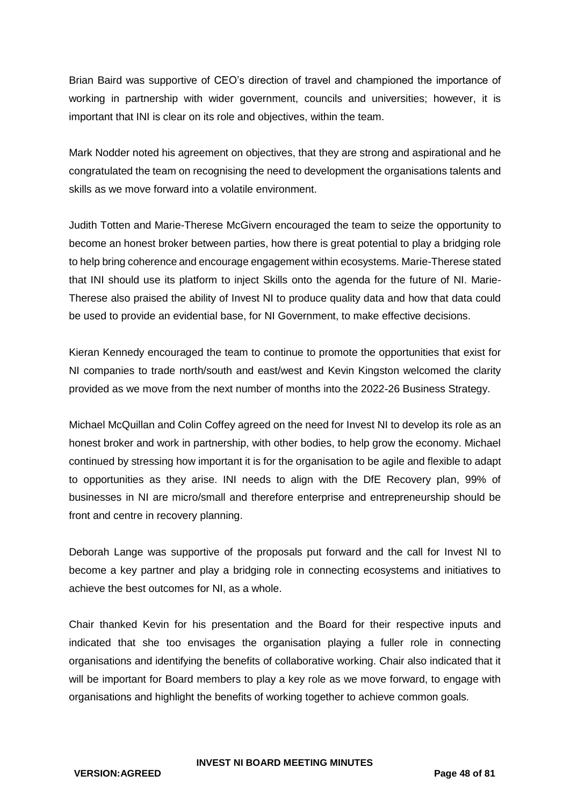Brian Baird was supportive of CEO's direction of travel and championed the importance of working in partnership with wider government, councils and universities; however, it is important that INI is clear on its role and objectives, within the team.

Mark Nodder noted his agreement on objectives, that they are strong and aspirational and he congratulated the team on recognising the need to development the organisations talents and skills as we move forward into a volatile environment.

Judith Totten and Marie-Therese McGivern encouraged the team to seize the opportunity to become an honest broker between parties, how there is great potential to play a bridging role to help bring coherence and encourage engagement within ecosystems. Marie-Therese stated that INI should use its platform to inject Skills onto the agenda for the future of NI. Marie-Therese also praised the ability of Invest NI to produce quality data and how that data could be used to provide an evidential base, for NI Government, to make effective decisions.

Kieran Kennedy encouraged the team to continue to promote the opportunities that exist for NI companies to trade north/south and east/west and Kevin Kingston welcomed the clarity provided as we move from the next number of months into the 2022-26 Business Strategy.

Michael McQuillan and Colin Coffey agreed on the need for Invest NI to develop its role as an honest broker and work in partnership, with other bodies, to help grow the economy. Michael continued by stressing how important it is for the organisation to be agile and flexible to adapt to opportunities as they arise. INI needs to align with the DfE Recovery plan, 99% of businesses in NI are micro/small and therefore enterprise and entrepreneurship should be front and centre in recovery planning.

Deborah Lange was supportive of the proposals put forward and the call for Invest NI to become a key partner and play a bridging role in connecting ecosystems and initiatives to achieve the best outcomes for NI, as a whole.

Chair thanked Kevin for his presentation and the Board for their respective inputs and indicated that she too envisages the organisation playing a fuller role in connecting organisations and identifying the benefits of collaborative working. Chair also indicated that it will be important for Board members to play a key role as we move forward, to engage with organisations and highlight the benefits of working together to achieve common goals.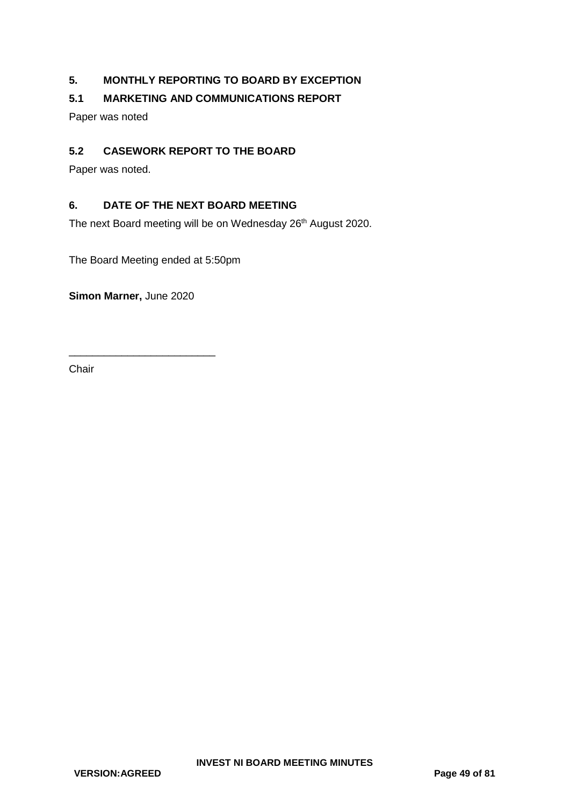## **5. MONTHLY REPORTING TO BOARD BY EXCEPTION**

## **5.1 MARKETING AND COMMUNICATIONS REPORT**

Paper was noted

### **5.2 CASEWORK REPORT TO THE BOARD**

Paper was noted.

## **6. DATE OF THE NEXT BOARD MEETING**

The next Board meeting will be on Wednesday 26<sup>th</sup> August 2020.

The Board Meeting ended at 5:50pm

**Simon Marner,** June 2020

\_\_\_\_\_\_\_\_\_\_\_\_\_\_\_\_\_\_\_\_\_\_\_\_\_

**Chair**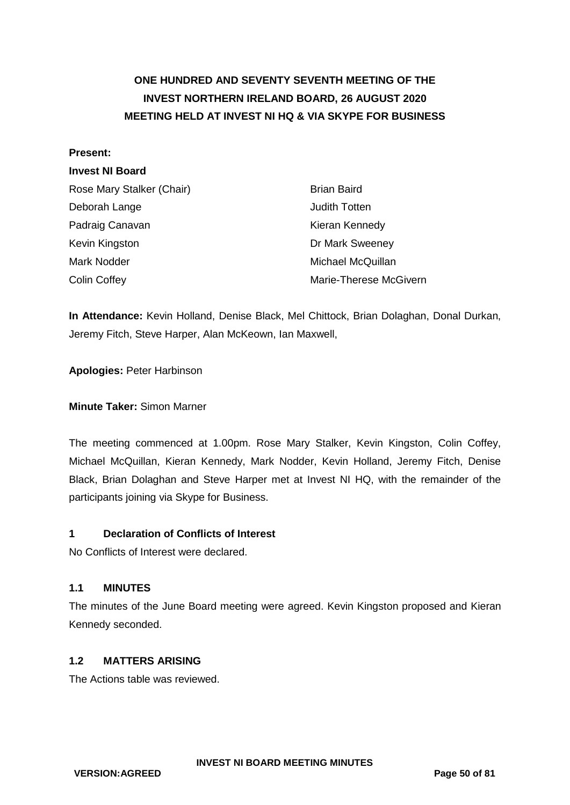# **ONE HUNDRED AND SEVENTY SEVENTH MEETING OF THE INVEST NORTHERN IRELAND BOARD, 26 AUGUST 2020 MEETING HELD AT INVEST NI HQ & VIA SKYPE FOR BUSINESS**

#### **Present:**

## **Invest NI Board**

| Rose Mary Stalker (Chair) | <b>Brian Baird</b>     |
|---------------------------|------------------------|
| Deborah Lange             | Judith Totten          |
| Padraig Canavan           | Kieran Kennedy         |
| Kevin Kingston            | Dr Mark Sweeney        |
| Mark Nodder               | Michael McQuillan      |
| <b>Colin Coffey</b>       | Marie-Therese McGivern |

**In Attendance:** Kevin Holland, Denise Black, Mel Chittock, Brian Dolaghan, Donal Durkan, Jeremy Fitch, Steve Harper, Alan McKeown, Ian Maxwell,

**Apologies:** Peter Harbinson

#### **Minute Taker:** Simon Marner

The meeting commenced at 1.00pm. Rose Mary Stalker, Kevin Kingston, Colin Coffey, Michael McQuillan, Kieran Kennedy, Mark Nodder, Kevin Holland, Jeremy Fitch, Denise Black, Brian Dolaghan and Steve Harper met at Invest NI HQ, with the remainder of the participants joining via Skype for Business.

#### **1 Declaration of Conflicts of Interest**

No Conflicts of Interest were declared.

#### **1.1 MINUTES**

The minutes of the June Board meeting were agreed. Kevin Kingston proposed and Kieran Kennedy seconded.

#### **1.2 MATTERS ARISING**

The Actions table was reviewed.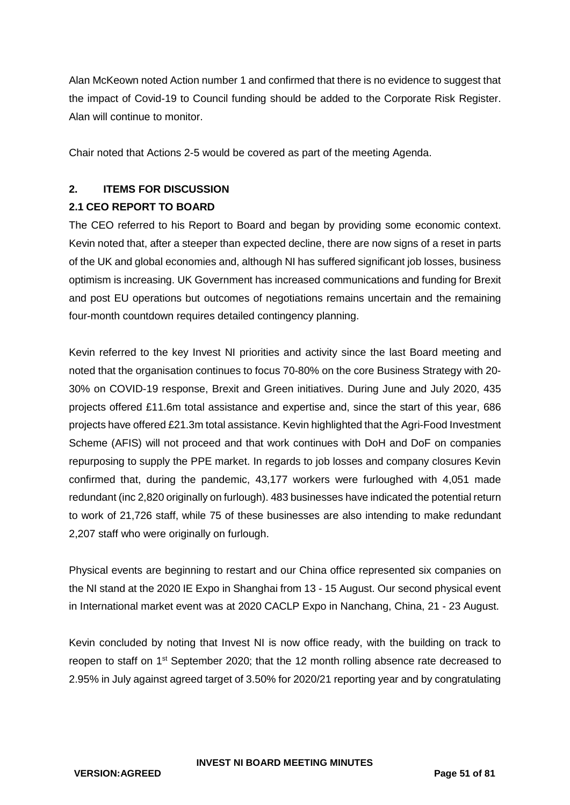Alan McKeown noted Action number 1 and confirmed that there is no evidence to suggest that the impact of Covid-19 to Council funding should be added to the Corporate Risk Register. Alan will continue to monitor.

Chair noted that Actions 2-5 would be covered as part of the meeting Agenda.

## **2. ITEMS FOR DISCUSSION**

## **2.1 CEO REPORT TO BOARD**

The CEO referred to his Report to Board and began by providing some economic context. Kevin noted that, after a steeper than expected decline, there are now signs of a reset in parts of the UK and global economies and, although NI has suffered significant job losses, business optimism is increasing. UK Government has increased communications and funding for Brexit and post EU operations but outcomes of negotiations remains uncertain and the remaining four-month countdown requires detailed contingency planning.

Kevin referred to the key Invest NI priorities and activity since the last Board meeting and noted that the organisation continues to focus 70-80% on the core Business Strategy with 20- 30% on COVID-19 response, Brexit and Green initiatives. During June and July 2020, 435 projects offered £11.6m total assistance and expertise and, since the start of this year, 686 projects have offered £21.3m total assistance. Kevin highlighted that the Agri-Food Investment Scheme (AFIS) will not proceed and that work continues with DoH and DoF on companies repurposing to supply the PPE market. In regards to job losses and company closures Kevin confirmed that, during the pandemic, 43,177 workers were furloughed with 4,051 made redundant (inc 2,820 originally on furlough). 483 businesses have indicated the potential return to work of 21,726 staff, while 75 of these businesses are also intending to make redundant 2,207 staff who were originally on furlough.

Physical events are beginning to restart and our China office represented six companies on the NI stand at the 2020 IE Expo in Shanghai from 13 - 15 August. Our second physical event in International market event was at 2020 CACLP Expo in Nanchang, China, 21 - 23 August.

Kevin concluded by noting that Invest NI is now office ready, with the building on track to reopen to staff on 1<sup>st</sup> September 2020; that the 12 month rolling absence rate decreased to 2.95% in July against agreed target of 3.50% for 2020/21 reporting year and by congratulating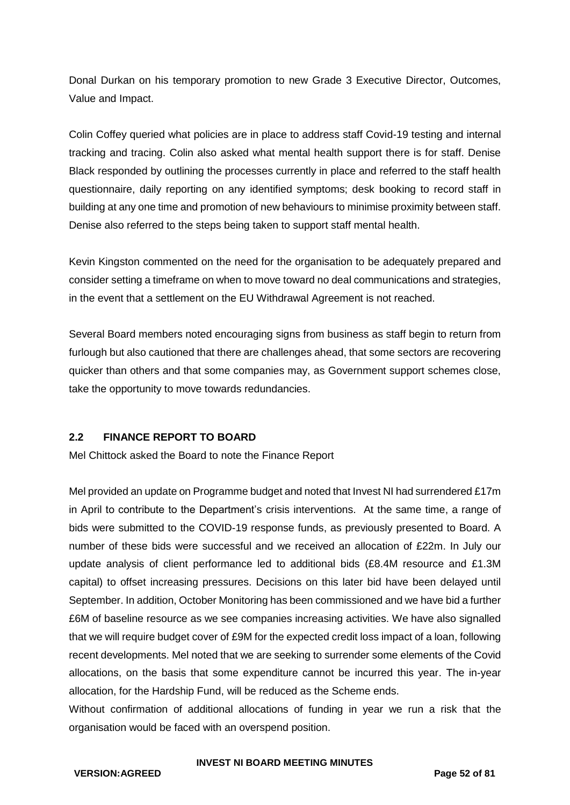Donal Durkan on his temporary promotion to new Grade 3 Executive Director, Outcomes, Value and Impact.

Colin Coffey queried what policies are in place to address staff Covid-19 testing and internal tracking and tracing. Colin also asked what mental health support there is for staff. Denise Black responded by outlining the processes currently in place and referred to the staff health questionnaire, daily reporting on any identified symptoms; desk booking to record staff in building at any one time and promotion of new behaviours to minimise proximity between staff. Denise also referred to the steps being taken to support staff mental health.

Kevin Kingston commented on the need for the organisation to be adequately prepared and consider setting a timeframe on when to move toward no deal communications and strategies, in the event that a settlement on the EU Withdrawal Agreement is not reached.

Several Board members noted encouraging signs from business as staff begin to return from furlough but also cautioned that there are challenges ahead, that some sectors are recovering quicker than others and that some companies may, as Government support schemes close, take the opportunity to move towards redundancies.

## **2.2 FINANCE REPORT TO BOARD**

Mel Chittock asked the Board to note the Finance Report

Mel provided an update on Programme budget and noted that Invest NI had surrendered £17m in April to contribute to the Department's crisis interventions. At the same time, a range of bids were submitted to the COVID-19 response funds, as previously presented to Board. A number of these bids were successful and we received an allocation of £22m. In July our update analysis of client performance led to additional bids (£8.4M resource and £1.3M capital) to offset increasing pressures. Decisions on this later bid have been delayed until September. In addition, October Monitoring has been commissioned and we have bid a further £6M of baseline resource as we see companies increasing activities. We have also signalled that we will require budget cover of £9M for the expected credit loss impact of a loan, following recent developments. Mel noted that we are seeking to surrender some elements of the Covid allocations, on the basis that some expenditure cannot be incurred this year. The in-year allocation, for the Hardship Fund, will be reduced as the Scheme ends.

Without confirmation of additional allocations of funding in year we run a risk that the organisation would be faced with an overspend position.

#### **VERSION:AGREED Page 52 of 81**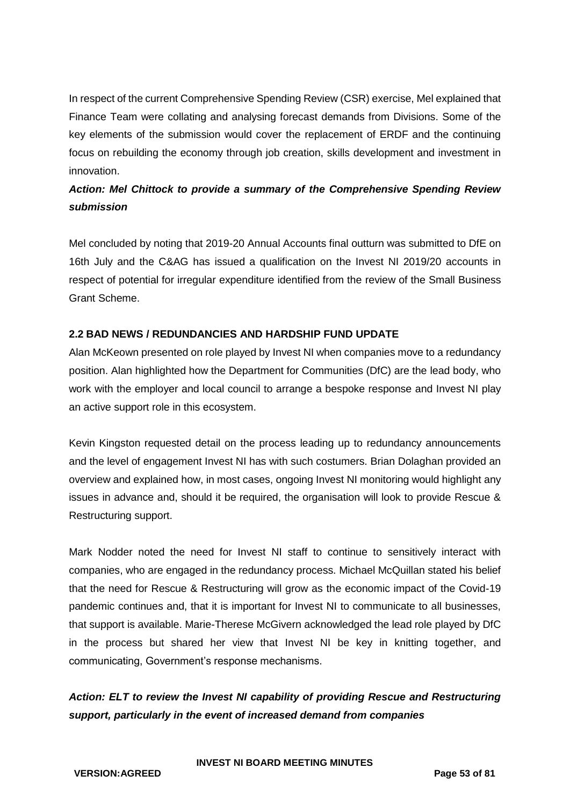In respect of the current Comprehensive Spending Review (CSR) exercise, Mel explained that Finance Team were collating and analysing forecast demands from Divisions. Some of the key elements of the submission would cover the replacement of ERDF and the continuing focus on rebuilding the economy through job creation, skills development and investment in innovation.

## *Action: Mel Chittock to provide a summary of the Comprehensive Spending Review submission*

Mel concluded by noting that 2019-20 Annual Accounts final outturn was submitted to DfE on 16th July and the C&AG has issued a qualification on the Invest NI 2019/20 accounts in respect of potential for irregular expenditure identified from the review of the Small Business Grant Scheme.

## **2.2 BAD NEWS / REDUNDANCIES AND HARDSHIP FUND UPDATE**

Alan McKeown presented on role played by Invest NI when companies move to a redundancy position. Alan highlighted how the Department for Communities (DfC) are the lead body, who work with the employer and local council to arrange a bespoke response and Invest NI play an active support role in this ecosystem.

Kevin Kingston requested detail on the process leading up to redundancy announcements and the level of engagement Invest NI has with such costumers. Brian Dolaghan provided an overview and explained how, in most cases, ongoing Invest NI monitoring would highlight any issues in advance and, should it be required, the organisation will look to provide Rescue & Restructuring support.

Mark Nodder noted the need for Invest NI staff to continue to sensitively interact with companies, who are engaged in the redundancy process. Michael McQuillan stated his belief that the need for Rescue & Restructuring will grow as the economic impact of the Covid-19 pandemic continues and, that it is important for Invest NI to communicate to all businesses, that support is available. Marie-Therese McGivern acknowledged the lead role played by DfC in the process but shared her view that Invest NI be key in knitting together, and communicating, Government's response mechanisms.

## *Action: ELT to review the Invest NI capability of providing Rescue and Restructuring support, particularly in the event of increased demand from companies*

**INVEST NI BOARD MEETING MINUTES**

**VERSION:AGREED Page 53 of 81**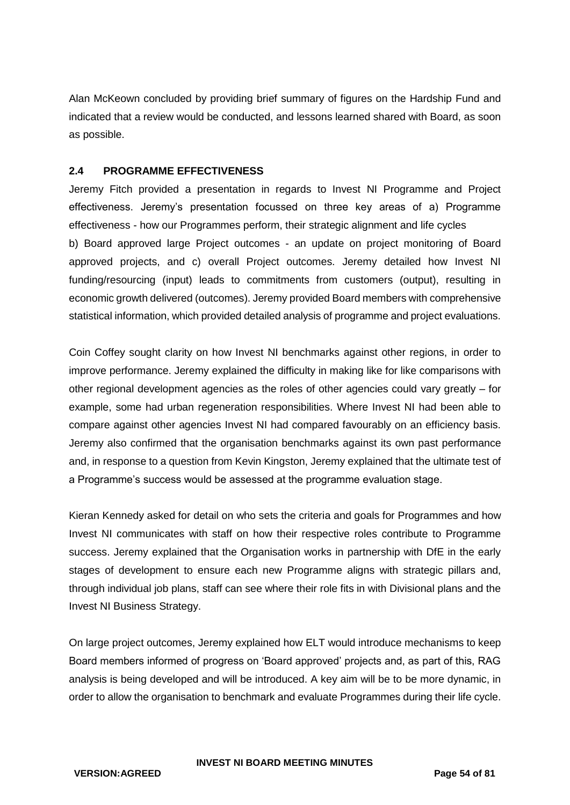Alan McKeown concluded by providing brief summary of figures on the Hardship Fund and indicated that a review would be conducted, and lessons learned shared with Board, as soon as possible.

#### **2.4 PROGRAMME EFFECTIVENESS**

Jeremy Fitch provided a presentation in regards to Invest NI Programme and Project effectiveness. Jeremy's presentation focussed on three key areas of a) Programme effectiveness - how our Programmes perform, their strategic alignment and life cycles b) Board approved large Project outcomes - an update on project monitoring of Board approved projects, and c) overall Project outcomes. Jeremy detailed how Invest NI funding/resourcing (input) leads to commitments from customers (output), resulting in economic growth delivered (outcomes). Jeremy provided Board members with comprehensive statistical information, which provided detailed analysis of programme and project evaluations.

Coin Coffey sought clarity on how Invest NI benchmarks against other regions, in order to improve performance. Jeremy explained the difficulty in making like for like comparisons with other regional development agencies as the roles of other agencies could vary greatly – for example, some had urban regeneration responsibilities. Where Invest NI had been able to compare against other agencies Invest NI had compared favourably on an efficiency basis. Jeremy also confirmed that the organisation benchmarks against its own past performance and, in response to a question from Kevin Kingston, Jeremy explained that the ultimate test of a Programme's success would be assessed at the programme evaluation stage.

Kieran Kennedy asked for detail on who sets the criteria and goals for Programmes and how Invest NI communicates with staff on how their respective roles contribute to Programme success. Jeremy explained that the Organisation works in partnership with DfE in the early stages of development to ensure each new Programme aligns with strategic pillars and, through individual job plans, staff can see where their role fits in with Divisional plans and the Invest NI Business Strategy.

On large project outcomes, Jeremy explained how ELT would introduce mechanisms to keep Board members informed of progress on 'Board approved' projects and, as part of this, RAG analysis is being developed and will be introduced. A key aim will be to be more dynamic, in order to allow the organisation to benchmark and evaluate Programmes during their life cycle.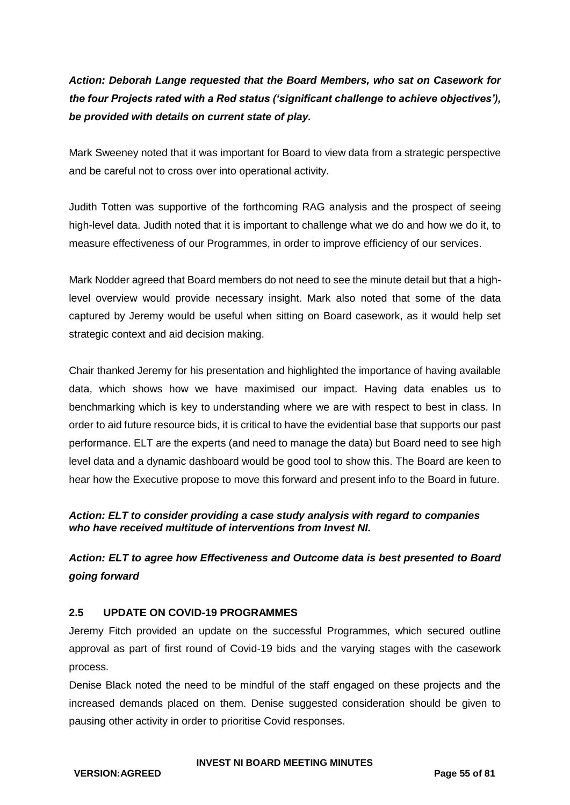*Action: Deborah Lange requested that the Board Members, who sat on Casework for the four Projects rated with a Red status ('significant challenge to achieve objectives'), be provided with details on current state of play.*

Mark Sweeney noted that it was important for Board to view data from a strategic perspective and be careful not to cross over into operational activity.

Judith Totten was supportive of the forthcoming RAG analysis and the prospect of seeing high-level data. Judith noted that it is important to challenge what we do and how we do it, to measure effectiveness of our Programmes, in order to improve efficiency of our services.

Mark Nodder agreed that Board members do not need to see the minute detail but that a highlevel overview would provide necessary insight. Mark also noted that some of the data captured by Jeremy would be useful when sitting on Board casework, as it would help set strategic context and aid decision making.

Chair thanked Jeremy for his presentation and highlighted the importance of having available data, which shows how we have maximised our impact. Having data enables us to benchmarking which is key to understanding where we are with respect to best in class. In order to aid future resource bids, it is critical to have the evidential base that supports our past performance. ELT are the experts (and need to manage the data) but Board need to see high level data and a dynamic dashboard would be good tool to show this. The Board are keen to hear how the Executive propose to move this forward and present info to the Board in future.

## *Action: ELT to consider providing a case study analysis with regard to companies who have received multitude of interventions from Invest NI.*

*Action: ELT to agree how Effectiveness and Outcome data is best presented to Board going forward*

## **2.5 UPDATE ON COVID-19 PROGRAMMES**

Jeremy Fitch provided an update on the successful Programmes, which secured outline approval as part of first round of Covid-19 bids and the varying stages with the casework process.

Denise Black noted the need to be mindful of the staff engaged on these projects and the increased demands placed on them. Denise suggested consideration should be given to pausing other activity in order to prioritise Covid responses.

#### **INVEST NI BOARD MEETING MINUTES**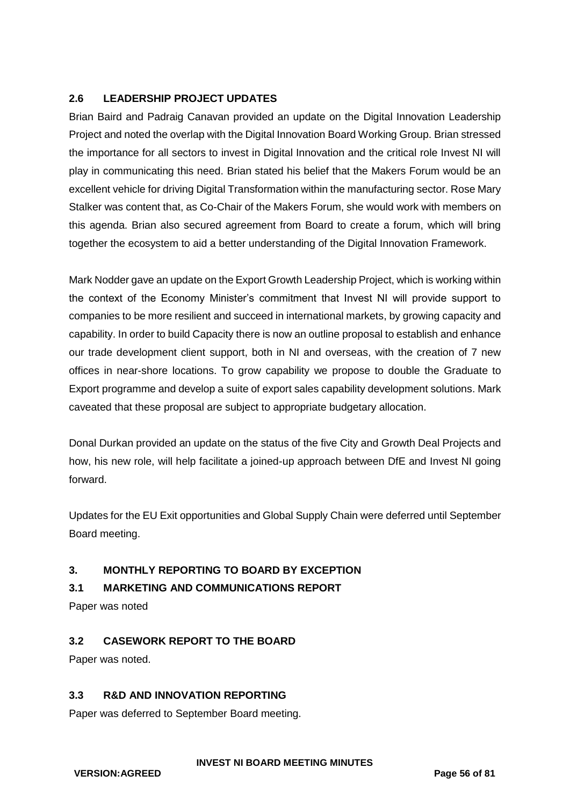## **2.6 LEADERSHIP PROJECT UPDATES**

Brian Baird and Padraig Canavan provided an update on the Digital Innovation Leadership Project and noted the overlap with the Digital Innovation Board Working Group. Brian stressed the importance for all sectors to invest in Digital Innovation and the critical role Invest NI will play in communicating this need. Brian stated his belief that the Makers Forum would be an excellent vehicle for driving Digital Transformation within the manufacturing sector. Rose Mary Stalker was content that, as Co-Chair of the Makers Forum, she would work with members on this agenda. Brian also secured agreement from Board to create a forum, which will bring together the ecosystem to aid a better understanding of the Digital Innovation Framework.

Mark Nodder gave an update on the Export Growth Leadership Project, which is working within the context of the Economy Minister's commitment that Invest NI will provide support to companies to be more resilient and succeed in international markets, by growing capacity and capability. In order to build Capacity there is now an outline proposal to establish and enhance our trade development client support, both in NI and overseas, with the creation of 7 new offices in near-shore locations. To grow capability we propose to double the Graduate to Export programme and develop a suite of export sales capability development solutions. Mark caveated that these proposal are subject to appropriate budgetary allocation.

Donal Durkan provided an update on the status of the five City and Growth Deal Projects and how, his new role, will help facilitate a joined-up approach between DfE and Invest NI going forward.

Updates for the EU Exit opportunities and Global Supply Chain were deferred until September Board meeting.

## **3. MONTHLY REPORTING TO BOARD BY EXCEPTION**

## **3.1 MARKETING AND COMMUNICATIONS REPORT**

Paper was noted

## **3.2 CASEWORK REPORT TO THE BOARD**

Paper was noted.

## **3.3 R&D AND INNOVATION REPORTING**

Paper was deferred to September Board meeting.

**VERSION:AGREED Page 56 of 81**

#### **INVEST NI BOARD MEETING MINUTES**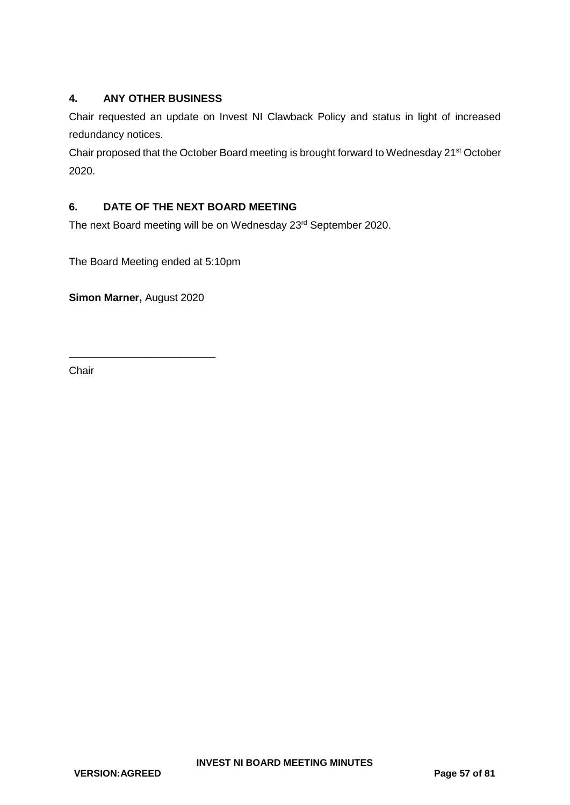## **4. ANY OTHER BUSINESS**

Chair requested an update on Invest NI Clawback Policy and status in light of increased redundancy notices.

Chair proposed that the October Board meeting is brought forward to Wednesday 21st October 2020.

## **6. DATE OF THE NEXT BOARD MEETING**

The next Board meeting will be on Wednesday 23<sup>rd</sup> September 2020.

The Board Meeting ended at 5:10pm

**Simon Marner,** August 2020

\_\_\_\_\_\_\_\_\_\_\_\_\_\_\_\_\_\_\_\_\_\_\_\_\_

Chair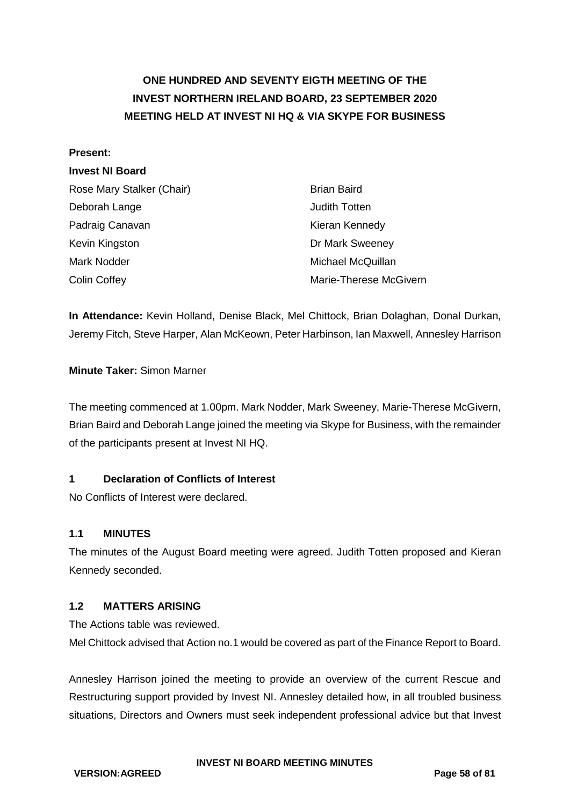# **ONE HUNDRED AND SEVENTY EIGTH MEETING OF THE INVEST NORTHERN IRELAND BOARD, 23 SEPTEMBER 2020 MEETING HELD AT INVEST NI HQ & VIA SKYPE FOR BUSINESS**

#### **Present:**

#### **Invest NI Board**

| Rose Mary Stalker (Chair) | <b>Brian Baird</b>     |
|---------------------------|------------------------|
| Deborah Lange             | Judith Totten          |
| Padraig Canavan           | Kieran Kennedy         |
| Kevin Kingston            | Dr Mark Sweeney        |
| Mark Nodder               | Michael McQuillan      |
| <b>Colin Coffey</b>       | Marie-Therese McGivern |

**In Attendance:** Kevin Holland, Denise Black, Mel Chittock, Brian Dolaghan, Donal Durkan, Jeremy Fitch, Steve Harper, Alan McKeown, Peter Harbinson, Ian Maxwell, Annesley Harrison

#### **Minute Taker:** Simon Marner

The meeting commenced at 1.00pm. Mark Nodder, Mark Sweeney, Marie-Therese McGivern, Brian Baird and Deborah Lange joined the meeting via Skype for Business, with the remainder of the participants present at Invest NI HQ.

#### **1 Declaration of Conflicts of Interest**

No Conflicts of Interest were declared.

#### **1.1 MINUTES**

The minutes of the August Board meeting were agreed. Judith Totten proposed and Kieran Kennedy seconded.

#### **1.2 MATTERS ARISING**

The Actions table was reviewed.

Mel Chittock advised that Action no.1 would be covered as part of the Finance Report to Board.

Annesley Harrison joined the meeting to provide an overview of the current Rescue and Restructuring support provided by Invest NI. Annesley detailed how, in all troubled business situations, Directors and Owners must seek independent professional advice but that Invest

**VERSION:AGREED Page 58 of 81**

#### **INVEST NI BOARD MEETING MINUTES**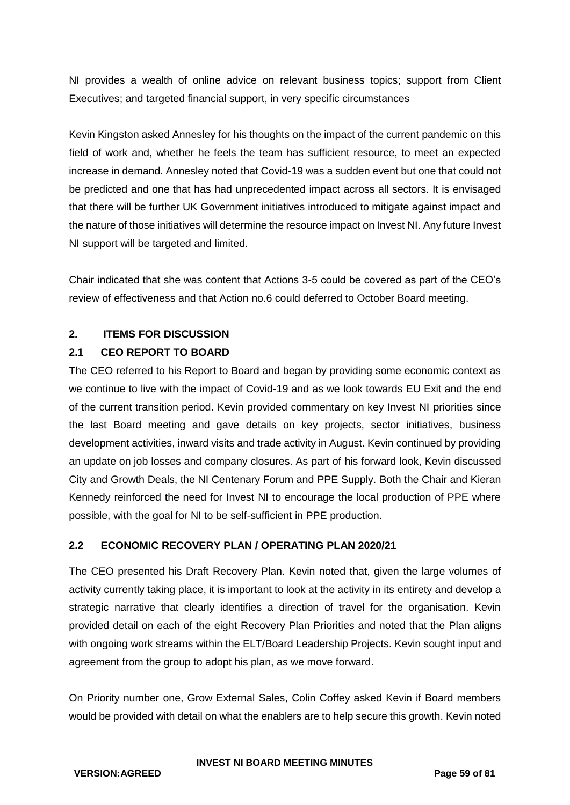NI provides a wealth of online advice on relevant business topics; support from Client Executives; and targeted financial support, in very specific circumstances

Kevin Kingston asked Annesley for his thoughts on the impact of the current pandemic on this field of work and, whether he feels the team has sufficient resource, to meet an expected increase in demand. Annesley noted that Covid-19 was a sudden event but one that could not be predicted and one that has had unprecedented impact across all sectors. It is envisaged that there will be further UK Government initiatives introduced to mitigate against impact and the nature of those initiatives will determine the resource impact on Invest NI. Any future Invest NI support will be targeted and limited.

Chair indicated that she was content that Actions 3-5 could be covered as part of the CEO's review of effectiveness and that Action no.6 could deferred to October Board meeting.

## **2. ITEMS FOR DISCUSSION**

## **2.1 CEO REPORT TO BOARD**

The CEO referred to his Report to Board and began by providing some economic context as we continue to live with the impact of Covid-19 and as we look towards EU Exit and the end of the current transition period. Kevin provided commentary on key Invest NI priorities since the last Board meeting and gave details on key projects, sector initiatives, business development activities, inward visits and trade activity in August. Kevin continued by providing an update on job losses and company closures. As part of his forward look, Kevin discussed City and Growth Deals, the NI Centenary Forum and PPE Supply. Both the Chair and Kieran Kennedy reinforced the need for Invest NI to encourage the local production of PPE where possible, with the goal for NI to be self-sufficient in PPE production.

## **2.2 ECONOMIC RECOVERY PLAN / OPERATING PLAN 2020/21**

The CEO presented his Draft Recovery Plan. Kevin noted that, given the large volumes of activity currently taking place, it is important to look at the activity in its entirety and develop a strategic narrative that clearly identifies a direction of travel for the organisation. Kevin provided detail on each of the eight Recovery Plan Priorities and noted that the Plan aligns with ongoing work streams within the ELT/Board Leadership Projects. Kevin sought input and agreement from the group to adopt his plan, as we move forward.

On Priority number one, Grow External Sales, Colin Coffey asked Kevin if Board members would be provided with detail on what the enablers are to help secure this growth. Kevin noted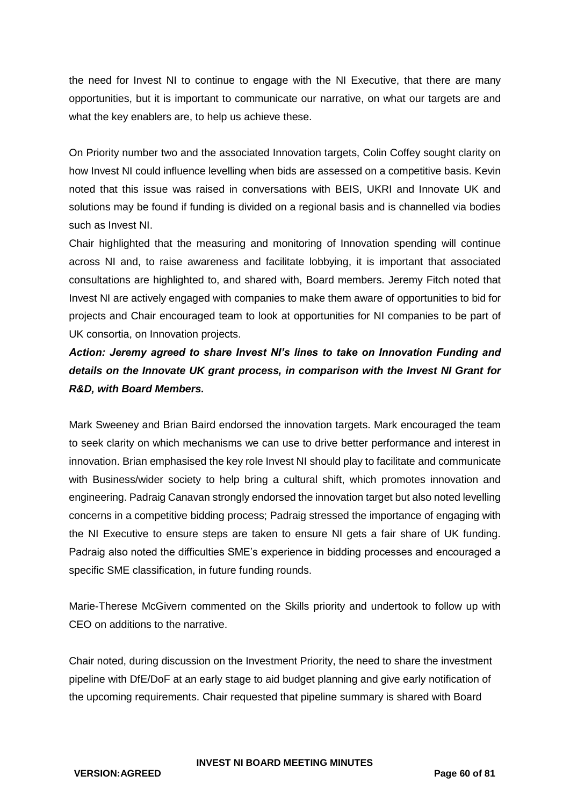the need for Invest NI to continue to engage with the NI Executive, that there are many opportunities, but it is important to communicate our narrative, on what our targets are and what the key enablers are, to help us achieve these.

On Priority number two and the associated Innovation targets, Colin Coffey sought clarity on how Invest NI could influence levelling when bids are assessed on a competitive basis. Kevin noted that this issue was raised in conversations with BEIS, UKRI and Innovate UK and solutions may be found if funding is divided on a regional basis and is channelled via bodies such as Invest NI.

Chair highlighted that the measuring and monitoring of Innovation spending will continue across NI and, to raise awareness and facilitate lobbying, it is important that associated consultations are highlighted to, and shared with, Board members. Jeremy Fitch noted that Invest NI are actively engaged with companies to make them aware of opportunities to bid for projects and Chair encouraged team to look at opportunities for NI companies to be part of UK consortia, on Innovation projects.

## *Action: Jeremy agreed to share Invest NI's lines to take on Innovation Funding and details on the Innovate UK grant process, in comparison with the Invest NI Grant for R&D, with Board Members.*

Mark Sweeney and Brian Baird endorsed the innovation targets. Mark encouraged the team to seek clarity on which mechanisms we can use to drive better performance and interest in innovation. Brian emphasised the key role Invest NI should play to facilitate and communicate with Business/wider society to help bring a cultural shift, which promotes innovation and engineering. Padraig Canavan strongly endorsed the innovation target but also noted levelling concerns in a competitive bidding process; Padraig stressed the importance of engaging with the NI Executive to ensure steps are taken to ensure NI gets a fair share of UK funding. Padraig also noted the difficulties SME's experience in bidding processes and encouraged a specific SME classification, in future funding rounds.

Marie-Therese McGivern commented on the Skills priority and undertook to follow up with CEO on additions to the narrative.

Chair noted, during discussion on the Investment Priority, the need to share the investment pipeline with DfE/DoF at an early stage to aid budget planning and give early notification of the upcoming requirements. Chair requested that pipeline summary is shared with Board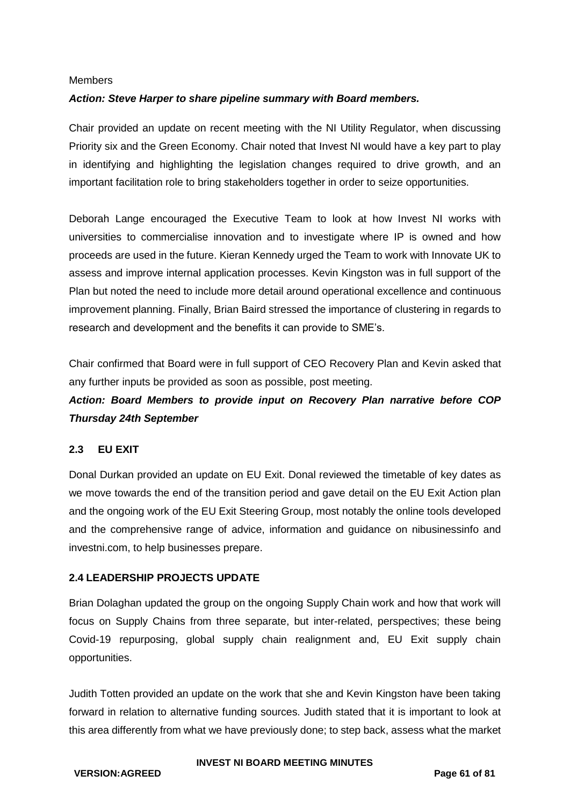#### Members

## *Action: Steve Harper to share pipeline summary with Board members.*

Chair provided an update on recent meeting with the NI Utility Regulator, when discussing Priority six and the Green Economy. Chair noted that Invest NI would have a key part to play in identifying and highlighting the legislation changes required to drive growth, and an important facilitation role to bring stakeholders together in order to seize opportunities.

Deborah Lange encouraged the Executive Team to look at how Invest NI works with universities to commercialise innovation and to investigate where IP is owned and how proceeds are used in the future. Kieran Kennedy urged the Team to work with Innovate UK to assess and improve internal application processes. Kevin Kingston was in full support of the Plan but noted the need to include more detail around operational excellence and continuous improvement planning. Finally, Brian Baird stressed the importance of clustering in regards to research and development and the benefits it can provide to SME's.

Chair confirmed that Board were in full support of CEO Recovery Plan and Kevin asked that any further inputs be provided as soon as possible, post meeting.

## *Action: Board Members to provide input on Recovery Plan narrative before COP Thursday 24th September*

## **2.3 EU EXIT**

Donal Durkan provided an update on EU Exit. Donal reviewed the timetable of key dates as we move towards the end of the transition period and gave detail on the EU Exit Action plan and the ongoing work of the EU Exit Steering Group, most notably the online tools developed and the comprehensive range of advice, information and guidance on nibusinessinfo and investni.com, to help businesses prepare.

#### **2.4 LEADERSHIP PROJECTS UPDATE**

Brian Dolaghan updated the group on the ongoing Supply Chain work and how that work will focus on Supply Chains from three separate, but inter-related, perspectives; these being Covid-19 repurposing, global supply chain realignment and, EU Exit supply chain opportunities.

Judith Totten provided an update on the work that she and Kevin Kingston have been taking forward in relation to alternative funding sources. Judith stated that it is important to look at this area differently from what we have previously done; to step back, assess what the market

#### **INVEST NI BOARD MEETING MINUTES**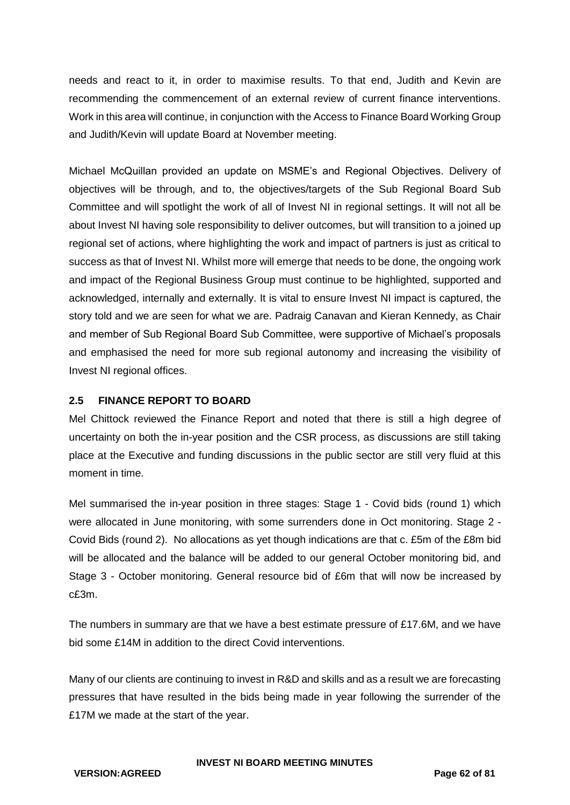needs and react to it, in order to maximise results. To that end, Judith and Kevin are recommending the commencement of an external review of current finance interventions. Work in this area will continue, in conjunction with the Access to Finance Board Working Group and Judith/Kevin will update Board at November meeting.

Michael McQuillan provided an update on MSME's and Regional Objectives. Delivery of objectives will be through, and to, the objectives/targets of the Sub Regional Board Sub Committee and will spotlight the work of all of Invest NI in regional settings. It will not all be about Invest NI having sole responsibility to deliver outcomes, but will transition to a joined up regional set of actions, where highlighting the work and impact of partners is just as critical to success as that of Invest NI. Whilst more will emerge that needs to be done, the ongoing work and impact of the Regional Business Group must continue to be highlighted, supported and acknowledged, internally and externally. It is vital to ensure Invest NI impact is captured, the story told and we are seen for what we are. Padraig Canavan and Kieran Kennedy, as Chair and member of Sub Regional Board Sub Committee, were supportive of Michael's proposals and emphasised the need for more sub regional autonomy and increasing the visibility of Invest NI regional offices.

## **2.5 FINANCE REPORT TO BOARD**

Mel Chittock reviewed the Finance Report and noted that there is still a high degree of uncertainty on both the in-year position and the CSR process, as discussions are still taking place at the Executive and funding discussions in the public sector are still very fluid at this moment in time.

Mel summarised the in-year position in three stages: Stage 1 - Covid bids (round 1) which were allocated in June monitoring, with some surrenders done in Oct monitoring. Stage 2 - Covid Bids (round 2). No allocations as yet though indications are that c. £5m of the £8m bid will be allocated and the balance will be added to our general October monitoring bid, and Stage 3 - October monitoring. General resource bid of £6m that will now be increased by c£3m.

The numbers in summary are that we have a best estimate pressure of £17.6M, and we have bid some £14M in addition to the direct Covid interventions.

Many of our clients are continuing to invest in R&D and skills and as a result we are forecasting pressures that have resulted in the bids being made in year following the surrender of the £17M we made at the start of the year.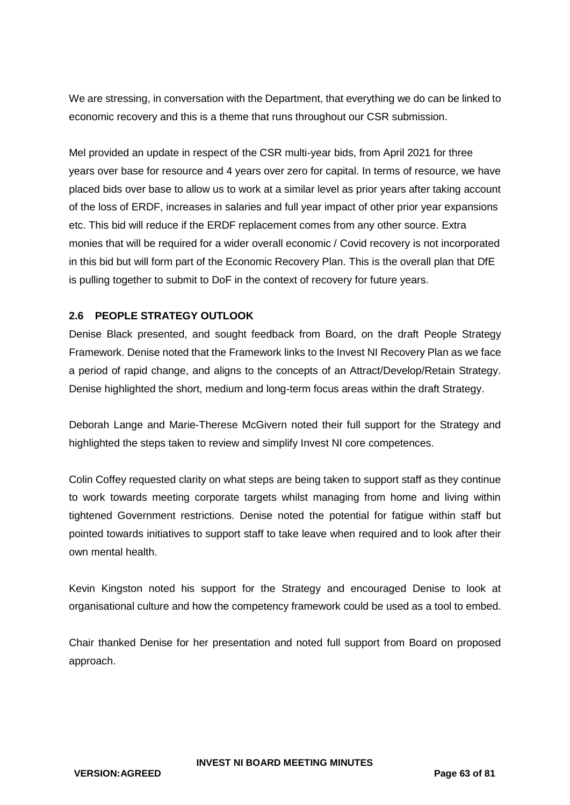We are stressing, in conversation with the Department, that everything we do can be linked to economic recovery and this is a theme that runs throughout our CSR submission.

Mel provided an update in respect of the CSR multi-year bids, from April 2021 for three years over base for resource and 4 years over zero for capital. In terms of resource, we have placed bids over base to allow us to work at a similar level as prior years after taking account of the loss of ERDF, increases in salaries and full year impact of other prior year expansions etc. This bid will reduce if the ERDF replacement comes from any other source. Extra monies that will be required for a wider overall economic / Covid recovery is not incorporated in this bid but will form part of the Economic Recovery Plan. This is the overall plan that DfE is pulling together to submit to DoF in the context of recovery for future years.

## **2.6 PEOPLE STRATEGY OUTLOOK**

Denise Black presented, and sought feedback from Board, on the draft People Strategy Framework. Denise noted that the Framework links to the Invest NI Recovery Plan as we face a period of rapid change, and aligns to the concepts of an Attract/Develop/Retain Strategy. Denise highlighted the short, medium and long-term focus areas within the draft Strategy.

Deborah Lange and Marie-Therese McGivern noted their full support for the Strategy and highlighted the steps taken to review and simplify Invest NI core competences.

Colin Coffey requested clarity on what steps are being taken to support staff as they continue to work towards meeting corporate targets whilst managing from home and living within tightened Government restrictions. Denise noted the potential for fatigue within staff but pointed towards initiatives to support staff to take leave when required and to look after their own mental health.

Kevin Kingston noted his support for the Strategy and encouraged Denise to look at organisational culture and how the competency framework could be used as a tool to embed.

Chair thanked Denise for her presentation and noted full support from Board on proposed approach.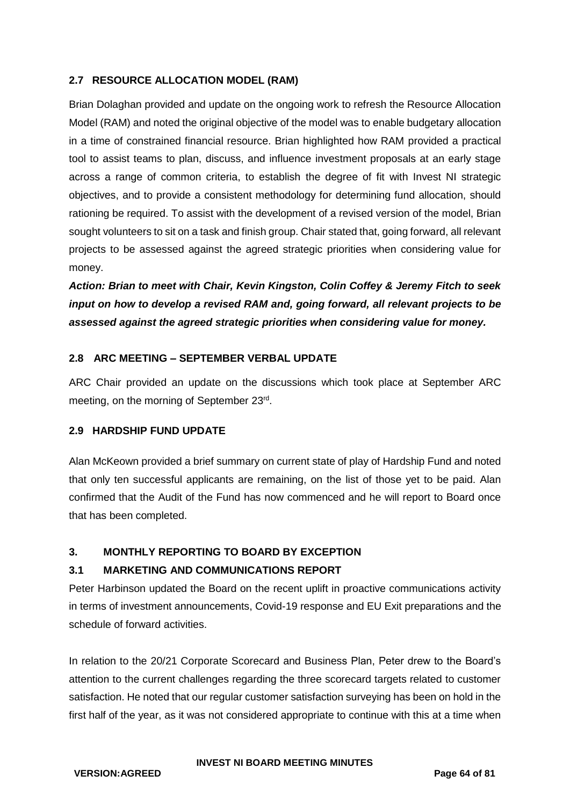## **2.7 RESOURCE ALLOCATION MODEL (RAM)**

Brian Dolaghan provided and update on the ongoing work to refresh the Resource Allocation Model (RAM) and noted the original objective of the model was to enable budgetary allocation in a time of constrained financial resource. Brian highlighted how RAM provided a practical tool to assist teams to plan, discuss, and influence investment proposals at an early stage across a range of common criteria, to establish the degree of fit with Invest NI strategic objectives, and to provide a consistent methodology for determining fund allocation, should rationing be required. To assist with the development of a revised version of the model, Brian sought volunteers to sit on a task and finish group. Chair stated that, going forward, all relevant projects to be assessed against the agreed strategic priorities when considering value for money.

*Action: Brian to meet with Chair, Kevin Kingston, Colin Coffey & Jeremy Fitch to seek input on how to develop a revised RAM and, going forward, all relevant projects to be assessed against the agreed strategic priorities when considering value for money.* 

#### **2.8 ARC MEETING – SEPTEMBER VERBAL UPDATE**

ARC Chair provided an update on the discussions which took place at September ARC meeting, on the morning of September 23rd.

## **2.9 HARDSHIP FUND UPDATE**

Alan McKeown provided a brief summary on current state of play of Hardship Fund and noted that only ten successful applicants are remaining, on the list of those yet to be paid. Alan confirmed that the Audit of the Fund has now commenced and he will report to Board once that has been completed.

## **3. MONTHLY REPORTING TO BOARD BY EXCEPTION**

## **3.1 MARKETING AND COMMUNICATIONS REPORT**

Peter Harbinson updated the Board on the recent uplift in proactive communications activity in terms of investment announcements, Covid-19 response and EU Exit preparations and the schedule of forward activities.

In relation to the 20/21 Corporate Scorecard and Business Plan, Peter drew to the Board's attention to the current challenges regarding the three scorecard targets related to customer satisfaction. He noted that our regular customer satisfaction surveying has been on hold in the first half of the year, as it was not considered appropriate to continue with this at a time when

#### **INVEST NI BOARD MEETING MINUTES**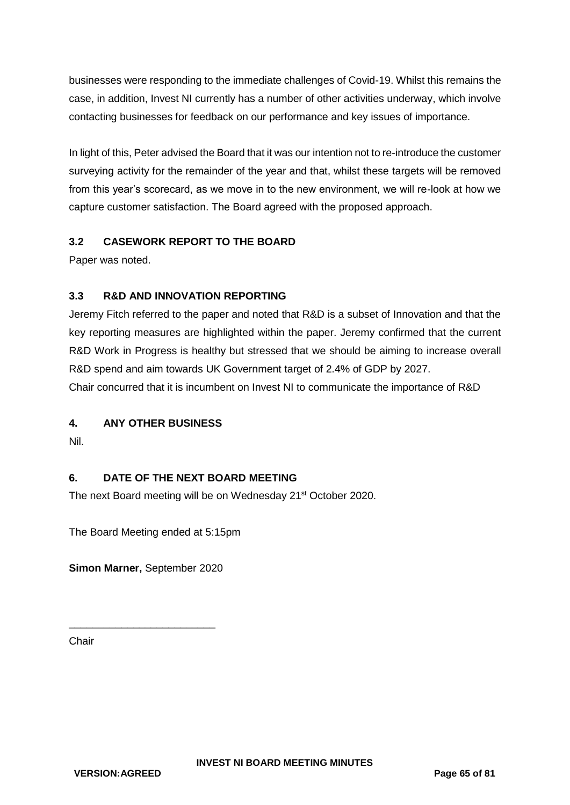businesses were responding to the immediate challenges of Covid-19. Whilst this remains the case, in addition, Invest NI currently has a number of other activities underway, which involve contacting businesses for feedback on our performance and key issues of importance.

In light of this, Peter advised the Board that it was our intention not to re-introduce the customer surveying activity for the remainder of the year and that, whilst these targets will be removed from this year's scorecard, as we move in to the new environment, we will re-look at how we capture customer satisfaction. The Board agreed with the proposed approach.

## **3.2 CASEWORK REPORT TO THE BOARD**

Paper was noted.

## **3.3 R&D AND INNOVATION REPORTING**

Jeremy Fitch referred to the paper and noted that R&D is a subset of Innovation and that the key reporting measures are highlighted within the paper. Jeremy confirmed that the current R&D Work in Progress is healthy but stressed that we should be aiming to increase overall R&D spend and aim towards UK Government target of 2.4% of GDP by 2027. Chair concurred that it is incumbent on Invest NI to communicate the importance of R&D

## **4. ANY OTHER BUSINESS**

Nil.

## **6. DATE OF THE NEXT BOARD MEETING**

The next Board meeting will be on Wednesday 21<sup>st</sup> October 2020.

The Board Meeting ended at 5:15pm

**Simon Marner,** September 2020

\_\_\_\_\_\_\_\_\_\_\_\_\_\_\_\_\_\_\_\_\_\_\_\_\_

**Chair**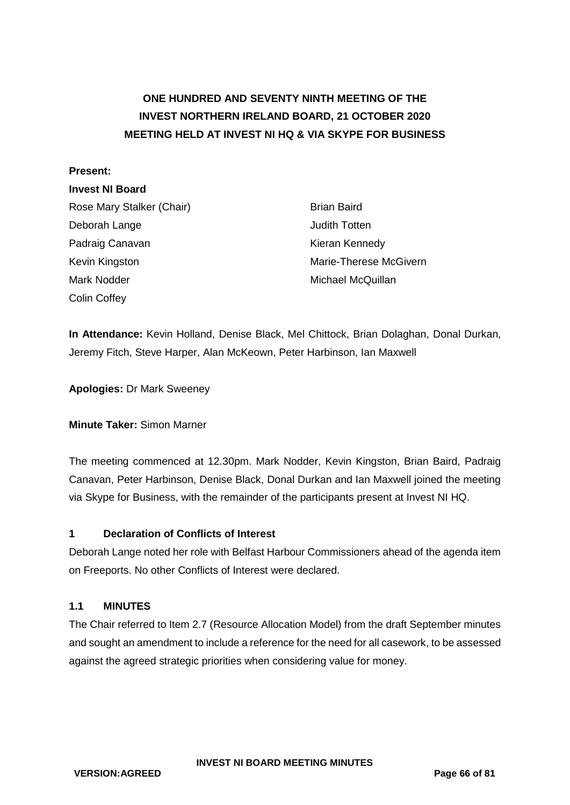# **ONE HUNDRED AND SEVENTY NINTH MEETING OF THE INVEST NORTHERN IRELAND BOARD, 21 OCTOBER 2020 MEETING HELD AT INVEST NI HQ & VIA SKYPE FOR BUSINESS**

#### **Present:**

#### **Invest NI Board**

Rose Mary Stalker (Chair) Brian Baird Deborah Lange **Deborah Lange** Judith Totten Padraig Canavan **Kieran Kennedy** Kevin Kingston Marie-Therese McGivern Mark Nodder Michael McQuillan Colin Coffey

**In Attendance:** Kevin Holland, Denise Black, Mel Chittock, Brian Dolaghan, Donal Durkan, Jeremy Fitch, Steve Harper, Alan McKeown, Peter Harbinson, Ian Maxwell

**Apologies:** Dr Mark Sweeney

#### **Minute Taker:** Simon Marner

The meeting commenced at 12.30pm. Mark Nodder, Kevin Kingston, Brian Baird, Padraig Canavan, Peter Harbinson, Denise Black, Donal Durkan and Ian Maxwell joined the meeting via Skype for Business, with the remainder of the participants present at Invest NI HQ.

#### **1 Declaration of Conflicts of Interest**

Deborah Lange noted her role with Belfast Harbour Commissioners ahead of the agenda item on Freeports. No other Conflicts of Interest were declared.

#### **1.1 MINUTES**

The Chair referred to Item 2.7 (Resource Allocation Model) from the draft September minutes and sought an amendment to include a reference for the need for all casework, to be assessed against the agreed strategic priorities when considering value for money.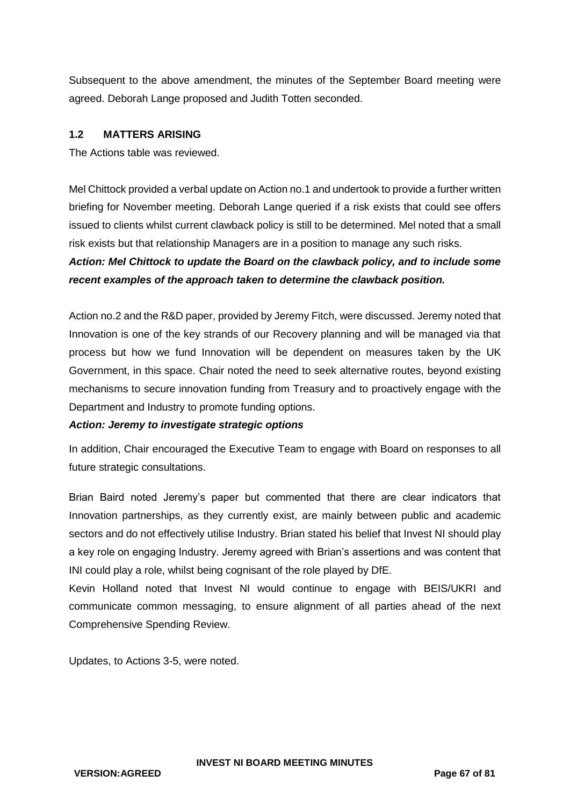Subsequent to the above amendment, the minutes of the September Board meeting were agreed. Deborah Lange proposed and Judith Totten seconded.

#### **1.2 MATTERS ARISING**

The Actions table was reviewed.

Mel Chittock provided a verbal update on Action no.1 and undertook to provide a further written briefing for November meeting. Deborah Lange queried if a risk exists that could see offers issued to clients whilst current clawback policy is still to be determined. Mel noted that a small risk exists but that relationship Managers are in a position to manage any such risks.

## *Action: Mel Chittock to update the Board on the clawback policy, and to include some recent examples of the approach taken to determine the clawback position.*

Action no.2 and the R&D paper, provided by Jeremy Fitch, were discussed. Jeremy noted that Innovation is one of the key strands of our Recovery planning and will be managed via that process but how we fund Innovation will be dependent on measures taken by the UK Government, in this space. Chair noted the need to seek alternative routes, beyond existing mechanisms to secure innovation funding from Treasury and to proactively engage with the Department and Industry to promote funding options.

#### *Action: Jeremy to investigate strategic options*

In addition, Chair encouraged the Executive Team to engage with Board on responses to all future strategic consultations.

Brian Baird noted Jeremy's paper but commented that there are clear indicators that Innovation partnerships, as they currently exist, are mainly between public and academic sectors and do not effectively utilise Industry. Brian stated his belief that Invest NI should play a key role on engaging Industry. Jeremy agreed with Brian's assertions and was content that INI could play a role, whilst being cognisant of the role played by DfE.

Kevin Holland noted that Invest NI would continue to engage with BEIS/UKRI and communicate common messaging, to ensure alignment of all parties ahead of the next Comprehensive Spending Review.

Updates, to Actions 3-5, were noted.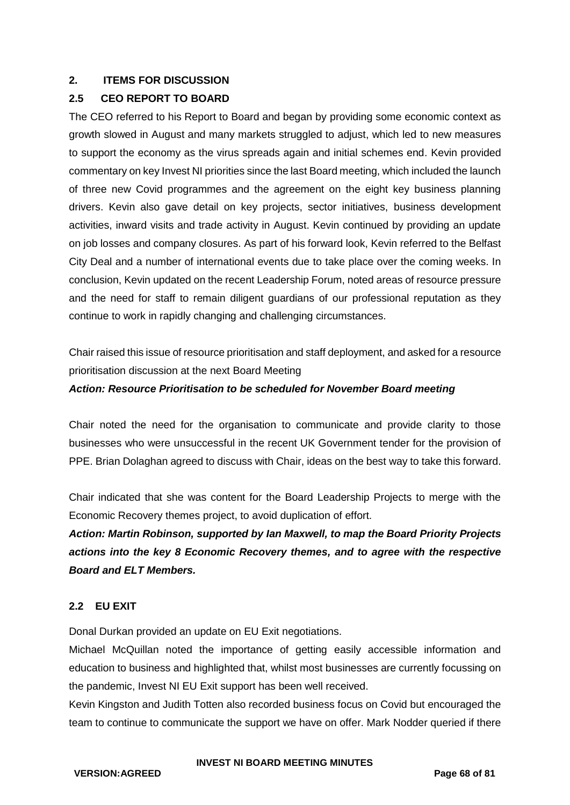## **2. ITEMS FOR DISCUSSION**

## **2.5 CEO REPORT TO BOARD**

The CEO referred to his Report to Board and began by providing some economic context as growth slowed in August and many markets struggled to adjust, which led to new measures to support the economy as the virus spreads again and initial schemes end. Kevin provided commentary on key Invest NI priorities since the last Board meeting, which included the launch of three new Covid programmes and the agreement on the eight key business planning drivers. Kevin also gave detail on key projects, sector initiatives, business development activities, inward visits and trade activity in August. Kevin continued by providing an update on job losses and company closures. As part of his forward look, Kevin referred to the Belfast City Deal and a number of international events due to take place over the coming weeks. In conclusion, Kevin updated on the recent Leadership Forum, noted areas of resource pressure and the need for staff to remain diligent guardians of our professional reputation as they continue to work in rapidly changing and challenging circumstances.

Chair raised this issue of resource prioritisation and staff deployment, and asked for a resource prioritisation discussion at the next Board Meeting

## *Action: Resource Prioritisation to be scheduled for November Board meeting*

Chair noted the need for the organisation to communicate and provide clarity to those businesses who were unsuccessful in the recent UK Government tender for the provision of PPE. Brian Dolaghan agreed to discuss with Chair, ideas on the best way to take this forward.

Chair indicated that she was content for the Board Leadership Projects to merge with the Economic Recovery themes project, to avoid duplication of effort.

*Action: Martin Robinson, supported by Ian Maxwell, to map the Board Priority Projects actions into the key 8 Economic Recovery themes, and to agree with the respective Board and ELT Members.*

## **2.2 EU EXIT**

Donal Durkan provided an update on EU Exit negotiations.

Michael McQuillan noted the importance of getting easily accessible information and education to business and highlighted that, whilst most businesses are currently focussing on the pandemic, Invest NI EU Exit support has been well received.

Kevin Kingston and Judith Totten also recorded business focus on Covid but encouraged the team to continue to communicate the support we have on offer. Mark Nodder queried if there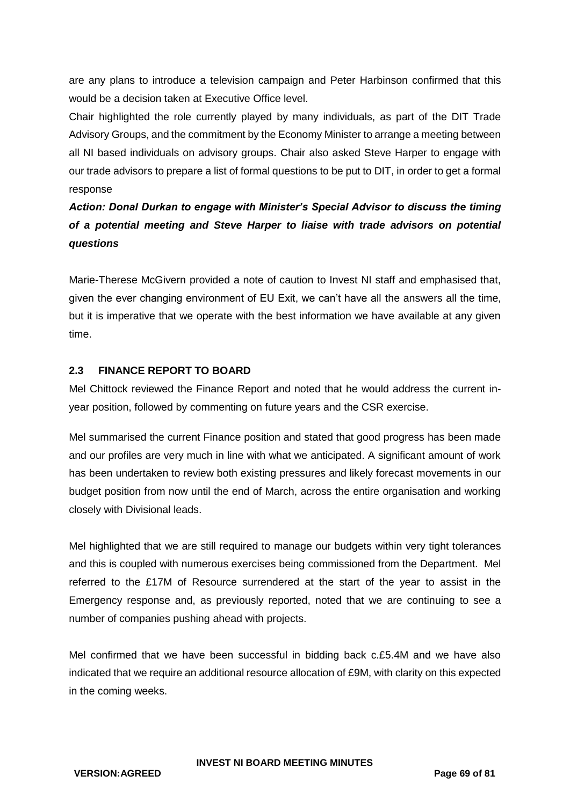are any plans to introduce a television campaign and Peter Harbinson confirmed that this would be a decision taken at Executive Office level.

Chair highlighted the role currently played by many individuals, as part of the DIT Trade Advisory Groups, and the commitment by the Economy Minister to arrange a meeting between all NI based individuals on advisory groups. Chair also asked Steve Harper to engage with our trade advisors to prepare a list of formal questions to be put to DIT, in order to get a formal response

# *Action: Donal Durkan to engage with Minister's Special Advisor to discuss the timing of a potential meeting and Steve Harper to liaise with trade advisors on potential questions*

Marie-Therese McGivern provided a note of caution to Invest NI staff and emphasised that, given the ever changing environment of EU Exit, we can't have all the answers all the time, but it is imperative that we operate with the best information we have available at any given time.

## **2.3 FINANCE REPORT TO BOARD**

Mel Chittock reviewed the Finance Report and noted that he would address the current inyear position, followed by commenting on future years and the CSR exercise.

Mel summarised the current Finance position and stated that good progress has been made and our profiles are very much in line with what we anticipated. A significant amount of work has been undertaken to review both existing pressures and likely forecast movements in our budget position from now until the end of March, across the entire organisation and working closely with Divisional leads.

Mel highlighted that we are still required to manage our budgets within very tight tolerances and this is coupled with numerous exercises being commissioned from the Department. Mel referred to the £17M of Resource surrendered at the start of the year to assist in the Emergency response and, as previously reported, noted that we are continuing to see a number of companies pushing ahead with projects.

Mel confirmed that we have been successful in bidding back c.£5.4M and we have also indicated that we require an additional resource allocation of £9M, with clarity on this expected in the coming weeks.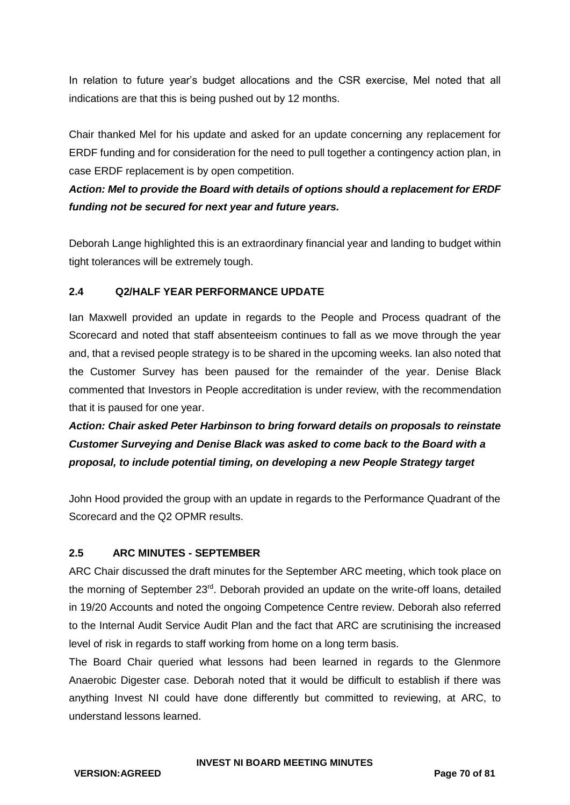In relation to future year's budget allocations and the CSR exercise, Mel noted that all indications are that this is being pushed out by 12 months.

Chair thanked Mel for his update and asked for an update concerning any replacement for ERDF funding and for consideration for the need to pull together a contingency action plan, in case ERDF replacement is by open competition.

*Action: Mel to provide the Board with details of options should a replacement for ERDF funding not be secured for next year and future years.*

Deborah Lange highlighted this is an extraordinary financial year and landing to budget within tight tolerances will be extremely tough.

## **2.4 Q2/HALF YEAR PERFORMANCE UPDATE**

Ian Maxwell provided an update in regards to the People and Process quadrant of the Scorecard and noted that staff absenteeism continues to fall as we move through the year and, that a revised people strategy is to be shared in the upcoming weeks. Ian also noted that the Customer Survey has been paused for the remainder of the year. Denise Black commented that Investors in People accreditation is under review, with the recommendation that it is paused for one year.

*Action: Chair asked Peter Harbinson to bring forward details on proposals to reinstate Customer Surveying and Denise Black was asked to come back to the Board with a proposal, to include potential timing, on developing a new People Strategy target*

John Hood provided the group with an update in regards to the Performance Quadrant of the Scorecard and the Q2 OPMR results.

#### **2.5 ARC MINUTES - SEPTEMBER**

ARC Chair discussed the draft minutes for the September ARC meeting, which took place on the morning of September 23<sup>rd</sup>. Deborah provided an update on the write-off loans, detailed in 19/20 Accounts and noted the ongoing Competence Centre review. Deborah also referred to the Internal Audit Service Audit Plan and the fact that ARC are scrutinising the increased level of risk in regards to staff working from home on a long term basis.

The Board Chair queried what lessons had been learned in regards to the Glenmore Anaerobic Digester case. Deborah noted that it would be difficult to establish if there was anything Invest NI could have done differently but committed to reviewing, at ARC, to understand lessons learned.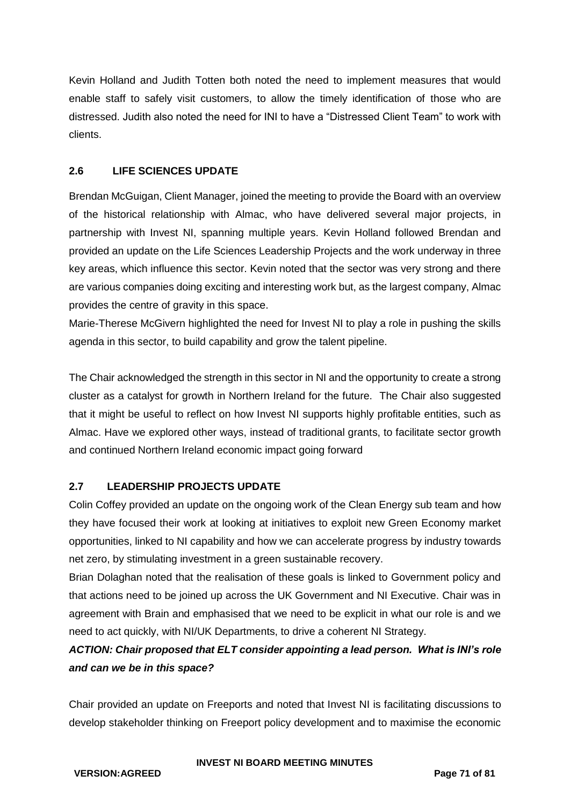Kevin Holland and Judith Totten both noted the need to implement measures that would enable staff to safely visit customers, to allow the timely identification of those who are distressed. Judith also noted the need for INI to have a "Distressed Client Team" to work with clients.

## **2.6 LIFE SCIENCES UPDATE**

Brendan McGuigan, Client Manager, joined the meeting to provide the Board with an overview of the historical relationship with Almac, who have delivered several major projects, in partnership with Invest NI, spanning multiple years. Kevin Holland followed Brendan and provided an update on the Life Sciences Leadership Projects and the work underway in three key areas, which influence this sector. Kevin noted that the sector was very strong and there are various companies doing exciting and interesting work but, as the largest company, Almac provides the centre of gravity in this space.

Marie-Therese McGivern highlighted the need for Invest NI to play a role in pushing the skills agenda in this sector, to build capability and grow the talent pipeline.

The Chair acknowledged the strength in this sector in NI and the opportunity to create a strong cluster as a catalyst for growth in Northern Ireland for the future. The Chair also suggested that it might be useful to reflect on how Invest NI supports highly profitable entities, such as Almac. Have we explored other ways, instead of traditional grants, to facilitate sector growth and continued Northern Ireland economic impact going forward

## **2.7 LEADERSHIP PROJECTS UPDATE**

Colin Coffey provided an update on the ongoing work of the Clean Energy sub team and how they have focused their work at looking at initiatives to exploit new Green Economy market opportunities, linked to NI capability and how we can accelerate progress by industry towards net zero, by stimulating investment in a green sustainable recovery.

Brian Dolaghan noted that the realisation of these goals is linked to Government policy and that actions need to be joined up across the UK Government and NI Executive. Chair was in agreement with Brain and emphasised that we need to be explicit in what our role is and we need to act quickly, with NI/UK Departments, to drive a coherent NI Strategy.

## *ACTION: Chair proposed that ELT consider appointing a lead person. What is INI's role and can we be in this space?*

Chair provided an update on Freeports and noted that Invest NI is facilitating discussions to develop stakeholder thinking on Freeport policy development and to maximise the economic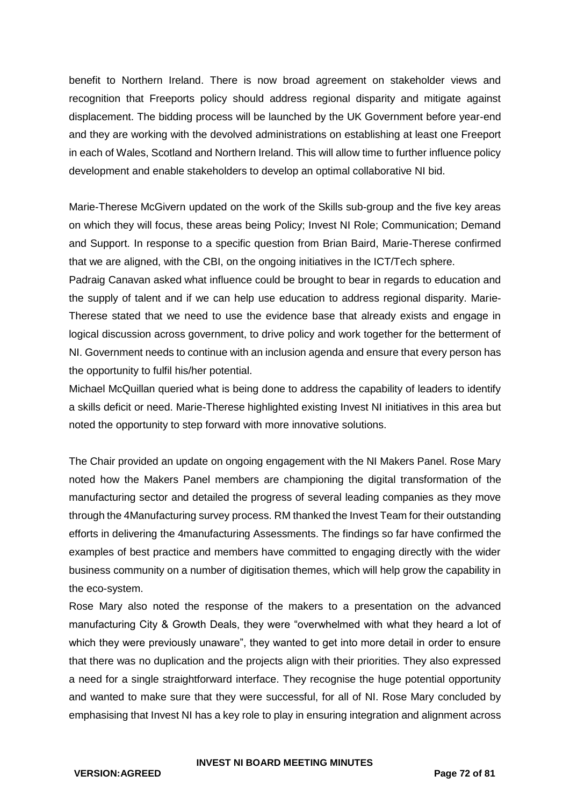benefit to Northern Ireland. There is now broad agreement on stakeholder views and recognition that Freeports policy should address regional disparity and mitigate against displacement. The bidding process will be launched by the UK Government before year-end and they are working with the devolved administrations on establishing at least one Freeport in each of Wales, Scotland and Northern Ireland. This will allow time to further influence policy development and enable stakeholders to develop an optimal collaborative NI bid.

Marie-Therese McGivern updated on the work of the Skills sub-group and the five key areas on which they will focus, these areas being Policy; Invest NI Role; Communication; Demand and Support. In response to a specific question from Brian Baird, Marie-Therese confirmed that we are aligned, with the CBI, on the ongoing initiatives in the ICT/Tech sphere.

Padraig Canavan asked what influence could be brought to bear in regards to education and the supply of talent and if we can help use education to address regional disparity. Marie-Therese stated that we need to use the evidence base that already exists and engage in logical discussion across government, to drive policy and work together for the betterment of NI. Government needs to continue with an inclusion agenda and ensure that every person has the opportunity to fulfil his/her potential.

Michael McQuillan queried what is being done to address the capability of leaders to identify a skills deficit or need. Marie-Therese highlighted existing Invest NI initiatives in this area but noted the opportunity to step forward with more innovative solutions.

The Chair provided an update on ongoing engagement with the NI Makers Panel. Rose Mary noted how the Makers Panel members are championing the digital transformation of the manufacturing sector and detailed the progress of several leading companies as they move through the 4Manufacturing survey process. RM thanked the Invest Team for their outstanding efforts in delivering the 4manufacturing Assessments. The findings so far have confirmed the examples of best practice and members have committed to engaging directly with the wider business community on a number of digitisation themes, which will help grow the capability in the eco-system.

Rose Mary also noted the response of the makers to a presentation on the advanced manufacturing City & Growth Deals, they were "overwhelmed with what they heard a lot of which they were previously unaware", they wanted to get into more detail in order to ensure that there was no duplication and the projects align with their priorities. They also expressed a need for a single straightforward interface. They recognise the huge potential opportunity and wanted to make sure that they were successful, for all of NI. Rose Mary concluded by emphasising that Invest NI has a key role to play in ensuring integration and alignment across

#### **INVEST NI BOARD MEETING MINUTES**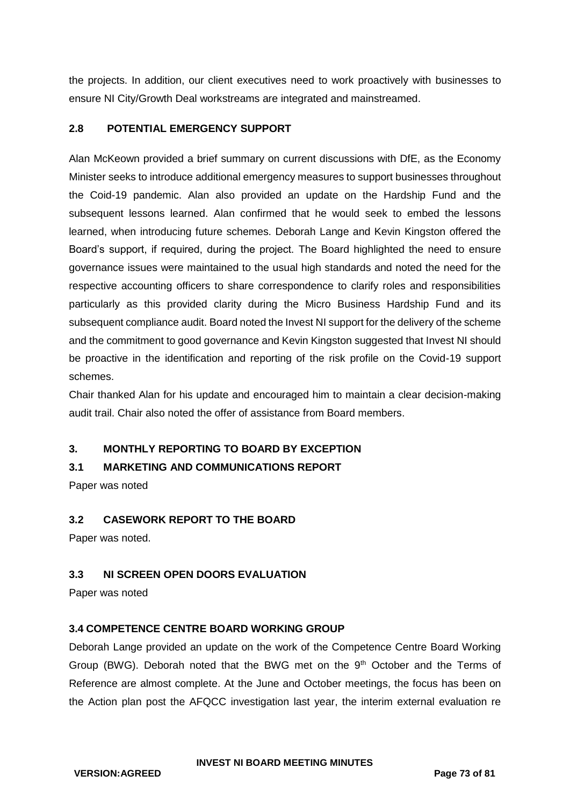the projects. In addition, our client executives need to work proactively with businesses to ensure NI City/Growth Deal workstreams are integrated and mainstreamed.

### **2.8 POTENTIAL EMERGENCY SUPPORT**

Alan McKeown provided a brief summary on current discussions with DfE, as the Economy Minister seeks to introduce additional emergency measures to support businesses throughout the Coid-19 pandemic. Alan also provided an update on the Hardship Fund and the subsequent lessons learned. Alan confirmed that he would seek to embed the lessons learned, when introducing future schemes. Deborah Lange and Kevin Kingston offered the Board's support, if required, during the project. The Board highlighted the need to ensure governance issues were maintained to the usual high standards and noted the need for the respective accounting officers to share correspondence to clarify roles and responsibilities particularly as this provided clarity during the Micro Business Hardship Fund and its subsequent compliance audit. Board noted the Invest NI support for the delivery of the scheme and the commitment to good governance and Kevin Kingston suggested that Invest NI should be proactive in the identification and reporting of the risk profile on the Covid-19 support schemes.

Chair thanked Alan for his update and encouraged him to maintain a clear decision-making audit trail. Chair also noted the offer of assistance from Board members.

# **3. MONTHLY REPORTING TO BOARD BY EXCEPTION**

### **3.1 MARKETING AND COMMUNICATIONS REPORT**

Paper was noted

### **3.2 CASEWORK REPORT TO THE BOARD**

Paper was noted.

### **3.3 NI SCREEN OPEN DOORS EVALUATION**

Paper was noted

### **3.4 COMPETENCE CENTRE BOARD WORKING GROUP**

Deborah Lange provided an update on the work of the Competence Centre Board Working Group (BWG). Deborah noted that the BWG met on the 9th October and the Terms of Reference are almost complete. At the June and October meetings, the focus has been on the Action plan post the AFQCC investigation last year, the interim external evaluation re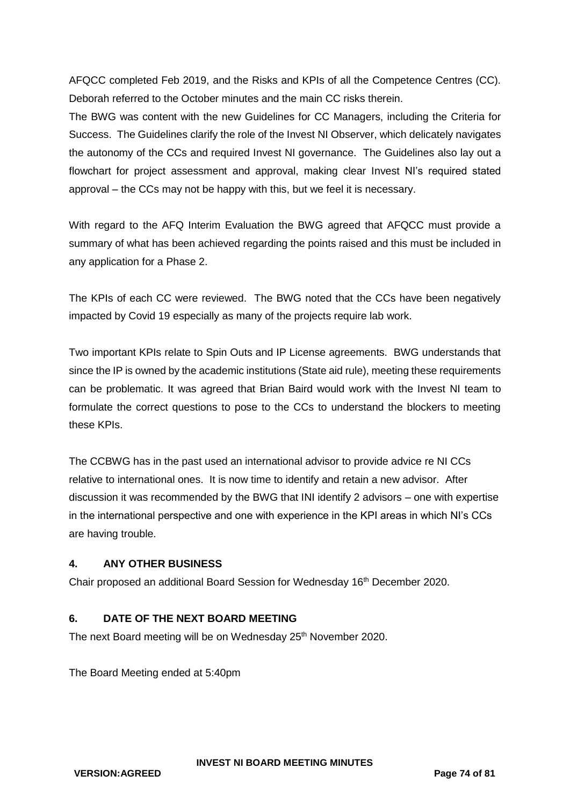AFQCC completed Feb 2019, and the Risks and KPIs of all the Competence Centres (CC). Deborah referred to the October minutes and the main CC risks therein.

The BWG was content with the new Guidelines for CC Managers, including the Criteria for Success. The Guidelines clarify the role of the Invest NI Observer, which delicately navigates the autonomy of the CCs and required Invest NI governance. The Guidelines also lay out a flowchart for project assessment and approval, making clear Invest NI's required stated approval – the CCs may not be happy with this, but we feel it is necessary.

With regard to the AFQ Interim Evaluation the BWG agreed that AFQCC must provide a summary of what has been achieved regarding the points raised and this must be included in any application for a Phase 2.

The KPIs of each CC were reviewed. The BWG noted that the CCs have been negatively impacted by Covid 19 especially as many of the projects require lab work.

Two important KPIs relate to Spin Outs and IP License agreements. BWG understands that since the IP is owned by the academic institutions (State aid rule), meeting these requirements can be problematic. It was agreed that Brian Baird would work with the Invest NI team to formulate the correct questions to pose to the CCs to understand the blockers to meeting these KPIs.

The CCBWG has in the past used an international advisor to provide advice re NI CCs relative to international ones. It is now time to identify and retain a new advisor. After discussion it was recommended by the BWG that INI identify 2 advisors – one with expertise in the international perspective and one with experience in the KPI areas in which NI's CCs are having trouble.

# **4. ANY OTHER BUSINESS**

Chair proposed an additional Board Session for Wednesday 16th December 2020.

# **6. DATE OF THE NEXT BOARD MEETING**

The next Board meeting will be on Wednesday 25<sup>th</sup> November 2020.

The Board Meeting ended at 5:40pm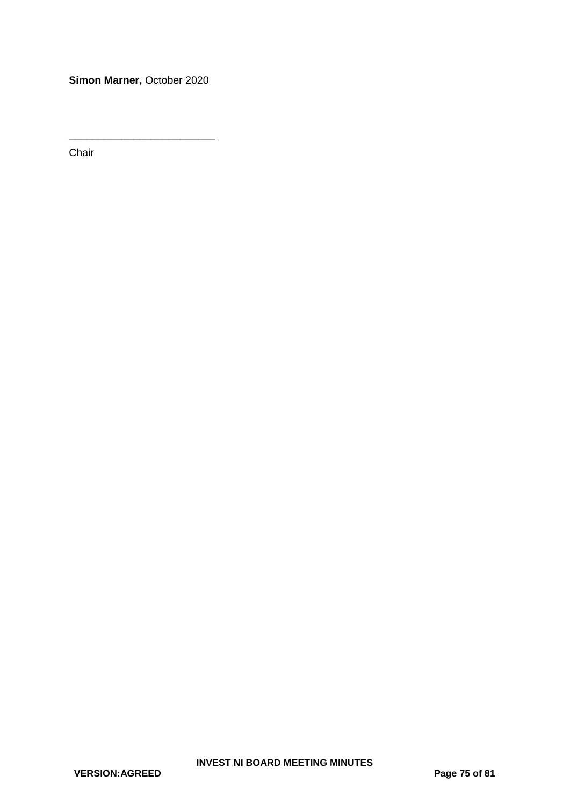**Simon Marner,** October 2020

\_\_\_\_\_\_\_\_\_\_\_\_\_\_\_\_\_\_\_\_\_\_\_\_\_

Chair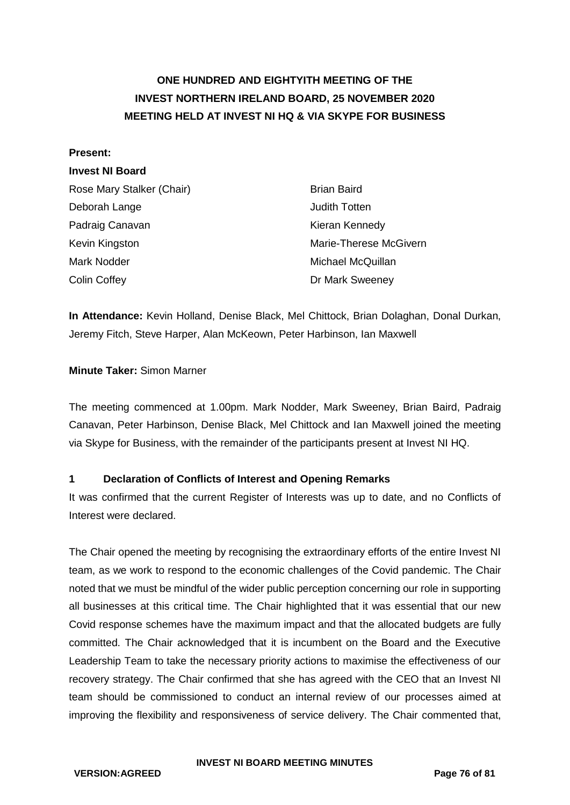# **ONE HUNDRED AND EIGHTYITH MEETING OF THE INVEST NORTHERN IRELAND BOARD, 25 NOVEMBER 2020 MEETING HELD AT INVEST NI HQ & VIA SKYPE FOR BUSINESS**

#### **Present:**

### **Invest NI Board**

| Rose Mary Stalker (Chair) | <b>Brian Baird</b>     |
|---------------------------|------------------------|
| Deborah Lange             | <b>Judith Totten</b>   |
| Padraig Canavan           | Kieran Kennedy         |
| Kevin Kingston            | Marie-Therese McGivern |
| Mark Nodder               | Michael McQuillan      |
| Colin Coffey              | Dr Mark Sweeney        |

**In Attendance:** Kevin Holland, Denise Black, Mel Chittock, Brian Dolaghan, Donal Durkan, Jeremy Fitch, Steve Harper, Alan McKeown, Peter Harbinson, Ian Maxwell

### **Minute Taker:** Simon Marner

The meeting commenced at 1.00pm. Mark Nodder, Mark Sweeney, Brian Baird, Padraig Canavan, Peter Harbinson, Denise Black, Mel Chittock and Ian Maxwell joined the meeting via Skype for Business, with the remainder of the participants present at Invest NI HQ.

### **1 Declaration of Conflicts of Interest and Opening Remarks**

It was confirmed that the current Register of Interests was up to date, and no Conflicts of Interest were declared.

The Chair opened the meeting by recognising the extraordinary efforts of the entire Invest NI team, as we work to respond to the economic challenges of the Covid pandemic. The Chair noted that we must be mindful of the wider public perception concerning our role in supporting all businesses at this critical time. The Chair highlighted that it was essential that our new Covid response schemes have the maximum impact and that the allocated budgets are fully committed. The Chair acknowledged that it is incumbent on the Board and the Executive Leadership Team to take the necessary priority actions to maximise the effectiveness of our recovery strategy. The Chair confirmed that she has agreed with the CEO that an Invest NI team should be commissioned to conduct an internal review of our processes aimed at improving the flexibility and responsiveness of service delivery. The Chair commented that,

#### **INVEST NI BOARD MEETING MINUTES**

**VERSION:AGREED Page 76 of 81**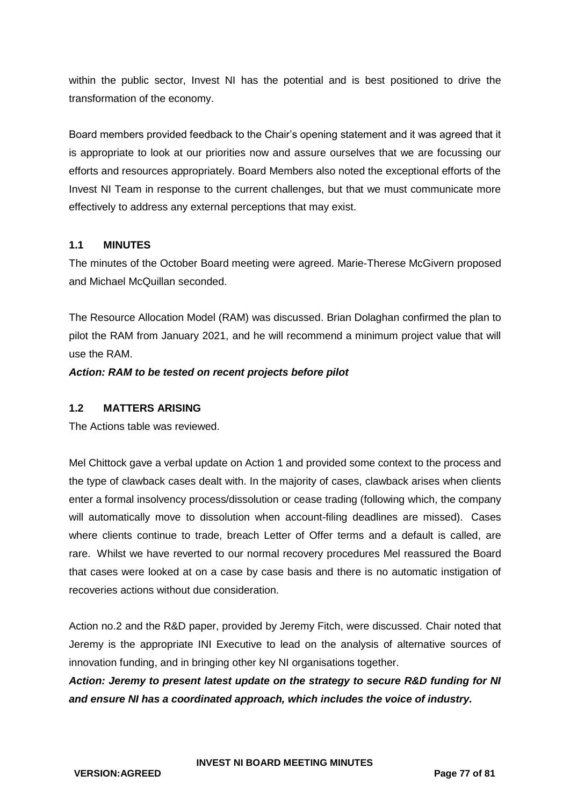within the public sector, Invest NI has the potential and is best positioned to drive the transformation of the economy.

Board members provided feedback to the Chair's opening statement and it was agreed that it is appropriate to look at our priorities now and assure ourselves that we are focussing our efforts and resources appropriately. Board Members also noted the exceptional efforts of the Invest NI Team in response to the current challenges, but that we must communicate more effectively to address any external perceptions that may exist.

### **1.1 MINUTES**

The minutes of the October Board meeting were agreed. Marie-Therese McGivern proposed and Michael McQuillan seconded.

The Resource Allocation Model (RAM) was discussed. Brian Dolaghan confirmed the plan to pilot the RAM from January 2021, and he will recommend a minimum project value that will use the RAM.

*Action: RAM to be tested on recent projects before pilot*

### **1.2 MATTERS ARISING**

The Actions table was reviewed.

Mel Chittock gave a verbal update on Action 1 and provided some context to the process and the type of clawback cases dealt with. In the majority of cases, clawback arises when clients enter a formal insolvency process/dissolution or cease trading (following which, the company will automatically move to dissolution when account-filing deadlines are missed). Cases where clients continue to trade, breach Letter of Offer terms and a default is called, are rare. Whilst we have reverted to our normal recovery procedures Mel reassured the Board that cases were looked at on a case by case basis and there is no automatic instigation of recoveries actions without due consideration.

Action no.2 and the R&D paper, provided by Jeremy Fitch, were discussed. Chair noted that Jeremy is the appropriate INI Executive to lead on the analysis of alternative sources of innovation funding, and in bringing other key NI organisations together.

*Action: Jeremy to present latest update on the strategy to secure R&D funding for NI and ensure NI has a coordinated approach, which includes the voice of industry.*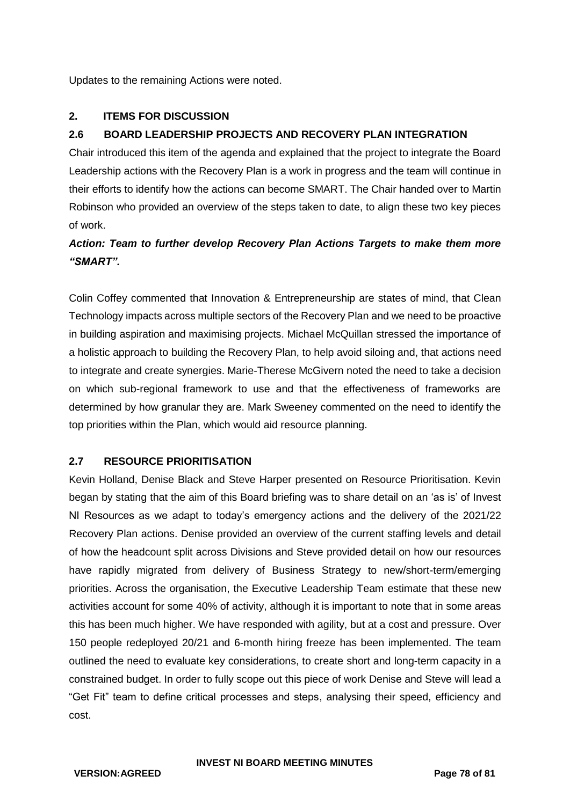Updates to the remaining Actions were noted.

# **2. ITEMS FOR DISCUSSION**

# **2.6 BOARD LEADERSHIP PROJECTS AND RECOVERY PLAN INTEGRATION**

Chair introduced this item of the agenda and explained that the project to integrate the Board Leadership actions with the Recovery Plan is a work in progress and the team will continue in their efforts to identify how the actions can become SMART. The Chair handed over to Martin Robinson who provided an overview of the steps taken to date, to align these two key pieces of work.

# *Action: Team to further develop Recovery Plan Actions Targets to make them more "SMART".*

Colin Coffey commented that Innovation & Entrepreneurship are states of mind, that Clean Technology impacts across multiple sectors of the Recovery Plan and we need to be proactive in building aspiration and maximising projects. Michael McQuillan stressed the importance of a holistic approach to building the Recovery Plan, to help avoid siloing and, that actions need to integrate and create synergies. Marie-Therese McGivern noted the need to take a decision on which sub-regional framework to use and that the effectiveness of frameworks are determined by how granular they are. Mark Sweeney commented on the need to identify the top priorities within the Plan, which would aid resource planning.

### **2.7 RESOURCE PRIORITISATION**

Kevin Holland, Denise Black and Steve Harper presented on Resource Prioritisation. Kevin began by stating that the aim of this Board briefing was to share detail on an 'as is' of Invest NI Resources as we adapt to today's emergency actions and the delivery of the 2021/22 Recovery Plan actions. Denise provided an overview of the current staffing levels and detail of how the headcount split across Divisions and Steve provided detail on how our resources have rapidly migrated from delivery of Business Strategy to new/short-term/emerging priorities. Across the organisation, the Executive Leadership Team estimate that these new activities account for some 40% of activity, although it is important to note that in some areas this has been much higher. We have responded with agility, but at a cost and pressure. Over 150 people redeployed 20/21 and 6-month hiring freeze has been implemented. The team outlined the need to evaluate key considerations, to create short and long-term capacity in a constrained budget. In order to fully scope out this piece of work Denise and Steve will lead a "Get Fit" team to define critical processes and steps, analysing their speed, efficiency and cost.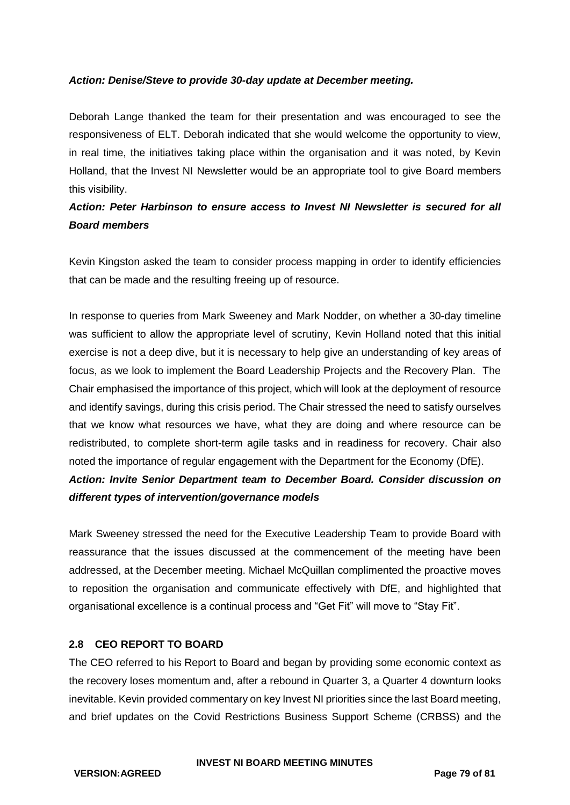### *Action: Denise/Steve to provide 30-day update at December meeting.*

Deborah Lange thanked the team for their presentation and was encouraged to see the responsiveness of ELT. Deborah indicated that she would welcome the opportunity to view, in real time, the initiatives taking place within the organisation and it was noted, by Kevin Holland, that the Invest NI Newsletter would be an appropriate tool to give Board members this visibility.

# *Action: Peter Harbinson to ensure access to Invest NI Newsletter is secured for all Board members*

Kevin Kingston asked the team to consider process mapping in order to identify efficiencies that can be made and the resulting freeing up of resource.

In response to queries from Mark Sweeney and Mark Nodder, on whether a 30-day timeline was sufficient to allow the appropriate level of scrutiny, Kevin Holland noted that this initial exercise is not a deep dive, but it is necessary to help give an understanding of key areas of focus, as we look to implement the Board Leadership Projects and the Recovery Plan. The Chair emphasised the importance of this project, which will look at the deployment of resource and identify savings, during this crisis period. The Chair stressed the need to satisfy ourselves that we know what resources we have, what they are doing and where resource can be redistributed, to complete short-term agile tasks and in readiness for recovery. Chair also noted the importance of regular engagement with the Department for the Economy (DfE). *Action: Invite Senior Department team to December Board. Consider discussion on* 

### *different types of intervention/governance models*

Mark Sweeney stressed the need for the Executive Leadership Team to provide Board with reassurance that the issues discussed at the commencement of the meeting have been addressed, at the December meeting. Michael McQuillan complimented the proactive moves to reposition the organisation and communicate effectively with DfE, and highlighted that organisational excellence is a continual process and "Get Fit" will move to "Stay Fit".

### **2.8 CEO REPORT TO BOARD**

The CEO referred to his Report to Board and began by providing some economic context as the recovery loses momentum and, after a rebound in Quarter 3, a Quarter 4 downturn looks inevitable. Kevin provided commentary on key Invest NI priorities since the last Board meeting, and brief updates on the Covid Restrictions Business Support Scheme (CRBSS) and the

#### **INVEST NI BOARD MEETING MINUTES**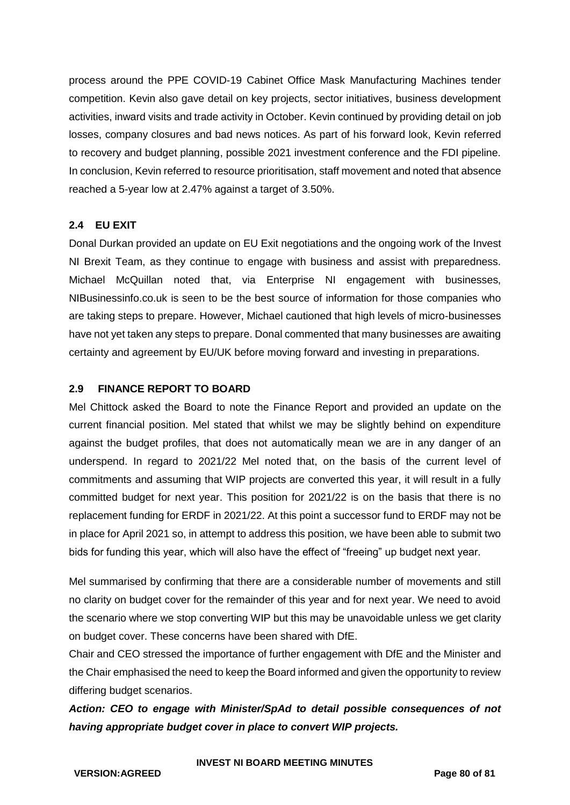process around the PPE COVID-19 Cabinet Office Mask Manufacturing Machines tender competition. Kevin also gave detail on key projects, sector initiatives, business development activities, inward visits and trade activity in October. Kevin continued by providing detail on job losses, company closures and bad news notices. As part of his forward look, Kevin referred to recovery and budget planning, possible 2021 investment conference and the FDI pipeline. In conclusion, Kevin referred to resource prioritisation, staff movement and noted that absence reached a 5-year low at 2.47% against a target of 3.50%.

# **2.4 EU EXIT**

Donal Durkan provided an update on EU Exit negotiations and the ongoing work of the Invest NI Brexit Team, as they continue to engage with business and assist with preparedness. Michael McQuillan noted that, via Enterprise NI engagement with businesses, NIBusinessinfo.co.uk is seen to be the best source of information for those companies who are taking steps to prepare. However, Michael cautioned that high levels of micro-businesses have not yet taken any steps to prepare. Donal commented that many businesses are awaiting certainty and agreement by EU/UK before moving forward and investing in preparations.

# **2.9 FINANCE REPORT TO BOARD**

Mel Chittock asked the Board to note the Finance Report and provided an update on the current financial position. Mel stated that whilst we may be slightly behind on expenditure against the budget profiles, that does not automatically mean we are in any danger of an underspend. In regard to 2021/22 Mel noted that, on the basis of the current level of commitments and assuming that WIP projects are converted this year, it will result in a fully committed budget for next year. This position for 2021/22 is on the basis that there is no replacement funding for ERDF in 2021/22. At this point a successor fund to ERDF may not be in place for April 2021 so, in attempt to address this position, we have been able to submit two bids for funding this year, which will also have the effect of "freeing" up budget next year.

Mel summarised by confirming that there are a considerable number of movements and still no clarity on budget cover for the remainder of this year and for next year. We need to avoid the scenario where we stop converting WIP but this may be unavoidable unless we get clarity on budget cover. These concerns have been shared with DfE.

Chair and CEO stressed the importance of further engagement with DfE and the Minister and the Chair emphasised the need to keep the Board informed and given the opportunity to review differing budget scenarios.

*Action: CEO to engage with Minister/SpAd to detail possible consequences of not having appropriate budget cover in place to convert WIP projects.*